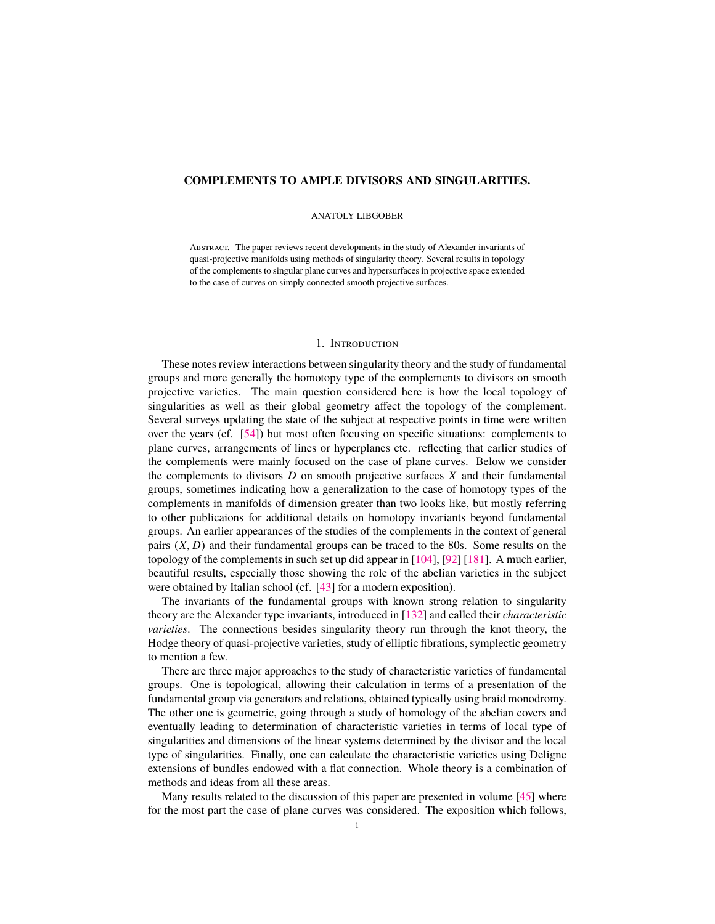# <span id="page-0-1"></span><span id="page-0-0"></span>**COMPLEMENTS TO AMPLE DIVISORS AND SINGULARITIES.**

## ANATOLY LIBGOBER

Abstract. The paper reviews recent developments in the study of Alexander invariants of quasi-projective manifolds using methods of singularity theory. Several results in topology of the complements to singular plane curves and hypersurfaces in projective space extended to the case of curves on simply connected smooth projective surfaces.

## 1. Introduction

These notes review interactions between singularity theory and the study of fundamental groups and more generally the homotopy type of the complements to divisors on smooth projective varieties. The main question considered here is how the local topology of singularities as well as their global geometry affect the topology of the complement. Several surveys updating the state of the subject at respective points in time were written over the years (cf. [\[54\]](#page-47-0)) but most often focusing on specific situations: complements to plane curves, arrangements of lines or hyperplanes etc. reflecting that earlier studies of the complements were mainly focused on the case of plane curves. Below we consider the complements to divisors *D* on smooth projective surfaces *X* and their fundamental groups, sometimes indicating how a generalization to the case of homotopy types of the complements in manifolds of dimension greater than two looks like, but mostly referring to other publicaions for additional details on homotopy invariants beyond fundamental groups. An earlier appearances of the studies of the complements in the context of general pairs (*X*, *<sup>D</sup>*) and their fundamental groups can be traced to the 80s. Some results on the topology of the complements in such set up did appear in [\[104\]](#page-49-0), [\[92\]](#page-48-0) [\[181\]](#page-51-0). A much earlier, beautiful results, especially those showing the role of the abelian varieties in the subject were obtained by Italian school (cf. [\[43\]](#page-47-1) for a modern exposition).

The invariants of the fundamental groups with known strong relation to singularity theory are the Alexander type invariants, introduced in [\[132\]](#page-50-0) and called their *characteristic varieties*. The connections besides singularity theory run through the knot theory, the Hodge theory of quasi-projective varieties, study of elliptic fibrations, symplectic geometry to mention a few.

There are three major approaches to the study of characteristic varieties of fundamental groups. One is topological, allowing their calculation in terms of a presentation of the fundamental group via generators and relations, obtained typically using braid monodromy. The other one is geometric, going through a study of homology of the abelian covers and eventually leading to determination of characteristic varieties in terms of local type of singularities and dimensions of the linear systems determined by the divisor and the local type of singularities. Finally, one can calculate the characteristic varieties using Deligne extensions of bundles endowed with a flat connection. Whole theory is a combination of methods and ideas from all these areas.

Many results related to the discussion of this paper are presented in volume [\[45\]](#page-47-2) where for the most part the case of plane curves was considered. The exposition which follows,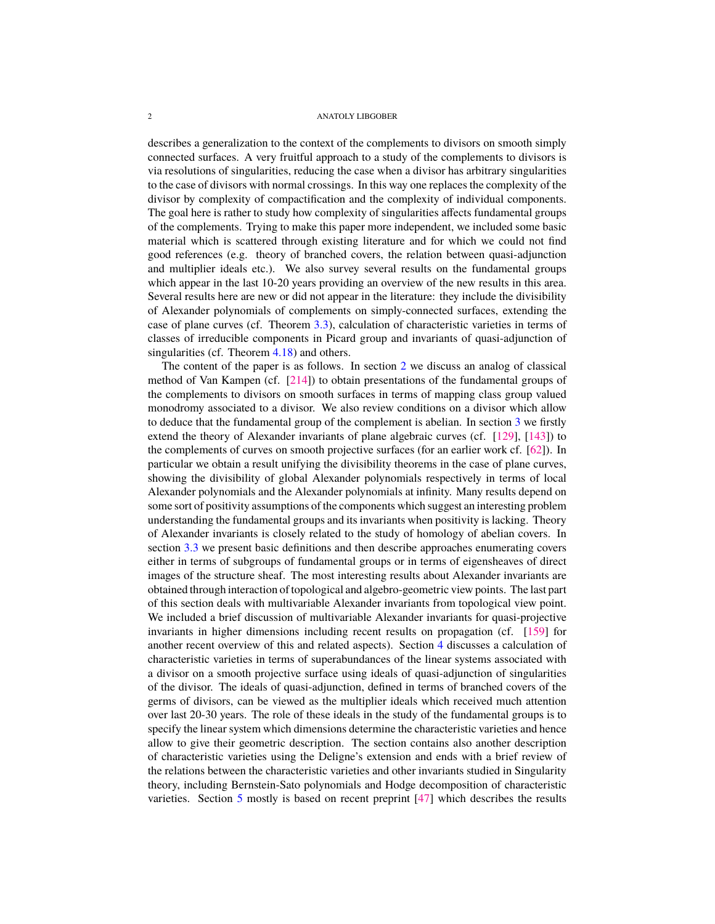<span id="page-1-0"></span>describes a generalization to the context of the complements to divisors on smooth simply connected surfaces. A very fruitful approach to a study of the complements to divisors is via resolutions of singularities, reducing the case when a divisor has arbitrary singularities to the case of divisors with normal crossings. In this way one replaces the complexity of the divisor by complexity of compactification and the complexity of individual components. The goal here is rather to study how complexity of singularities affects fundamental groups of the complements. Trying to make this paper more independent, we included some basic material which is scattered through existing literature and for which we could not find good references (e.g. theory of branched covers, the relation between quasi-adjunction and multiplier ideals etc.). We also survey several results on the fundamental groups which appear in the last 10-20 years providing an overview of the new results in this area. Several results here are new or did not appear in the literature: they include the divisibility of Alexander polynomials of complements on simply-connected surfaces, extending the case of plane curves (cf. Theorem [3.3\)](#page-8-0), calculation of characteristic varieties in terms of classes of irreducible components in Picard group and invariants of quasi-adjunction of singularities (cf. Theorem [4.18\)](#page-32-0) and others.

The content of the paper is as follows. In section  $2$  we discuss an analog of classical method of Van Kampen (cf. [\[214\]](#page-52-0)) to obtain presentations of the fundamental groups of the complements to divisors on smooth surfaces in terms of mapping class group valued monodromy associated to a divisor. We also review conditions on a divisor which allow to deduce that the fundamental group of the complement is abelian. In section [3](#page-6-0) we firstly extend the theory of Alexander invariants of plane algebraic curves (cf. [\[129\]](#page-50-1), [\[143\]](#page-50-2)) to the complements of curves on smooth projective surfaces (for an earlier work cf. [\[62\]](#page-47-3)). In particular we obtain a result unifying the divisibility theorems in the case of plane curves, showing the divisibility of global Alexander polynomials respectively in terms of local Alexander polynomials and the Alexander polynomials at infinity. Many results depend on some sort of positivity assumptions of the components which suggest an interesting problem understanding the fundamental groups and its invariants when positivity is lacking. Theory of Alexander invariants is closely related to the study of homology of abelian covers. In section [3.3](#page-10-0) we present basic definitions and then describe approaches enumerating covers either in terms of subgroups of fundamental groups or in terms of eigensheaves of direct images of the structure sheaf. The most interesting results about Alexander invariants are obtained through interaction of topological and algebro-geometric view points. The last part of this section deals with multivariable Alexander invariants from topological view point. We included a brief discussion of multivariable Alexander invariants for quasi-projective invariants in higher dimensions including recent results on propagation (cf. [\[159\]](#page-51-1) for another recent overview of this and related aspects). Section [4](#page-23-0) discusses a calculation of characteristic varieties in terms of superabundances of the linear systems associated with a divisor on a smooth projective surface using ideals of quasi-adjunction of singularities of the divisor. The ideals of quasi-adjunction, defined in terms of branched covers of the germs of divisors, can be viewed as the multiplier ideals which received much attention over last 20-30 years. The role of these ideals in the study of the fundamental groups is to specify the linear system which dimensions determine the characteristic varieties and hence allow to give their geometric description. The section contains also another description of characteristic varieties using the Deligne's extension and ends with a brief review of the relations between the characteristic varieties and other invariants studied in Singularity theory, including Bernstein-Sato polynomials and Hodge decomposition of characteristic varieties. Section [5](#page-34-0) mostly is based on recent preprint [\[47\]](#page-47-4) which describes the results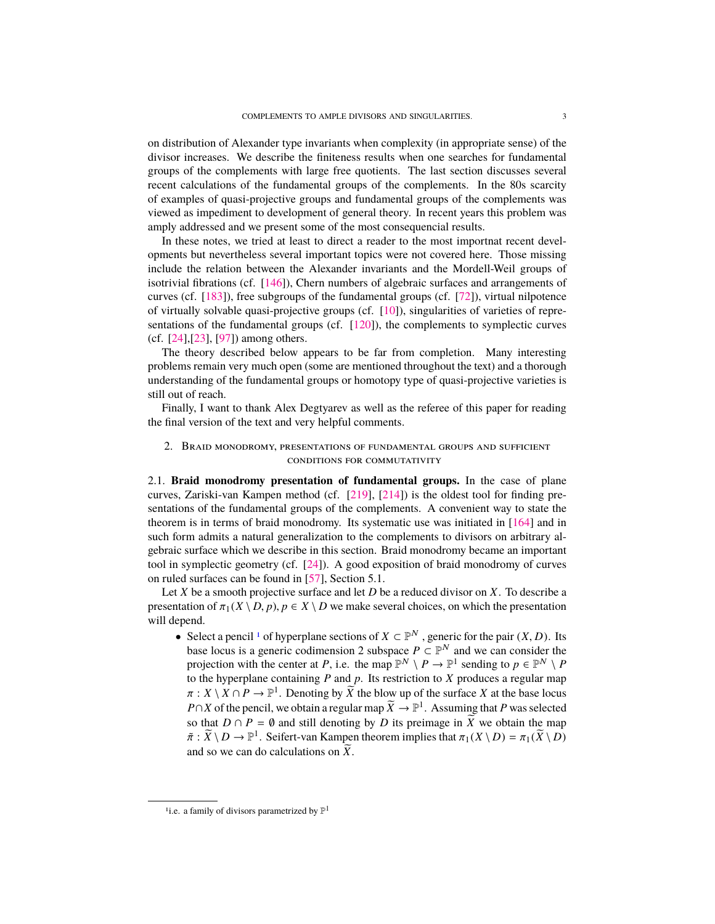<span id="page-2-2"></span>on distribution of Alexander type invariants when complexity (in appropriate sense) of the divisor increases. We describe the finiteness results when one searches for fundamental groups of the complements with large free quotients. The last section discusses several recent calculations of the fundamental groups of the complements. In the 80s scarcity of examples of quasi-projective groups and fundamental groups of the complements was viewed as impediment to development of general theory. In recent years this problem was amply addressed and we present some of the most consequencial results.

In these notes, we tried at least to direct a reader to the most importnat recent developments but nevertheless several important topics were not covered here. Those missing include the relation between the Alexander invariants and the Mordell-Weil groups of isotrivial fibrations (cf. [\[146\]](#page-50-3)), Chern numbers of algebraic surfaces and arrangements of curves (cf. [\[183\]](#page-51-2)), free subgroups of the fundamental groups (cf. [\[72\]](#page-48-1)), virtual nilpotence of virtually solvable quasi-projective groups (cf. [\[10\]](#page-46-0)), singularities of varieties of representations of the fundamental groups (cf. [\[120\]](#page-49-1)), the complements to symplectic curves (cf. [\[24\]](#page-46-1),[\[23\]](#page-46-2), [\[97\]](#page-49-2)) among others.

The theory described below appears to be far from completion. Many interesting problems remain very much open (some are mentioned throughout the text) and a thorough understanding of the fundamental groups or homotopy type of quasi-projective varieties is still out of reach.

Finally, I want to thank Alex Degtyarev as well as the referee of this paper for reading the final version of the text and very helpful comments.

# <span id="page-2-0"></span>2. Braid monodromy, presentations of fundamental groups and sufficient conditions for commutativity

2.1. **Braid monodromy presentation of fundamental groups.** In the case of plane curves, Zariski-van Kampen method (cf. [\[219\]](#page-53-0), [\[214\]](#page-52-0)) is the oldest tool for finding presentations of the fundamental groups of the complements. A convenient way to state the theorem is in terms of braid monodromy. Its systematic use was initiated in [\[164\]](#page-51-3) and in such form admits a natural generalization to the complements to divisors on arbitrary algebraic surface which we describe in this section. Braid monodromy became an important tool in symplectic geometry (cf. [\[24\]](#page-46-1)). A good exposition of braid monodromy of curves on ruled surfaces can be found in [\[57\]](#page-47-5), Section 5.1.

Let *X* be a smooth projective surface and let *D* be a reduced divisor on *X*. To describe a presentation of  $\pi_1(X \setminus D, p)$ ,  $p \in X \setminus D$  we make several choices, on which the presentation will depend.

• Select a pencil <sup>[1](#page-2-1)</sup> of hyperplane sections of  $X \subset \mathbb{P}^N$ , generic for the pair  $(X, D)$ . Its<br>hase locus is a generic codimension 2 subspace  $P \subset \mathbb{P}^N$  and we can consider the base locus is a generic codimension 2 subspace  $P \subset \mathbb{P}^N$  and we can consider the projection with the center at *P*, i.e. the map  $\mathbb{P}^N \setminus P \to \mathbb{P}^1$  sending to  $p \in \mathbb{P}^N \setminus P$ to the hyperplane containing *P* and *p*. Its restriction to *X* produces a regular map  $\pi$ :  $X \setminus X \cap P \to \mathbb{P}^1$ . Denoting by  $\widetilde{X}$  the blow up of the surface *X* at the base locus  $P \cap X$  of the papeil we obtain a regular map  $\widetilde{Y} \to \mathbb{P}^1$ . Assuming that *P* was selected *P*∩*X* of the pencil, we obtain a regular map  $\widetilde{X} \to \mathbb{P}^1$ . Assuming that *P* was selected so that *D* ∩ *P* =  $\emptyset$  and still denoting by *D* its preimage in  $\widetilde{X}$  we obtain the map  $\tilde{\pi}$  :  $\tilde{X} \setminus D \to \mathbb{P}^1$ . Seifert-van Kampen theorem implies that  $\pi_1(X \setminus D) = \pi_1(\tilde{X} \setminus D)$ and so we can do calculations on  $\widetilde{X}$ .

<span id="page-2-1"></span><sup>&</sup>lt;sup>1</sup> i.e. a family of divisors parametrized by  $\mathbb{P}^1$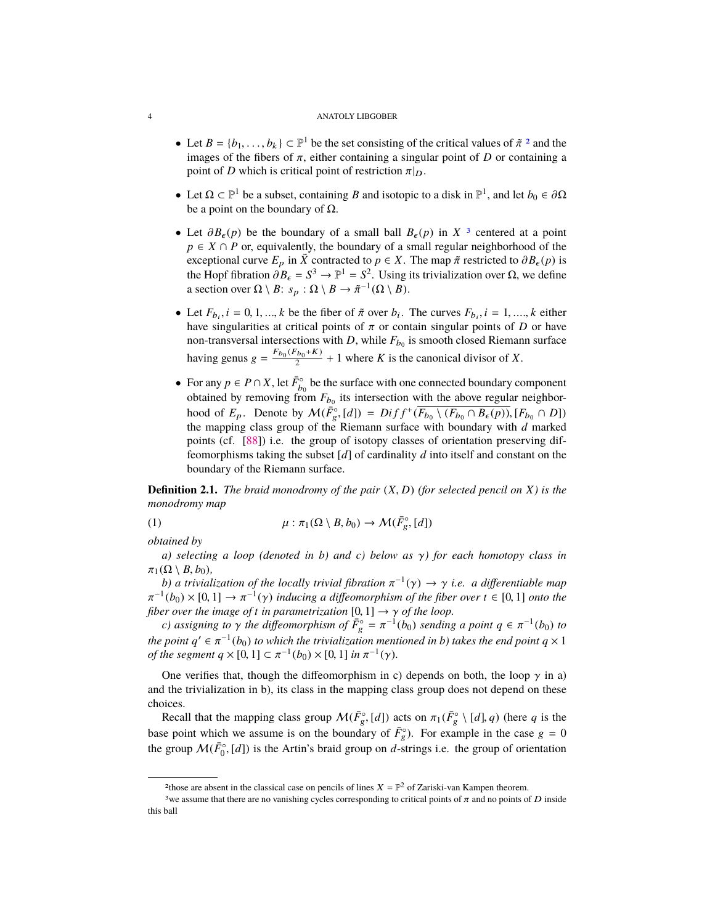- <span id="page-3-3"></span>• Let  $B = \{b_1, \ldots, b_k\} \subset \mathbb{P}^1$  be the set consisting of the critical values of  $\tilde{\pi}^2$  $\tilde{\pi}^2$  and the images of the fibers of  $\pi$  either containing a singular point of D or containing a images of the fibers of  $\pi$ , either containing a singular point of *D* or containing a point of *D* which is critical point of restriction  $\pi|_D$ .
- Let  $\Omega \subset \mathbb{P}^1$  be a subset, containing *B* and isotopic to a disk in  $\mathbb{P}^1$ , and let *b*<sub>0</sub>  $\in \partial \Omega$  be a point on the boundary of  $\Omega$ be a point on the boundary of  $\Omega$ .
- Let  $\partial B_{\epsilon}(p)$  be the boundary of a small ball  $B_{\epsilon}(p)$  in  $X^3$  $X^3$  centered at a point *p* ∈ *X* ∩ *P* or, equivalently, the boundary of a small regular neighborhood of the exceptional curve  $E_p$  in  $\tilde{X}$  contracted to  $p \in X$ . The map  $\tilde{\pi}$  restricted to  $\partial B_{\epsilon}(p)$  is the Hopf fibration  $\frac{\partial B_{\epsilon}}{\partial S} = S^3 \rightarrow \mathbb{P}^1 = S^2$ . Using its trivialization over Ω, we define a section over  $\Omega \setminus B : S \to \mathcal{D} \setminus B \to \mathcal{F}^{-1}(\Omega \setminus B)$ . a section over  $\Omega \setminus B$ :  $s_p : \Omega \setminus B \to \tilde{\pi}^{-1}(\Omega \setminus B)$ .
- Let  $F_{b_i}$ ,  $i = 0, 1, ..., k$  be the fiber of  $\tilde{\pi}$  over  $b_i$ . The curves  $F_{b_i}$ ,  $i = 1, ..., k$  either have singularities at critical points of  $\pi$  or contain singular points of  $D$  or have have singularities at critical points of  $\pi$  or contain singular points of *D* or have non-transversal intersections with *D*, while  $F_{b_0}$  is smooth closed Riemann surface having genus  $g = \frac{F_{b_0}(F_{b_0}+K)}{2}$  $\frac{b_0 + K}{2}$  + 1 where *K* is the canonical divisor of *X*.
- For any  $p \in P \cap X$ , let  $\overline{F}_{b_0}^{\circ}$  be the surface with one connected boundary component obtained by removing from  $F_{b_0}$  its intersection with the above regular neighborhood of  $E_p$ . Denote by  $\mathcal{M}(\overline{F}_g^{\circ}, [d]) = Diff^+(\overline{F_{b_0} \setminus (F_{b_0} \cap B_{\epsilon}(p))}, [F_{b_0} \cap D])$ <br>the manning class group of the Riemann surface with boundary with d marked the mapping class group of the Riemann surface with boundary with *d* marked points (cf. [\[88\]](#page-48-2)) i.e. the group of isotopy classes of orientation preserving diffeomorphisms taking the subset [*d*] of cardinality *d* into itself and constant on the boundary of the Riemann surface.

**Definition 2.1.** *The braid monodromy of the pair* (*X*, *<sup>D</sup>*) *(for selected pencil on <sup>X</sup>) is the monodromy map*

<span id="page-3-2"></span>(1) 
$$
\mu : \pi_1(\Omega \setminus B, b_0) \to \mathcal{M}(\bar{F}_g^{\circ}, [d])
$$

*obtained by*

*a) selecting a loop (denoted in b) and c) below as* γ*) for each homotopy class in*  $\pi_1(\Omega \setminus B, b_0)$ ,

*b*) a trivialization of the locally trivial fibration  $\pi^{-1}(\gamma) \to \gamma$  i.e. a differentiable map  $\frac{1}{1}$ (bo) × [0, 1] →  $\pi^{-1}(\gamma)$  inducing a differentiable map  $\frac{1}{1}$  (bo) × [0, 1] →  $\pi^{-1}(\gamma)$  inducing a different *fiber over the image of t in parametrization*  $[0,1] \rightarrow \gamma$  *of the loop.*<br> *c) assigning to*  $\gamma$  *the diffeomorphism of*  $\bar{F}^{\circ} = \pi^{-1}(b_0)$  *sending* <sup>-1</sup>(*b*<sub>0</sub>) × [0, 1] →  $\pi^{-1}(\gamma)$  *inducing a diffeomorphism of the fiber over*  $t \in [0, 1]$  *onto the*<br>her over the image of t in parametrization [0, 1] →  $\gamma$  of the loop

*c*) assigning to  $\gamma$  the diffeomorphism of  $\overline{F}_g^{\circ} = \pi^{-1}(b_0)$  sending a point  $q \in \pi^{-1}(b_0)$  to *the point*  $q' \in \pi^{-1}(b_0)$  *to which the trivialization mentioned in b) takes the end point*  $q \times 1$ <br>of the sequent  $q \times 10, 11 \subset \pi^{-1}(b_0) \times 10, 11$  in  $\pi^{-1}(y)$ *of the segment*  $q \times [0, 1] \subset \pi^{-1}(b_0) \times [0, 1]$  *in*  $\pi^{-1}(\gamma)$ *.* 

One verifies that, though the diffeomorphism in c) depends on both, the loop  $\gamma$  in a) and the trivialization in b), its class in the mapping class group does not depend on these choices.

Recall that the mapping class group  $\mathcal{M}(\bar{F}_g^{\circ}, [d])$  acts on  $\pi_1(\bar{F}_g^{\circ} \setminus [d], q)$  (here *q* is the base point which we assume is on the boundary of  $\overline{F}_g^{\circ}$ ). For example in the case  $g = 0$ the group  $\mathcal{M}(\bar{F}_0^{\circ}, [d])$  is the Artin's braid group on *d*-strings i.e. the group of orientation

<span id="page-3-1"></span><span id="page-3-0"></span><sup>&</sup>lt;sup>2</sup>those are absent in the classical case on pencils of lines  $X = \mathbb{P}^2$  of Zariski-van Kampen theorem.

<sup>&</sup>lt;sup>3</sup>we assume that there are no vanishing cycles corresponding to critical points of  $\pi$  and no points of D inside this ball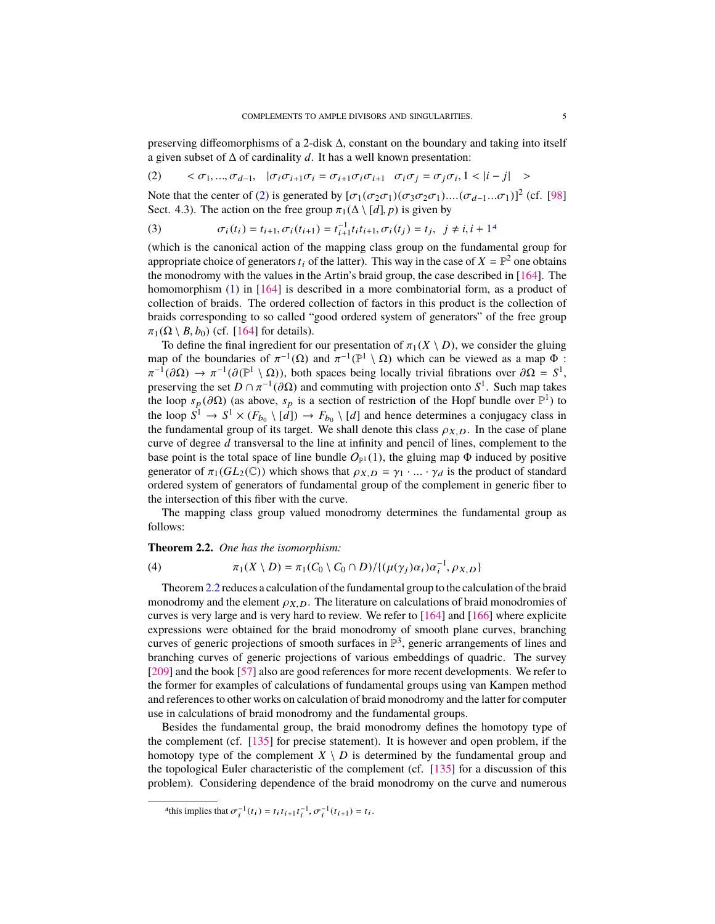<span id="page-4-4"></span>preserving diffeomorphisms of a 2-disk ∆, constant on the boundary and taking into itself a given subset of ∆ of cardinality *d*. It has a well known presentation:

<span id="page-4-0"></span>
$$
(2) \qquad <\sigma_1,...,\sigma_{d-1}, \quad |\sigma_i\sigma_{i+1}\sigma_i=\sigma_{i+1}\sigma_i\sigma_{i+1} \quad \sigma_i\sigma_j=\sigma_j\sigma_i, 1<|i-j| \quad >
$$

Note that the center of [\(2\)](#page-4-0) is generated by  $[\sigma_1(\sigma_2\sigma_1)(\sigma_3\sigma_2\sigma_1)...(\sigma_{d-1}...\sigma_1)]^2$  (cf. [\[98\]](#page-49-3)<br>Sect 4.3) The action on the free group  $\pi_1(\Lambda \setminus [d]$  *n*) is given by Sect. 4.3). The action on the free group  $\pi_1(\Delta \setminus [d], p)$  is given by

(3) 
$$
\sigma_i(t_i) = t_{i+1}, \sigma_i(t_{i+1}) = t_{i+1}^{-1} t_i t_{i+1}, \sigma_i(t_j) = t_j, \ \ j \neq i, i+1^4
$$
 (which is the canonical action of the mapping class group on the fundamental group for

appropriate choice of generators  $t_i$  of the latter). This way in the case of  $X = \mathbb{P}^2$  one obtains the monodromy with the values in the Artin's braid group, the case described in [\[164\]](#page-51-3). The homomorphism [\(1\)](#page-3-2) in [\[164\]](#page-51-3) is described in a more combinatorial form, as a product of collection of braids. The ordered collection of factors in this product is the collection of braids corresponding to so called "good ordered system of generators" of the free group  $\pi_1(\Omega \setminus B, b_0)$  (cf. [\[164\]](#page-51-3) for details).

To define the final ingredient for our presentation of  $\pi_1(X \setminus D)$ , we consider the gluing map of the boundaries of  $\pi^{-1}(\Omega)$  and  $\pi^{-1}(\mathbb{P}^1 \setminus \Omega)$  which can be viewed as a map  $\Phi$ :<br> $\pi^{-1}(\partial \Omega) \to \pi^{-1}(\partial(\mathbb{P}^1 \setminus \Omega))$  both spaces being locally trivial fibrations over  $\partial \Omega = S^1$ . preserving the set  $D \cap \pi^{-1}(\partial \Omega)$  and commuting with projection onto  $S^1$ . Such map takes<br>the loop s ( $\partial \Omega$ ) (as above s, is a section of restriction of the Hopf bundle over  $\mathbb{P}^1$ ) to <sup>-1</sup>(∂Ω) →  $\pi^{-1}(\partial(\mathbb{P}^1 \setminus \Omega))$ , both spaces being locally trivial fibrations over  $\partial\Omega = S^1$ ,<br>reserving the set  $D \cap \pi^{-1}(\partial\Omega)$  and commuting with projection onto  $S^1$ . Such man takes the loop  $s_p$  (∂Ω) (as above,  $s_p$  is a section of restriction of the Hopf bundle over  $\mathbb{P}^1$ ) to the loop  $S^1 \to S^1 \times (E_+ \setminus [d]) \to E_+ \setminus [d]$  and hence determines a conjugacy class in the loop  $S^1 \to S^1 \times (F_{b_0} \setminus [d]) \to F_{b_0} \setminus [d]$  and hence determines a conjugacy class in the fundamental group of its target. We shall denote this class  $\rho_{X,D}$ . In the case of plane curve of degree *d* transversal to the line at infinity and pencil of lines, complement to the base point is the total space of line bundle  $O_{\mathbb{P}^1}(1)$ , the gluing map  $\Phi$  induced by positive generator of  $\pi_1(GL_2(\mathbb{C}))$  which shows that  $\rho_{X,D} = \gamma_1 \cdot ... \cdot \gamma_d$  is the product of standard ordered system of generators of fundamental group of the complement in generic fiber to the intersection of this fiber with the curve.

The mapping class group valued monodromy determines the fundamental group as follows:

# <span id="page-4-2"></span>**Theorem 2.2.** *One has the isomorphism:*

<span id="page-4-3"></span>(4) 
$$
\pi_1(X \setminus D) = \pi_1(C_0 \setminus C_0 \cap D) / \{(\mu(\gamma_j)\alpha_i)\alpha_i^{-1}, \rho_{X,D}\}\
$$

Theorem[2.2](#page-4-2) reduces a calculation of the fundamental group to the calculation of the braid monodromy and the element  $\rho_{X,D}$ . The literature on calculations of braid monodromies of curves is very large and is very hard to review. We refer to [\[164\]](#page-51-3) and [\[166\]](#page-51-4) where explicite expressions were obtained for the braid monodromy of smooth plane curves, branching curves of generic projections of smooth surfaces in  $\mathbb{P}^3$ , generic arrangements of lines and branching curves of generic projections of various embeddings of quadric. The survey [\[209\]](#page-52-1) and the book [\[57\]](#page-47-5) also are good references for more recent developments. We refer to the former for examples of calculations of fundamental groups using van Kampen method and references to other works on calculation of braid monodromy and the latter for computer use in calculations of braid monodromy and the fundamental groups.

Besides the fundamental group, the braid monodromy defines the homotopy type of the complement (cf. [\[135\]](#page-50-4) for precise statement). It is however and open problem, if the homotopy type of the complement  $X \setminus D$  is determined by the fundamental group and the topological Euler characteristic of the complement (cf. [\[135\]](#page-50-4) for a discussion of this problem). Considering dependence of the braid monodromy on the curve and numerous

<span id="page-4-1"></span><sup>&</sup>lt;sup>4</sup>this implies that  $\sigma_i^{-1}(t_i) = t_i t_{i+1} t_i^{-1}, \sigma_i^{-1}(t_{i+1}) = t_i$ .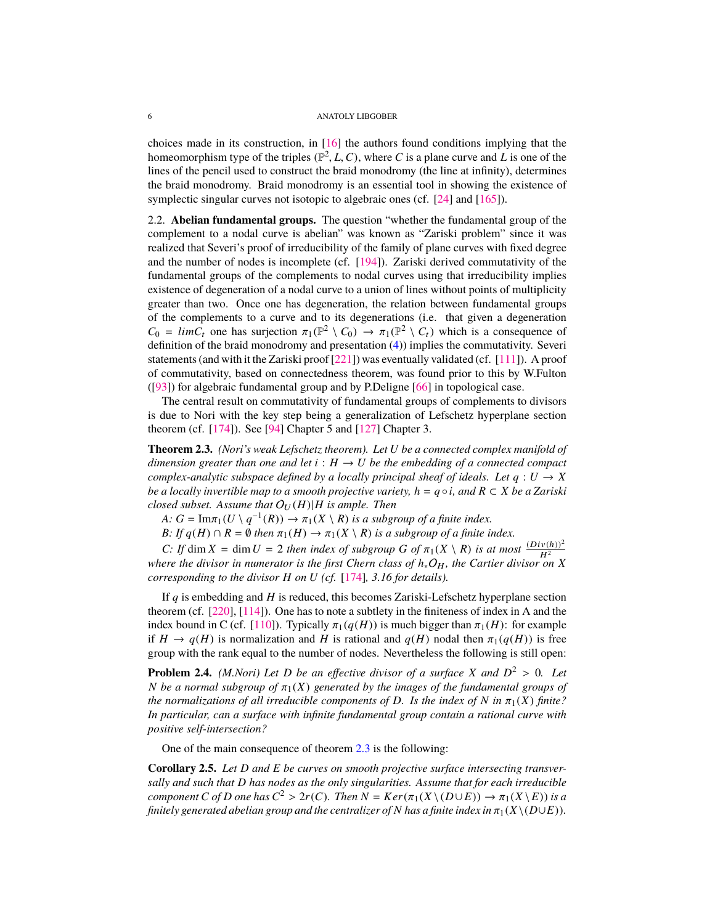<span id="page-5-3"></span>choices made in its construction, in [\[16\]](#page-46-3) the authors found conditions implying that the homeomorphism type of the triples  $(\mathbb{P}^2, L, C)$ , where *C* is a plane curve and *L* is one of the lines of the pencil used to construct the braid monodromy (the line at infinity) determines lines of the pencil used to construct the braid monodromy (the line at infinity), determines the braid monodromy. Braid monodromy is an essential tool in showing the existence of symplectic singular curves not isotopic to algebraic ones (cf. [\[24\]](#page-46-1) and [\[165\]](#page-51-5)).

2.2. **Abelian fundamental groups.** The question "whether the fundamental group of the complement to a nodal curve is abelian" was known as "Zariski problem" since it was realized that Severi's proof of irreducibility of the family of plane curves with fixed degree and the number of nodes is incomplete (cf. [\[194\]](#page-52-2)). Zariski derived commutativity of the fundamental groups of the complements to nodal curves using that irreducibility implies existence of degeneration of a nodal curve to a union of lines without points of multiplicity greater than two. Once one has degeneration, the relation between fundamental groups of the complements to a curve and to its degenerations (i.e. that given a degeneration  $C_0 = \lim_{t \to \infty} C_t$  one has surjection  $\pi_1(\mathbb{P}^2 \setminus C_0) \to \pi_1(\mathbb{P}^2 \setminus C_t)$  which is a consequence of definition of the braid monodromy and presentation (A)) implies the commutativity. Severi definition of the braid monodromy and presentation [\(4\)](#page-4-3)) implies the commutativity. Severi statements (and with it the Zariski proof [\[221\]](#page-53-1)) was eventually validated (cf. [\[111\]](#page-49-4)). A proof of commutativity, based on connectedness theorem, was found prior to this by W.Fulton ([\[93\]](#page-48-3)) for algebraic fundamental group and by P.Deligne [\[66\]](#page-48-4) in topological case.

The central result on commutativity of fundamental groups of complements to divisors is due to Nori with the key step being a generalization of Lefschetz hyperplane section theorem (cf. [\[174\]](#page-51-6)). See [\[94\]](#page-48-5) Chapter 5 and [\[127\]](#page-50-5) Chapter 3.

<span id="page-5-0"></span>**Theorem 2.3.** *(Nori's weak Lefschetz theorem). Let U be a connected complex manifold of dimension greater than one and let*  $i : H \to U$  *be the embedding of a connected compact complex-analytic subspace defined by a locally principal sheaf of ideals. Let*  $q: U \rightarrow X$ *be a locally invertible map to a smooth projective variety,*  $h = q \circ i$ *, and*  $R \subset X$  *be a Zariski closed subset. Assume that*  $O_U(H)|H$  *is ample. Then* 

*A:*  $G = \text{Im}\pi_1(U \setminus q^{-1}(R)) \to \pi_1(X \setminus R)$  is a subgroup of a finite index.<br>  $R: H \circ (H) \circ R = \emptyset$  then  $\pi_1(H) \to \pi_1(X \setminus R)$  is a subgroup of a finite in

*B:* If  $q(H) \cap R = \emptyset$  *then*  $\pi_1(H) \to \pi_1(X \setminus R)$  *is a subgroup of a finite index.* 

*C:* If dim  $X = \dim U = 2$  *then index of subgroup G of*  $\pi_1(X \setminus R)$  *is at most*  $\frac{(Div(h))^2}{H^2}$ *where the divisor in numerator is the first Chern class of*  $h_*O_H$ , the Cartier divisor on X *corresponding to the divisor H on U (cf.* [\[174\]](#page-51-6)*, 3.16 for details).*

If *q* is embedding and *H* is reduced, this becomes Zariski-Lefschetz hyperplane section theorem (cf. [\[220\]](#page-53-2), [\[114\]](#page-49-5)). One has to note a subtlety in the finiteness of index in A and the index bound in C (cf. [\[110\]](#page-49-6)). Typically  $\pi_1(q(H))$  is much bigger than  $\pi_1(H)$ : for example if  $H \to q(H)$  is normalization and *H* is rational and  $q(H)$  nodal then  $\pi_1(q(H))$  is free group with the rank equal to the number of nodes. Nevertheless the following is still open:

<span id="page-5-2"></span>**Problem 2.4.** *(M.Nori) Let D be an effective divisor of a surface X and*  $D^2 > 0$ *. Let N be a normal subgroup of*  $\pi_1(X)$  *generated by the images of the fundamental groups of N* be a normal subgroup of  $\pi_1(X)$  generated by the images of the fundamental groups of *the normalizations of all irreducible components of D. Is the index of*  $N$  *in*  $\pi_1(X)$  *finite? In particular, can a surface with infinite fundamental group contain a rational curve with positive self-intersection?*

One of the main consequence of theorem [2.3](#page-5-0) is the following:

<span id="page-5-1"></span>**Corollary 2.5.** *Let D and E be curves on smooth projective surface intersecting transversally and such that D has nodes as the only singularities. Assume that for each irreducible component C of D one has*  $C^2 > 2r(C)$ *. Then*  $N = Ker(\pi_1(X \setminus (D \cup E)) \rightarrow \pi_1(X \setminus E))$  *is a finitely generated abelian group and the centralizer of N* has a finite index in  $\pi_1(X \setminus (D \cup F))$ *finitely generated abelian group and the centralizer of N has a finite index in*  $\pi_1(X\setminus (D\cup E))$ *.*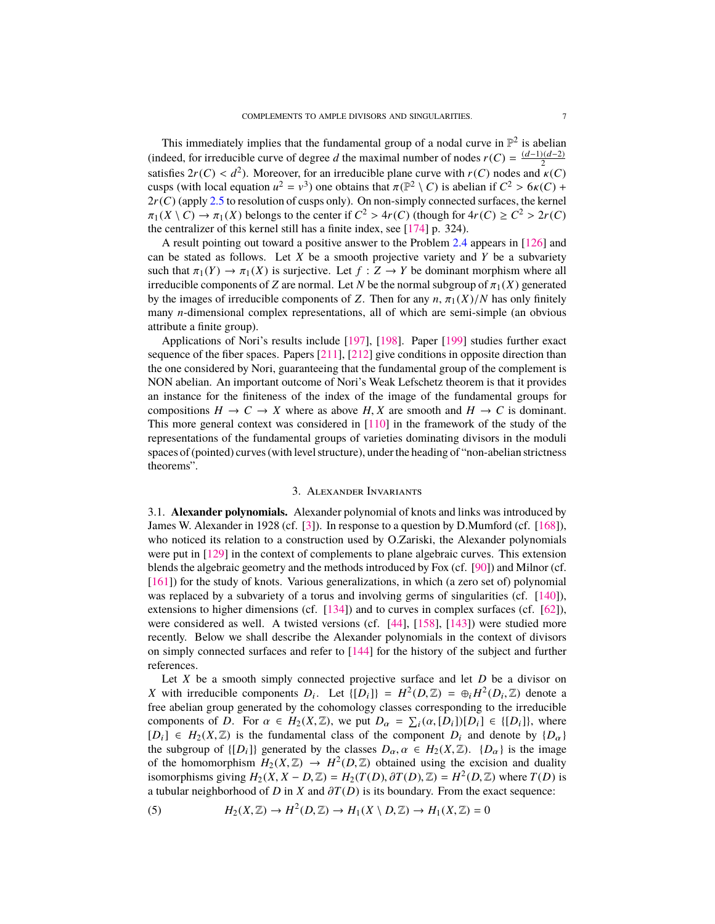<span id="page-6-3"></span>This immediately implies that the fundamental group of a nodal curve in  $\mathbb{P}^2$  is abelian (indeed, for irreducible curve of degree *d* the maximal number of nodes  $r(C) = \frac{(d-1)(d-2)}{2}$ satisfies  $2r(C) < d^2$ ). Moreover, for an irreducible plane curve with  $r(C)$  nodes and  $\kappa(C)$ <br>cusps (with local equation  $u^2 = v^3$ ) one obtains that  $\pi(\mathbb{P}^2 \setminus C)$  is abelian if  $C^2 > 6\kappa(C) +$ cusps (with local equation  $u^2 = v^3$ ) one obtains that  $\pi(\mathbb{P}^2 \setminus C)$  is abelian if  $C^2 > 6\kappa(C) + 2\kappa(C)$  (apply 2.5 to resolution of cusps only). On non-simply connected surfaces, the kernel  $2r(C)$  (apply [2.5](#page-5-1) to resolution of cusps only). On non-simply connected surfaces, the kernel  $\pi_1(X \setminus C) \to \pi_1(X)$  belongs to the center if  $C^2 > 4r(C)$  (though for  $4r(C) \ge C^2 > 2r(C)$ )<br>the centralizer of this kernel still has a finite index see [174] p. 324) the centralizer of this kernel still has a finite index, see [\[174\]](#page-51-6) p. 324).

A result pointing out toward a positive answer to the Problem [2.4](#page-5-2) appears in [\[126\]](#page-49-7) and can be stated as follows. Let *X* be a smooth projective variety and *Y* be a subvariety such that  $\pi_1(Y) \to \pi_1(X)$  is surjective. Let  $f : Z \to Y$  be dominant morphism where all irreducible components of *Z* are normal. Let *N* be the normal subgroup of  $\pi_1(X)$  generated by the images of irreducible components of *Z*. Then for any  $n$ ,  $\pi_1(X)/N$  has only finitely many *n*-dimensional complex representations, all of which are semi-simple (an obvious attribute a finite group).

Applications of Nori's results include [\[197\]](#page-52-3), [\[198\]](#page-52-4). Paper [\[199\]](#page-52-5) studies further exact sequence of the fiber spaces. Papers [\[211\]](#page-52-6), [\[212\]](#page-52-7) give conditions in opposite direction than the one considered by Nori, guaranteeing that the fundamental group of the complement is NON abelian. An important outcome of Nori's Weak Lefschetz theorem is that it provides an instance for the finiteness of the index of the image of the fundamental groups for compositions  $H \to C \to X$  where as above  $H, X$  are smooth and  $H \to C$  is dominant. This more general context was considered in [\[110\]](#page-49-6) in the framework of the study of the representations of the fundamental groups of varieties dominating divisors in the moduli spaces of (pointed) curves (with level structure), under the heading of "non-abelian strictness theorems".

## 3. Alexander Invariants

<span id="page-6-2"></span><span id="page-6-0"></span>3.1. **Alexander polynomials.** Alexander polynomial of knots and links was introduced by James W. Alexander in 1928 (cf. [\[3\]](#page-45-0)). In response to a question by D.Mumford (cf. [\[168\]](#page-51-7)), who noticed its relation to a construction used by O.Zariski, the Alexander polynomials were put in [\[129\]](#page-50-1) in the context of complements to plane algebraic curves. This extension blends the algebraic geometry and the methods introduced by Fox (cf. [\[90\]](#page-48-6)) and Milnor (cf. [\[161\]](#page-51-8)) for the study of knots. Various generalizations, in which (a zero set of) polynomial was replaced by a subvariety of a torus and involving germs of singularities (cf.  $[140]$ ), extensions to higher dimensions (cf. [\[134\]](#page-50-7)) and to curves in complex surfaces (cf. [\[62\]](#page-47-3)), were considered as well. A twisted versions (cf. [\[44\]](#page-47-6), [\[158\]](#page-51-9), [\[143\]](#page-50-2)) were studied more recently. Below we shall describe the Alexander polynomials in the context of divisors on simply connected surfaces and refer to [\[144\]](#page-50-8) for the history of the subject and further references.

Let *X* be a smooth simply connected projective surface and let *D* be a divisor on *X* with irreducible components  $D_i$ . Let  $\{[D_i]\} = H^2(D, \mathbb{Z}) = \bigoplus_i H^2(D_i, \mathbb{Z})$  denote a shelian group generated by the cohomology classes corresponding to the irreducible free abelian group generated by the cohomology classes corresponding to the irreducible components of *D*. For  $\alpha \in H_2(X, \mathbb{Z})$ , we put  $D_\alpha = \sum_i (\alpha_i [D_i])[D_i] \in \{[D_i]\}$ , where  $[D_i] \in H_2(X, \mathbb{Z})$  is the fundamental class of the component  $D_i$  and denote by  $\{D_{\alpha}\}\$ the subgroup of  $\{[D_i]\}$  generated by the classes  $D_\alpha, \alpha \in H_2(X, \mathbb{Z})$ .  $\{D_\alpha\}$  is the image of the homomorphism  $H_2(X, \mathbb{Z}) \to H^2(D, \mathbb{Z})$  obtained using the excision and duality<br>isomorphisms giving  $H_2(X, \mathbb{Z} - D \mathbb{Z}) - H_2(T(D), 2T(D) \mathbb{Z}) - H^2(D \mathbb{Z})$  where  $T(D)$  is isomorphisms giving  $H_2(X, X - D, \mathbb{Z}) = H_2(T(D), \partial T(D), \mathbb{Z}) = H^2(D, \mathbb{Z})$  where  $T(D)$  is<br>a tubular neighborhood of *D* in *X* and  $\partial T(D)$  is its boundary. From the exact sequence: a tubular neighborhood of *D* in *X* and  $\partial T(D)$  is its boundary. From the exact sequence:

<span id="page-6-1"></span>(5) 
$$
H_2(X,\mathbb{Z}) \to H^2(D,\mathbb{Z}) \to H_1(X \setminus D,\mathbb{Z}) \to H_1(X,\mathbb{Z}) = 0
$$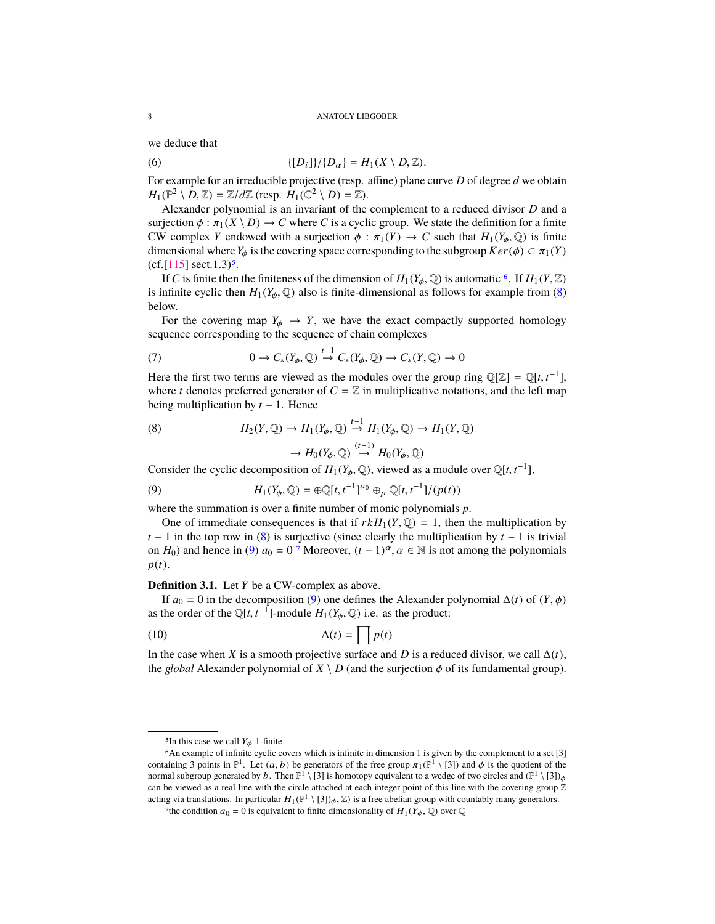<span id="page-7-7"></span>we deduce that

<span id="page-7-6"></span>(6) 
$$
\{[D_i]\}/\{D_\alpha\} = H_1(X \setminus D, \mathbb{Z}).
$$

For example for an irreducible projective (resp. affine) plane curve *D* of degree *d* we obtain  $H_1(\mathbb{P}^2 \setminus D, \mathbb{Z}) = \mathbb{Z}/d\mathbb{Z}$  (resp.  $H_1(\mathbb{C}^2 \setminus D) = \mathbb{Z}$ ).<br>Alexander polynomial is an invariant of the

Alexander polynomial is an invariant of the complement to a reduced divisor *D* and a surjection  $\phi : \pi_1(X \setminus D) \to C$  where *C* is a cyclic group. We state the definition for a finite CW complex *Y* endowed with a surjection  $\phi : \pi_1(Y) \to C$  such that  $H_1(Y_\phi, \mathbb{Q})$  is finite dimensional where  $Y_\phi$  is the covering space corresponding to the subgroup  $Ker(\phi) \subset \pi_1(Y)$  $(cf.[115] \text{ sect.}1.3)^5$  $(cf.[115] \text{ sect.}1.3)^5$  $(cf.[115] \text{ sect.}1.3)^5$  $(cf.[115] \text{ sect.}1.3)^5$ .

If *C* is finite then the finiteness of the dimension of  $H_1(Y_\phi, \mathbb{Q})$  is automatic <sup>[6](#page-7-1)</sup>. If  $H_1(Y, \mathbb{Z})$ is infinite cyclic then  $H_1(Y_\phi, \mathbb{Q})$  also is finite-dimensional as follows for example from [\(8\)](#page-7-2) below.

For the covering map  $Y_{\phi} \rightarrow Y$ , we have the exact compactly supported homology sequence corresponding to the sequence of chain complexes

(7) 
$$
0 \to C_*(Y_{\phi}, \mathbb{Q}) \stackrel{t-1}{\to} C_*(Y_{\phi}, \mathbb{Q}) \to C_*(Y, \mathbb{Q}) \to 0
$$

Here the first two terms are viewed as the modules over the group ring  $\mathbb{Q}[\mathbb{Z}] = \mathbb{Q}[t, t^{-1}]$ , where *t* denotes preferred generator of  $C - \mathbb{Z}$  in multiplicative notations, and the left man where *t* denotes preferred generator of  $C = \mathbb{Z}$  in multiplicative notations, and the left map being multiplication by *t* − 1. Hence

<span id="page-7-2"></span>(8) 
$$
H_2(Y, \mathbb{Q}) \to H_1(Y_{\phi}, \mathbb{Q}) \stackrel{t-1}{\to} H_1(Y_{\phi}, \mathbb{Q}) \to H_1(Y, \mathbb{Q})
$$

$$
\to H_0(Y_{\phi}, \mathbb{Q}) \stackrel{(t-1)}{\to} H_0(Y_{\phi}, \mathbb{Q})
$$

Consider the cyclic decomposition of  $H_1(Y_\phi, \mathbb{Q})$ , viewed as a module over  $\mathbb{Q}[t, t^{-1}]$ ,

<span id="page-7-3"></span>(9) 
$$
H_1(Y_{\phi}, \mathbb{Q}) = \bigoplus \mathbb{Q}[t, t^{-1}]^{a_0} \bigoplus_{p} \mathbb{Q}[t, t^{-1}]/(p(t))
$$

where the summation is over a finite number of monic polynomials *p*.

One of immediate consequences is that if  $rkH_1(Y, \mathbb{Q}) = 1$ , then the multiplication by *t* − 1 in the top row in [\(8\)](#page-7-2) is surjective (since clearly the multiplication by  $t - 1$  is trivial on *H*<sub>0</sub>) and hence in [\(9\)](#page-7-3)  $a_0 = 0^7$  $a_0 = 0^7$  Moreover,  $(t - 1)^\alpha$ ,  $\alpha \in \mathbb{N}$  is not among the polynomials *p*(*t*).

**Definition 3.1.** Let *Y* be a CW-complex as above.

If  $a_0 = 0$  in the decomposition [\(9\)](#page-7-3) one defines the Alexander polynomial  $\Delta(t)$  of  $(Y, \phi)$ as the order of the  $\mathbb{Q}[t, t^{-1}]$ -module  $H_1(Y_\phi, \mathbb{Q})$  i.e. as the product:

<span id="page-7-5"></span>
$$
\Delta(t) = \prod p(t)
$$

In the case when *X* is a smooth projective surface and *D* is a reduced divisor, we call  $\Delta(t)$ , the *global* Alexander polynomial of  $X \setminus D$  (and the surjection  $\phi$  of its fundamental group).

<span id="page-7-1"></span><span id="page-7-0"></span><sup>&</sup>lt;sup>5</sup>In this case we call  $Y_{\phi}$  1-finite

<sup>6</sup>An example of infinite cyclic covers which is infinite in dimension 1 is given by the complement to a set [3] containing 3 points in  $\mathbb{P}^1$ . Let  $(a, b)$  be generators of the free group  $\pi_1(\mathbb{P}^1 \setminus [3])$  and  $\phi$  is the quotient of the normal subgroup generated by  $b$ . Then  $\mathbb{P}^1 \setminus [3]$  is bomotopy equivalent to a wedge normal subgroup generated by b. Then  $\mathbb{P}^1 \setminus [3]$  is homotopy equivalent to a wedge of two circles and  $(\mathbb{P}^1 \setminus [3])_{\phi}$ can be viewed as a real line with the circle attached at each integer point of this line with the covering group  $\mathbb Z$ acting via translations. In particular  $H_1(\mathbb{P}^1 \setminus [3])_\phi$ ,  $\mathbb{Z}$ ) is a free abelian group with countably many generators.

<span id="page-7-4"></span><sup>&</sup>lt;sup>7</sup>the condition  $a_0 = 0$  is equivalent to finite dimensionality of  $H_1(Y_\phi, \mathbb{Q})$  over  $\mathbb{Q}$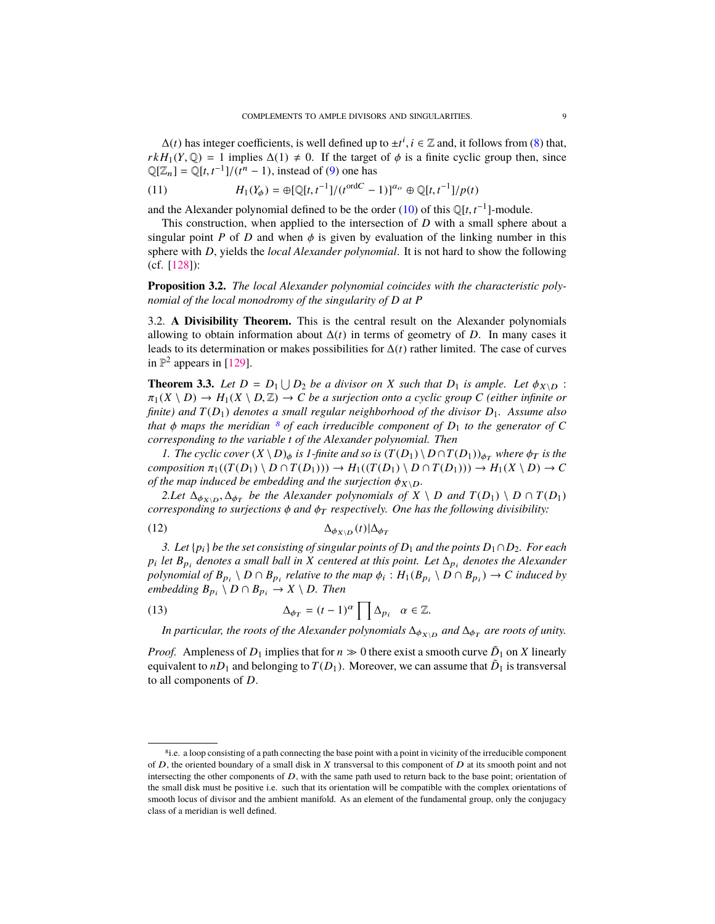<span id="page-8-4"></span> $\Delta(t)$  has integer coefficients, is well defined up to  $\pm t^i$ ,  $i \in \mathbb{Z}$  and, it follows from [\(8\)](#page-7-2) that,  $H_i(Y \cap) = 1$  implies  $\Delta(1) \neq 0$ . If the target of  $\phi$  is a finite cyclic group then since  $rkH_1(Y, \mathbb{Q}) = 1$  implies  $\Delta(1) \neq 0$ . If the target of  $\phi$  is a finite cyclic group then, since  $\mathbb{Q}[Z_n] = \mathbb{Q}[t, t^{-1}]/(t^n - 1)$ , instead of [\(9\)](#page-7-3) one has

(11) 
$$
H_1(Y_{\phi}) = \bigoplus [\mathbb{Q}[t, t^{-1}]/(t^{\text{ord}C} - 1)]^{a_o} \oplus \mathbb{Q}[t, t^{-1}]/p(t)
$$

and the Alexander polynomial defined to be the order [\(10\)](#page-7-5) of this  $\mathbb{Q}[t, t^{-1}]$ -module.<br>This construction, when applied to the intersection of D with a small sphere

This construction, when applied to the intersection of *D* with a small sphere about a singular point *P* of *D* and when  $\phi$  is given by evaluation of the linking number in this sphere with *D*, yields the *local Alexander polynomial*. It is not hard to show the following (cf. [\[128\]](#page-50-9)):

**Proposition 3.2.** *The local Alexander polynomial coincides with the characteristic polynomial of the local monodromy of the singularity of D at P*

<span id="page-8-3"></span>3.2. **A Divisibility Theorem.** This is the central result on the Alexander polynomials allowing to obtain information about  $\Delta(t)$  in terms of geometry of *D*. In many cases it leads to its determination or makes possibilities for ∆(*t*) rather limited. The case of curves in  $\mathbb{P}^2$  appears in [\[129\]](#page-50-1).

<span id="page-8-0"></span>**Theorem 3.3.** *Let*  $D = D_1 \cup D_2$  *be a divisor on X such that*  $D_1$  *is ample. Let*  $\phi_{X \setminus D}$ :<br> $\pi_1(X \setminus D) \rightarrow H_1(X \setminus D \mathbb{Z}) \rightarrow C$  *be a surjection onto a cyclic group C (either infinite or*  $\pi_1(X \setminus D) \to H_1(X \setminus D, \mathbb{Z}) \to C$  *be a surjection onto a cyclic group C (either infinite or finite) and T*(*D*1) *denotes a small regular neighborhood of the divisor D*1*. Assume also that*  $\phi$  *maps the meridian*  $\delta$  *of each irreducible component of*  $D_1$  *to the generator of*  $C$ *corresponding to the variable t of the Alexander polynomial. Then*

*1. The cyclic cover*  $(X \setminus D)_{\phi}$  *is 1-finite and so is*  $(T(D_1) \setminus D \cap T(D_1))_{\phi_T}$  *where*  $\phi_T$  *is the*  $composition \pi_1((T(D_1) \setminus D \cap T(D_1))) \rightarrow H_1((T(D_1) \setminus D \cap T(D_1))) \rightarrow H_1(X \setminus D) \rightarrow C$ *of the map induced be embedding and the surjection*  $\phi_{X\setminus D}$ *.* 

*2.Let*  $\Delta_{\phi_{X\setminus D}}$ ,  $\Delta_{\phi_T}$  *be the Alexander polynomials of*  $X \setminus D$  *and*  $T(D_1) \setminus D \cap T(D_1)$ <br>cresponding to surjections  $\phi$  and  $\phi_T$  respectively. One has the following divisibility: *corresponding to surjections*  $\phi$  *and*  $\phi_T$  *respectively. One has the following divisibility:* 

<span id="page-8-2"></span>
$$
\Delta_{\phi_{X\backslash D}}(t)|\Delta_{\phi_T}
$$

*3. Let*  ${p_i}$  *be the set consisting of singular points of*  $D_1$  *and the points*  $D_1 ∩ D_2$ *. For each*  $p_i$  *let*  $B_{p_i}$  *denotes a small ball in X centered at this point. Let*  $\Delta_{p_i}$  *denotes the Alexander polynomial of*  $B_{p_i} \setminus D \cap B_{p_i}$  *relative to the map*  $\phi_i : H_1(B_{p_i} \setminus D \cap B_{p_i}) \to C$  *induced by*<br>*embedding*  $B \setminus D \cap B \longrightarrow X \setminus D$  *Then*  $e$ *embedding*  $B_{p_i} \setminus D \cap B_{p_i} \to X \setminus D$ *. Then* 

(13) 
$$
\Delta_{\phi_T} = (t-1)^{\alpha} \prod \Delta_{p_i} \quad \alpha \in \mathbb{Z}.
$$

*In particular, the roots of the Alexander polynomials*  $\Delta_{\phi_{X\setminus D}}$  *and*  $\Delta_{\phi_T}$  *are roots of unity.* 

*Proof.* Ampleness of  $D_1$  implies that for  $n \gg 0$  there exist a smooth curve  $\tilde{D}_1$  on *X* linearly equivalent to  $nD_1$  and belonging to  $T(D_1)$ . Moreover, we can assume that  $\tilde{D}_1$  is transversal to all components of *D*.

<span id="page-8-1"></span><sup>8</sup>i.e. a loop consisting of a path connecting the base point with a point in vicinity of the irreducible component of  $D$ , the oriented boundary of a small disk in  $X$  transversal to this component of  $D$  at its smooth point and not intersecting the other components of  $D$ , with the same path used to return back to the base point; orientation of the small disk must be positive i.e. such that its orientation will be compatible with the complex orientations of smooth locus of divisor and the ambient manifold. As an element of the fundamental group, only the conjugacy class of a meridian is well defined.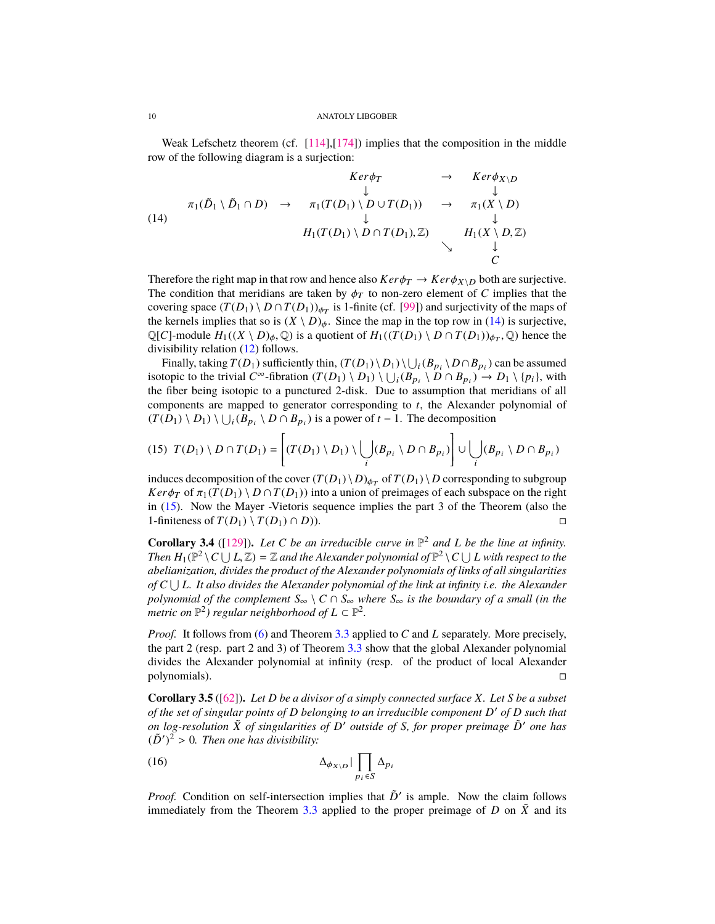<span id="page-9-2"></span>Weak Lefschetz theorem (cf.  $[114]$ , $[174]$ ) implies that the composition in the middle row of the following diagram is a surjection:

<span id="page-9-0"></span>
$$
Ker \phi_T \rightarrow Ker \phi_{X \setminus D}
$$
\n(14)\n
$$
\pi_1(\tilde{D}_1 \setminus \tilde{D}_1 \cap D) \rightarrow \pi_1(T(D_1) \setminus D \cup T(D_1)) \rightarrow \pi_1(X \setminus D)
$$
\n
$$
\downarrow \qquad \qquad \downarrow
$$
\n
$$
H_1(T(D_1) \setminus D \cap T(D_1), \mathbb{Z}) \rightarrow H_1(X \setminus D, \mathbb{Z})
$$
\n
$$
\downarrow \qquad \qquad \downarrow
$$
\n
$$
C
$$

Therefore the right map in that row and hence also  $Ker \phi_T \rightarrow Ker \phi_{X\setminus D}$  both are surjective. The condition that meridians are taken by  $\phi_T$  to non-zero element of *C* implies that the covering space  $(T(D_1) \setminus D \cap T(D_1))_{\phi_T}$  is 1-finite (cf. [\[99\]](#page-49-9)) and surjectivity of the maps of the legacy in the ten row in (14) is surjective the kernels implies that so is  $(X \setminus D)_{\phi}$ . Since the map in the top row in [\(14\)](#page-9-0) is surjective,  $\mathbb{Q}[C]$ -module  $H_1((X \setminus D)_\phi, \mathbb{Q})$  is a quotient of  $H_1((\hat{T}(D_1) \setminus D \cap T(D_1))_{\phi_T}, \mathbb{Q})$  hence the divisibility relation (12) follows divisibility relation [\(12\)](#page-8-2) follows.

Finally, taking  $T(D_1)$  sufficiently thin,  $(T(D_1) \setminus D_1) \setminus \bigcup_i (B_{p_i} \setminus D \cap B_{p_i})$  can be assumed isotopic to the trivial  $C^{\infty}$ -fibration  $(T(D_1) \setminus D_1) \setminus \bigcup_i (B_{p_i} \setminus D \cap B_{p_i}) \to D_1 \setminus \{p_i\}$ , with the fiber being isotopic to a punctured 2-disk. Due to assumption that meridians of all components are mapped to generator corresponding to *t*, the Alexander polynomial of  $(T(D_1) \setminus D_1) \setminus \bigcup_i (B_{p_i} \setminus D \cap B_{p_i})$  is a power of *t* − 1. The decomposition

<span id="page-9-1"></span>(15) 
$$
T(D_1) \setminus D \cap T(D_1) = \left[ (T(D_1) \setminus D_1) \setminus \bigcup_i (B_{p_i} \setminus D \cap B_{p_i}) \right] \cup \bigcup_i (B_{p_i} \setminus D \cap B_{p_i})
$$

induces decomposition of the cover  $(T(D_1) \setminus D)_{\phi_T}$  of  $T(D_1) \setminus D$  corresponding to subgroup *Ker* $\phi_T$  of  $\pi_1(T(D_1) \setminus D \cap T(D_1))$  into a union of preimages of each subspace on the right in [\(15\)](#page-9-1). Now the Mayer -Vietoris sequence implies the part 3 of the Theorem (also the 1-finiteness of  $T(D_1) \setminus T(D_1) \cap D$ ).

**Corollary 3.4** ([\[129\]](#page-50-1)). Let C be an irreducible curve in  $\mathbb{P}^2$  and L be the line at infinity. *Then*  $H_1(\mathbb{P}^2 \setminus C \cup L, \mathbb{Z}) = \mathbb{Z}$  and the Alexander polynomial of  $\mathbb{P}^2 \setminus C \cup L$  with respect to the abelianization divides the product of the Alexander polynomials of links of all singularities *abelianization, divides the product of the Alexander polynomials of links of all singularities of C*∪*L. It also divides the Alexander polynomial of the link at infinity i.e. the Alexander polynomial of the complement*  $S_{\infty} \setminus C \cap S_{\infty}$  *where*  $S_{\infty}$  *is the boundary of a small (in the metric on*  $\mathbb{P}^2$ *) regular neighborhood of*  $L \subset \mathbb{P}^2$ *.* 

*Proof.* It follows from [\(6\)](#page-7-6) and Theorem [3.3](#page-8-0) applied to *C* and *L* separately. More precisely, the part 2 (resp. part 2 and 3) of Theorem [3.3](#page-8-0) show that the global Alexander polynomial divides the Alexander polynomial at infinity (resp. of the product of local Alexander polynomials).

**Corollary 3.5** ([\[62\]](#page-47-3))**.** *Let D be a divisor of a simply connected surface X. Let S be a subset of the set of singular points of D belonging to an irreducible component D* <sup>0</sup> *of D such that on log-resolution <sup>X</sup>*˜ *of singularities of <sup>D</sup>* <sup>0</sup> *outside of <sup>S</sup>, for proper preimage <sup>D</sup>*˜ <sup>0</sup> *one has*  $(\tilde{D}')^2 > 0$ . Then one has divisibility:

$$
\Delta_{\phi_{X\setminus D}}|\prod_{p_i\in S}\Delta_{p_i}
$$

*Proof.* Condition on self-intersection implies that  $\tilde{D}'$  is ample. Now the claim follows immediately from the Theorem [3.3](#page-8-0) applied to the proper preimage of *D* on  $\tilde{X}$  and its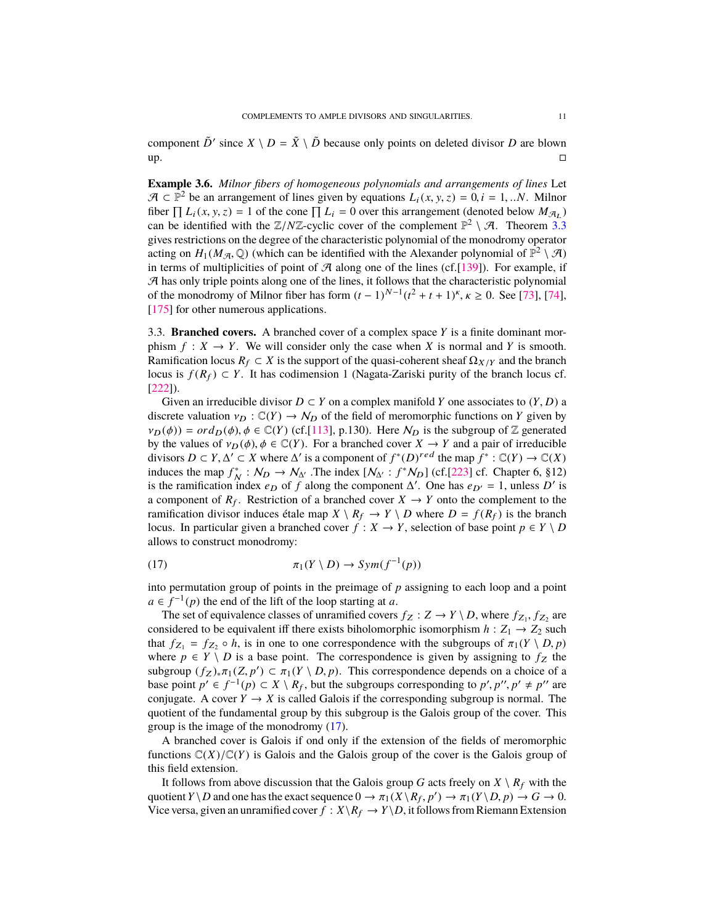<span id="page-10-2"></span>component  $\tilde{D}'$  since  $X \setminus D = \tilde{X} \setminus \tilde{D}$  because only points on deleted divisor *D* are blown up.

**Example 3.6.** *Milnor fibers of homogeneous polynomials and arrangements of lines* Let  $\mathcal{A} \subset \mathbb{P}^2$  be an arrangement of lines given by equations  $L_i(x, y, z) = 0$ ,  $i = 1, ...N$ . Milnor fiber  $\prod L_i(x, y, z) = 1$  of the cone  $\prod L_i = 0$  over this arrangement (denoted below  $M_{\mathcal{A}_L}$ )<br>can be identified with the  $\mathbb{Z}/N\mathbb{Z}$ -cyclic cover of the complement  $\mathbb{P}^2 \setminus \mathcal{A}$ . Theorem 3.3 can be identified with the  $\mathbb{Z}/N\mathbb{Z}$ -cyclic cover of the complement  $\mathbb{P}^2 \setminus \mathcal{A}$ . Theorem [3.3](#page-8-0) gives restrictions on the degree of the characteristic polynomial of the monodromy operator acting on  $H_1(M_{\mathcal{A}}, \mathbb{Q})$  (which can be identified with the Alexander polynomial of  $\mathbb{P}^2 \setminus \mathcal{A}$ )<br>in terms of multiplicities of point of  $\mathcal{A}$  along one of the lines (cf [139]). For example, if in terms of multiplicities of point of  $\mathcal A$  along one of the lines (cf. [\[139\]](#page-50-10)). For example, if  $A$  has only triple points along one of the lines, it follows that the characteristic polynomial of the monodromy of Milnor fiber has form  $(t-1)^{N-1}(t^2 + t + 1)^k$ ,  $\kappa \ge 0$ . See [\[73\]](#page-48-7), [\[74\]](#page-48-8), [\[175\]](#page-51-10) for other numerous applications.

<span id="page-10-0"></span>3.3. **Branched covers.** A branched cover of a complex space *Y* is a finite dominant morphism  $f: X \to Y$ . We will consider only the case when *X* is normal and *Y* is smooth. Ramification locus  $R_f \subset X$  is the support of the quasi-coherent sheaf  $\Omega_{X/Y}$  and the branch locus is  $f(R_f) \subset Y$ . It has codimension 1 (Nagata-Zariski purity of the branch locus cf. [\[222\]](#page-53-3)).

Given an irreducible divisor  $D \subset Y$  on a complex manifold *Y* one associates to  $(Y, D)$  a discrete valuation  $v_D : \mathbb{C}(Y) \to N_D$  of the field of meromorphic functions on *Y* given by  $v_D(\phi) = \sigma d_D(\phi), \phi \in \mathbb{C}(Y)$  (cf.[\[113\]](#page-49-10), p.130). Here  $N_D$  is the subgroup of Z generated by the values of  $v_D(\phi)$ ,  $\phi \in \mathbb{C}(Y)$ . For a branched cover  $X \to Y$  and a pair of irreducible divisors  $D \subset Y$ ,  $\Delta' \subset X$  where  $\Delta'$  is a component of  $f^*(D)^{red}$  the map  $\overline{f}^* : \mathbb{C}(Y) \to \mathbb{C}(X)$ <br>induces the map  $f^* : \mathcal{N}_{\Omega} \to \mathcal{N}_{\Omega}$ . The index  $[\mathcal{N}_{\Omega} : f^* \mathcal{N}_{\Omega}]$  (cf [223] cf. Chapter 6, 812) induces the map  $f_N^* : N_D \to N_{\Delta'}$ . The index  $[N_{\Delta'} : f^*N_D]$  (cf.[\[223\]](#page-53-4) cf. Chapter 6, §12) is the ramification index  $e_D$  of *f* along the component  $\Delta'$ . One has  $e_{D'} = 1$ , unless  $D'$  is a component of  $R_f$ . Restriction of a branched cover  $X \to Y$  onto the complement to the ramification divisor induces étale map  $X \setminus R_f \to Y \setminus D$  where  $D = f(R_f)$  is the branch locus. In particular given a branched cover  $f : X \to Y$ , selection of base point  $p \in Y \setminus D$ allows to construct monodromy:

<span id="page-10-1"></span>(17) 
$$
\pi_1(Y \setminus D) \to Sym(f^{-1}(p))
$$

into permutation group of points in the preimage of  $p$  assigning to each loop and a point  $a \in f^{-1}(p)$  the end of the lift of the loop starting at *a*.

The set of equivalence classes of unramified covers  $f_Z : Z \to Y \setminus D$ , where  $f_{Z_1}, f_{Z_2}$  are residered to be equivalent iff there exists bibolomorphic isomorphism  $h : Z_1 \to Z_2$  such considered to be equivalent iff there exists biholomorphic isomorphism  $h: Z_1 \rightarrow Z_2$  such that  $f_{Z_1} = f_{Z_2} \circ \hat{h}$ , is in one to one correspondence with the subgroups of  $\pi_1(Y \setminus D, p)$ <br>where  $n \in Y \setminus D$  is a base point. The correspondence is given by assigning to  $f_{Z_1}$  the where  $p \in Y \setminus D$  is a base point. The correspondence is given by assigning to  $f_Z$  the subgroup  $(f_Z)_{*}\pi_1(Z, p') \subset \pi_1(Y \setminus D, p)$ . This correspondence depends on a choice of a hase point  $n' \in f^{-1}(p) \subset X \setminus R_c$  but the subgroups corresponding to  $n' \cdot n' + n''$  are base point  $p' \in f^{-1}(p) \subset X \setminus R_f$ , but the subgroups corresponding to  $p', p'', p' \neq p''$  are conjugate. A cover  $Y \to Y$  is called Galois if the corresponding subgroup is normal. The conjugate. A cover  $Y \to X$  is called Galois if the corresponding subgroup is normal. The quotient of the fundamental group by this subgroup is the Galois group of the cover. This group is the image of the monodromy [\(17\)](#page-10-1).

A branched cover is Galois if ond only if the extension of the fields of meromorphic functions  $\mathbb{C}(X)/\mathbb{C}(Y)$  is Galois and the Galois group of the cover is the Galois group of this field extension.

It follows from above discussion that the Galois group *G* acts freely on  $X \setminus R_f$  with the quotient *Y* \ *D* and one has the exact sequence  $0 \to \pi_1(X \setminus R_f, p') \to \pi_1(Y \setminus D, p) \to G \to 0$ .<br>Vice versa, given an unramified cover  $f : Y \setminus R_f \to Y \setminus D$  it follows from Riemann Extension Vice versa, given an unramified cover  $f : X \backslash R_f \to Y \backslash D$ , it follows from Riemann Extension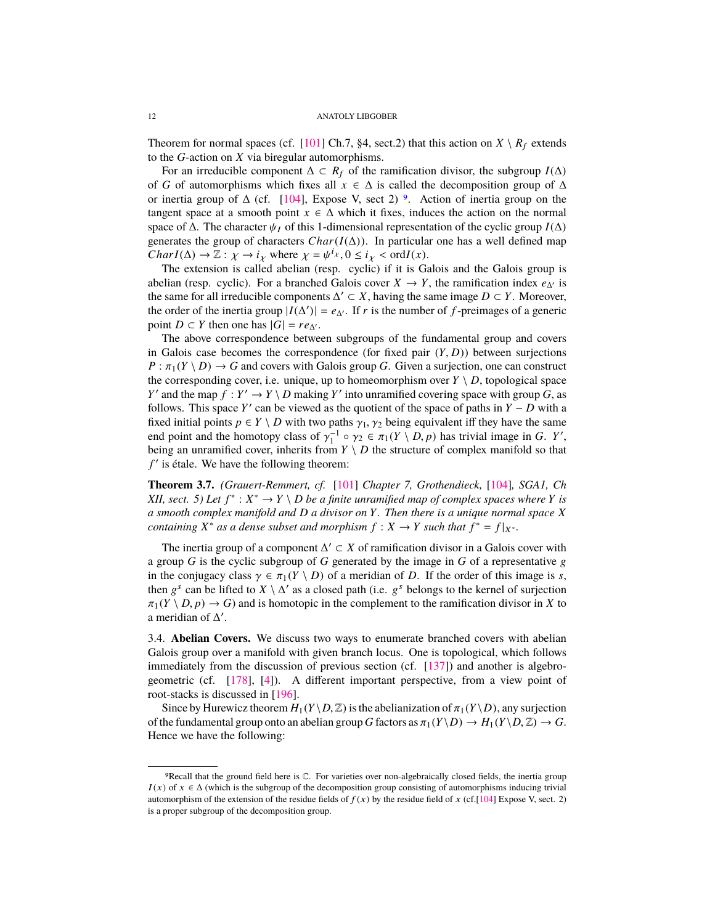<span id="page-11-1"></span>Theorem for normal spaces (cf. [\[101\]](#page-49-11) Ch.7, §4, sect.2) that this action on  $X \setminus R_f$  extends to the *G*-action on *X* via biregular automorphisms.

For an irreducible component  $\Delta \subset R_f$  of the ramification divisor, the subgroup *I*( $\Delta$ ) of *G* of automorphisms which fixes all  $x \in \Delta$  is called the decomposition group of  $\Delta$ or inertia group of  $\Delta$  (cf. [\[104\]](#page-49-0), Expose V, sect 2) <sup>[9](#page-11-0)</sup>. Action of inertia group on the tangent space at a smooth point  $x \in \Delta$  which it fixes, induces the action on the normal space of  $\Delta$ . The character  $\psi_I$  of this 1-dimensional representation of the cyclic group *I*( $\Delta$ ) generates the group of characters  $Char(I(\Delta))$ . In particular one has a well defined map *CharI*( $\Delta$ )  $\rightarrow \mathbb{Z}$  :  $\chi \rightarrow i_{\chi}$  where  $\chi = \psi^{i_{\chi}}, 0 \leq i_{\chi} < \text{ord}I(\chi)$ .<br>The extension is called abelian (resp. cyclic) if it is Go

The extension is called abelian (resp. cyclic) if it is Galois and the Galois group is abelian (resp. cyclic). For a branched Galois cover  $X \to Y$ , the ramification index  $e_{\Lambda}$  is the same for all irreducible components  $\Delta' \subset X$ , having the same image  $D \subset Y$ . Moreover, the order of the inertia group  $|I(\Delta')| = e_{\Delta'}$ . If *r* is the number of *f*-preimages of a generic point *D* ⊂ *Y* then one has  $|G| = re_{\Delta'}$ .

The above correspondence between subgroups of the fundamental group and covers in Galois case becomes the correspondence (for fixed pair  $(Y, D)$ ) between surjections  $P : \pi_1(Y \setminus D) \to G$  and covers with Galois group *G*. Given a surjection, one can construct the corresponding cover, i.e. unique, up to homeomorphism over  $Y \setminus D$ , topological space *Y*' and the map  $f: Y' \to Y \setminus D$  making *Y*' into unramified covering space with group *G*, as follows. This space *Y'* can be viewed as the quotient of the space of paths in  $\ddot{Y} - \ddot{D}$  with a fixed initial points  $p \in Y \setminus D$  with two paths  $\gamma_1, \gamma_2$  being equivalent iff they have the same end point and the homotopy class of  $\gamma_1^{-1} \circ \gamma_2 \in \pi_1(Y \setminus D, p)$  has trivial image in *G*. *Y'*, being an unramified cover, inherits from *Y*  $\setminus$  *D* the structure of complex manifold so that being an unramified cover, inherits from  $Y \setminus D$  the structure of complex manifold so that f' is étale. We have the following theorem:

**Theorem 3.7.** *(Grauert-Remmert, cf.* [\[101\]](#page-49-11) *Chapter 7, Grothendieck,* [\[104\]](#page-49-0)*, SGA1, Ch XII, sect.* 5) Let  $f^*$  :  $X^* \to Y \setminus D$  be a finite unramified map of complex spaces where *Y* is *a smooth complex manifold and D a divisor on Y. Then there is a unique normal space X containing*  $X^*$  *as a dense subset and morphism*  $f: X \to Y$  *such that*  $f^* = f|_{X^*}$ *.* 

The inertia group of a component  $\Delta' \subset X$  of ramification divisor in a Galois cover with a group *G* is the cyclic subgroup of *G* generated by the image in *G* of a representative  $g$ in the conjugacy class  $\gamma \in \pi_1(Y \setminus D)$  of a meridian of *D*. If the order of this image is *s*, then  $g^s$  can be lifted to  $X \setminus \Delta'$  as a closed path (i.e.  $g^s$  belongs to the kernel of surjection  $\pi_1(Y \setminus D, p) \to G$  and is homotopic in the complement to the ramification divisor in *X* to a meridian of  $\Delta'$ .

3.4. **Abelian Covers.** We discuss two ways to enumerate branched covers with abelian Galois group over a manifold with given branch locus. One is topological, which follows immediately from the discussion of previous section (cf. [\[137\]](#page-50-11)) and another is algebrogeometric (cf. [\[178\]](#page-51-11), [\[4\]](#page-45-1)). A different important perspective, from a view point of root-stacks is discussed in [\[196\]](#page-52-8).

Since by Hurewicz theorem  $H_1(Y \setminus D, \mathbb{Z})$  is the abelianization of  $\pi_1(Y \setminus D)$ , any surjection of the fundamental group onto an abelian group *G* factors as  $\pi_1(Y \setminus D) \to H_1(Y \setminus D, \mathbb{Z}) \to G$ . Hence we have the following:

<span id="page-11-0"></span><sup>9</sup>Recall that the ground field here is C. For varieties over non-algebraically closed fields, the inertia group  $I(x)$  of  $x \in \Delta$  (which is the subgroup of the decomposition group consisting of automorphisms inducing trivial automorphism of the extension of the residue fields of  $f(x)$  by the residue field of x (cf.[\[104\]](#page-49-0) Expose V, sect. 2) is a proper subgroup of the decomposition group.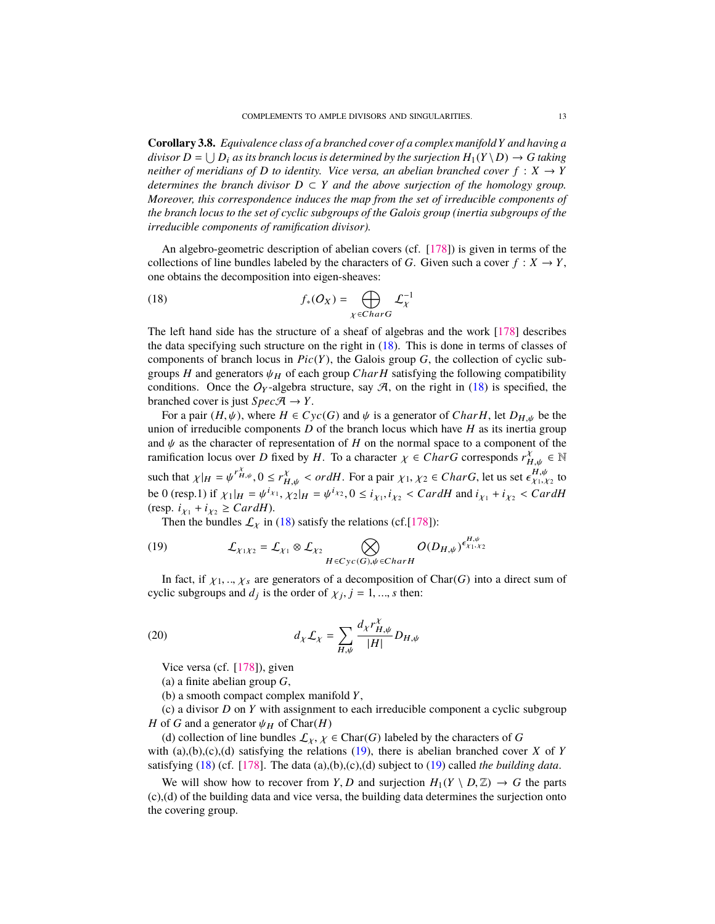<span id="page-12-3"></span><span id="page-12-2"></span>**Corollary 3.8.** *Equivalence class of a branched cover of a complex manifoldY and having a divisor*  $D = \bigcup D_i$  *as its branch locus is determined by the surjection*  $H_1(Y \setminus D) \to G$  *taking neither of meridians of D to identity. Vice versa, an abelian branched cover*  $f : X \rightarrow Y$ *determines the branch divisor*  $D \subset Y$  *and the above surjection of the homology group. Moreover, this correspondence induces the map from the set of irreducible components of the branch locus to the set of cyclic subgroups of the Galois group (inertia subgroups of the irreducible components of ramification divisor).*

An algebro-geometric description of abelian covers (cf. [\[178\]](#page-51-11)) is given in terms of the collections of line bundles labeled by the characters of *G*. Given such a cover  $f : X \to Y$ , one obtains the decomposition into eigen-sheaves:

<span id="page-12-0"></span>(18) 
$$
f_*(O_X) = \bigoplus_{\chi \in Char G} \mathcal{L}_{\chi}^{-1}
$$

The left hand side has the structure of a sheaf of algebras and the work [\[178\]](#page-51-11) describes the data specifying such structure on the right in [\(18\)](#page-12-0). This is done in terms of classes of components of branch locus in  $Pic(Y)$ , the Galois group  $G$ , the collection of cyclic subgroups *H* and generators  $\psi_H$  of each group *Char H* satisfying the following compatibility conditions. Once the  $O_Y$ -algebra structure, say  $A$ , on the right in [\(18\)](#page-12-0) is specified, the branched cover is just  $Spec\mathcal{A} \rightarrow Y$ .

For a pair  $(H, \psi)$ , where  $H \in Cyc(G)$  and  $\psi$  is a generator of *CharH*, let  $D_{H, \psi}$  be the union of irreducible components *D* of the branch locus which have *H* as its inertia group and  $\psi$  as the character of representation of *H* on the normal space to a component of the ramification locus over *D* fixed by *H*. To a character  $\chi \in CharG$  corresponds  $r_{H,\psi}^{\chi} \in \mathbb{N}$ such that  $\chi|_H = \psi^{r_H^X}$ ,  $0 \le r_{H,\psi}^X < \text{ord}H$ . For a pair  $\chi_1, \chi_2 \in \text{Char}G$ , let us set  $\epsilon_{\chi_1, \chi_2}^{H, \psi}$  to the  $0$  (gas 1) if  $\chi_1$ ,  $\chi_2$  is the  $\chi_1, \chi_2$  is the  $\epsilon_{\chi_1, \chi_2}^{H, \psi}$  to the  $\chi_2$ such that  $\chi_1 H = \psi^{-1.77}$ ,  $0 \leq t_{H,\psi} < 0$  and  $\chi_1$ ,  $\chi_2 = 0$  and  $\chi_1$ ,  $\chi_2 = 0$  and  $t_{\chi_1}$ ,  $\chi_2$  is set  $\epsilon_{\chi_1, \chi_2}$  to be 0 (resp.1) if  $\chi_1|_H = \psi^{i\chi_1}$ ,  $\chi_2|_H = \psi^{i\chi_2}$ ,  $0 \leq i_{\chi_1}, i_{\chi_2} < C \text{ar }$  $(resp. i<sub>X1</sub> + i<sub>X2</sub> \geq CardH).$ 

<span id="page-12-1"></span>Then the bundles  $\mathcal{L}_\chi$  in [\(18\)](#page-12-0) satisfy the relations (cf.[\[178\]](#page-51-11)):

(19) 
$$
\mathcal{L}_{\chi_1\chi_2} = \mathcal{L}_{\chi_1} \otimes \mathcal{L}_{\chi_2} \bigotimes_{H \in Cyc(G), \psi \in Char H} O(D_{H,\psi})^{\epsilon_{\chi_1,\chi_2}^{H,\psi}}
$$

In fact, if  $\chi_1, \ldots, \chi_s$  are generators of a decomposition of Char(*G*) into a direct sum of cyclic subgroups and  $d_j$  is the order of  $\chi_j$ ,  $j = 1, ..., s$  then:

(20) 
$$
d_{\chi} \mathcal{L}_{\chi} = \sum_{H,\psi} \frac{d_{\chi} r_{H,\psi}^{\chi}}{|H|} D_{H,\psi}
$$

Vice versa (cf. [\[178\]](#page-51-11)), given

- (a) a finite abelian group *G*,
- (b) a smooth compact complex manifold *Y*,

(c) a divisor *D* on *Y* with assignment to each irreducible component a cyclic subgroup *H* of *G* and a generator  $\psi_H$  of Char(*H*)

(d) collection of line bundles  $\mathcal{L}_{\chi}, \chi \in \text{Char}(G)$  labeled by the characters of *G* with (a),(b),(c),(d) satisfying the relations [\(19\)](#page-12-1), there is abelian branched cover *X* of *Y* satisfying [\(18\)](#page-12-0) (cf. [\[178\]](#page-51-11). The data (a),(b),(c),(d) subject to [\(19\)](#page-12-1) called *the building data*.

We will show how to recover from *Y*, *D* and surjection  $H_1(Y \setminus D, \mathbb{Z}) \to G$  the parts (c),(d) of the building data and vice versa, the building data determines the surjection onto the covering group.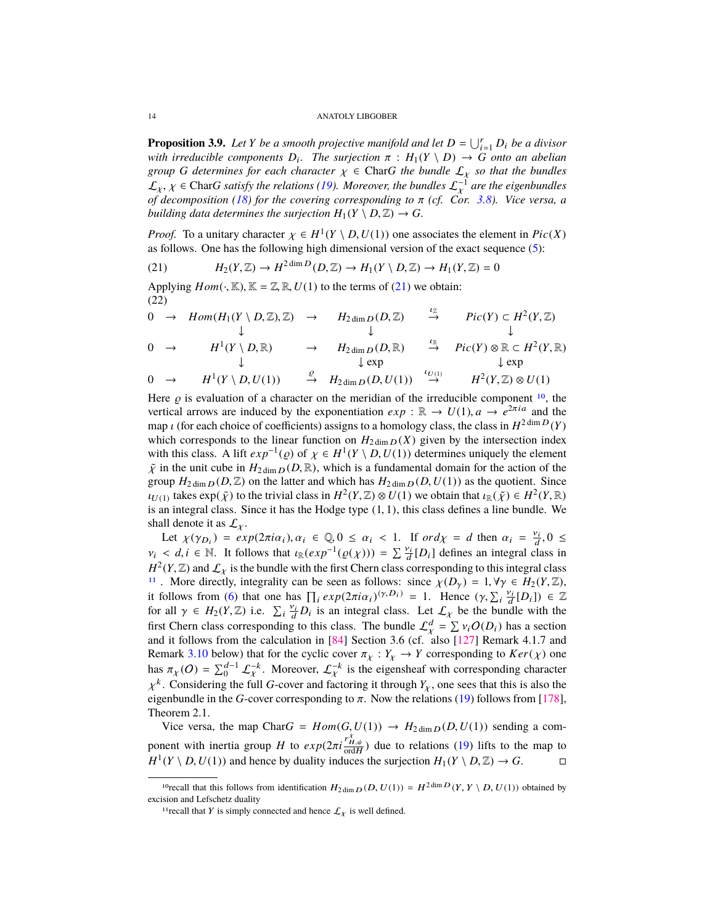<span id="page-13-5"></span><span id="page-13-4"></span>**Proposition 3.9.** Let *Y* be a smooth projective manifold and let  $D = \bigcup_{i=1}^r D_i$  be a divisor *with irreducible components*  $D_i$ . The surjection  $\pi$ :  $H_1(Y \setminus D) \to G$  *onto an abelian group*  $G$  *determines* for each character  $y \in$  CharG the bundle  $f$ , so that the bundles *group G determines for each character*  $\chi \in \text{Char}G$  *the bundle*  $\mathcal{L}_{\chi}$  *so that the bundles*  $\mathcal{L}_{\chi}$ ,  $\chi$  ∈ Char*G satisfy the relations* [\(19\)](#page-12-1)*. Moreover, the bundles*  $\mathcal{L}_{\chi}^{-1}$  are the eigenbundles<sup>of</sup> *decomposition* (18) for the covering corresponding to  $\pi$  (cf. Cor. 3.8). Vice versa, a *of decomposition [\(18\)](#page-12-0) for the covering corresponding to* π *(cf. Cor. [3.8\)](#page-12-2). Vice versa, a building data determines the surjection*  $H_1(Y \setminus D, \mathbb{Z}) \to G$ .

*Proof.* To a unitary character  $\chi \in H^1(Y \setminus D, U(1))$  one associates the element in *Pic*(*X*) as follows. One has the following high dimensional version of the exact sequence (5). as follows. One has the following high dimensional version of the exact sequence [\(5\)](#page-6-1):

<span id="page-13-0"></span>(21) 
$$
H_2(Y, \mathbb{Z}) \to H^{2 \dim D}(D, \mathbb{Z}) \to H_1(Y \setminus D, \mathbb{Z}) \to H_1(Y, \mathbb{Z}) = 0
$$

Applying  $Hom(\cdot, \mathbb{K})$ ,  $\mathbb{K} = \mathbb{Z}, \mathbb{R}, U(1)$  to the terms of [\(21\)](#page-13-0) we obtain: (22)

<span id="page-13-3"></span><sup>0</sup> <sup>→</sup> *Hom*(*H*1(*<sup>Y</sup>* \ *<sup>D</sup>*, <sup>Z</sup>), <sup>Z</sup>) <sup>→</sup> *<sup>H</sup>*2 dim <sup>D</sup> (*D*, <sup>Z</sup>) <sup>ι</sup><sup>Z</sup>→ *Pic*(*Y*) ⊂ *H* 2 (*Y*, <sup>Z</sup>) ↓ ↓ ↓ 0 → *H* 1 (*<sup>Y</sup>* \ *<sup>D</sup>*, <sup>R</sup>) <sup>→</sup> *<sup>H</sup>*2 dim <sup>D</sup> (*D*, <sup>R</sup>) <sup>ι</sup><sup>R</sup>→ *Pic*(*Y*) ⊗ R ⊂ *H* 2 (*Y*, <sup>R</sup>) ↓ ↓ exp ↓ exp 0 → *H* 1 (*<sup>Y</sup>* \ *<sup>D</sup>*,*U*(1)) <sup>→</sup> *<sup>H</sup>*2 dim <sup>D</sup> (*D*,*U*(1)) (*Y*, <sup>Z</sup>) <sup>⊗</sup> *<sup>U</sup>*(1) % <sup>ι</sup>U(1) <sup>→</sup> *<sup>H</sup>* 2

Here  $\varrho$  is evaluation of a character on the meridian of the irreducible component <sup>[10](#page-13-1)</sup>, the vertical arrows are induced by the exponentiation  $\rho$ **x**  $\mathbb{R} \to U(1)$   $q \to \rho^{2\pi i q}$  and the vertical arrows are induced by the exponentiation  $exp : \mathbb{R} \to U(1)$ ,  $a \to e^{2\pi i a}$  and the map *ι* (for each choice of coefficients) assigns to a homology class, the class in  $H^{2 \text{ dim }D}(Y)$ <br>which corresponds to the linear function on  $H_{2,1}$  (*Y*) given by the intersection index which corresponds to the linear function on  $H_{2 \dim D}(X)$  given by the intersection index with this class. A lift  $exp^{-1}(\rho)$  of  $\chi \in H^1(Y \setminus D, U(1))$  determines uniquely the element  $\tilde{\nu}$  in the unit cube in  $H_{2,\nu}$ ,  $p(D|\mathbb{R})$ , which is a fundamental domain for the action of the  $\tilde{\chi}$  in the unit cube in  $H_{2 \dim D}(D, \mathbb{R})$ , which is a fundamental domain for the action of the group  $H_{2 \dim D}(D, \mathbb{Z})$  on the latter and which has  $H_{2 \dim D}(D, U(1))$  as the quotient. Since  $U_{U(1)}$  takes  $exp(\tilde{\chi})$  to the trivial class in  $H^2(Y,\mathbb{Z}) \otimes U(1)$  we obtain that  $\iota_{\mathbb{R}}(\tilde{\chi}) \in H^2(Y,\mathbb{R})$ <br>is an integral class. Since it has the Hodge type (1, 1) this class defines a line bundle. We is an integral class. Since it has the Hodge type  $(1, 1)$ , this class defines a line bundle. We shall denote it as  $\mathcal{L}_{\chi}$ .

Let  $\chi(\gamma_{D_i}) = exp(2\pi i \alpha_i), \alpha_i \in \mathbb{Q}, 0 \leq \alpha_i < 1$ . If  $ord\chi = d$  then  $\alpha_i = \frac{\nu_i}{d}, 0 \leq$  $v_i \le d, i \in \mathbb{N}$ . It follows that  $u_{\mathbb{R}}(exp^{-1}(\varrho(\chi))) = \sum_{i=1}^{\nu_i} [D_i]$  defines an integral class in  $H^2(V|\mathbb{Z})$  and  $C_i$  is the hundle with the first Charn also corresponding to this integral class  $H^2(Y, \mathbb{Z})$  and  $\mathcal{L}_X$  is the bundle with the first Chern class corresponding to this integral class  $H^1$ . More directly integrality can be seen as follows: since  $\mathcal{L}(D) = 1$   $\forall x \in H_2(Y, \mathbb{Z})$ <sup>[11](#page-13-2)</sup>. More directly, integrality can be seen as follows: since  $\chi(D_\gamma) = 1, \forall \gamma \in H_2(Y, \mathbb{Z})$ , it follows from [\(6\)](#page-7-6) that one has  $\prod_i exp(2\pi i \alpha_i)^{(y,D_i)} = 1$ . Hence  $(y, \sum_i \frac{v_i}{d} [D_i]) \in \mathbb{Z}$ <br>for all  $y \in H_0(V|\mathbb{Z})$  i.e.  $\sum_i \frac{v_i}{d} D_i$  is an integral class. Let  $f$ , be the bundle with the for all  $\gamma \in H_2(Y, \mathbb{Z})$  i.e.  $\sum_i \frac{v_i}{d} D_i$  is an integral class. Let  $\mathcal{L}_\chi$  be the bundle with the first Chara class corresponding to this class. The bundle  $C^d - \sum y_i Q(D_i)$  has a section first Chern class corresponding to this class. The bundle  $\mathcal{L}_{\chi}^{d} = \sum v_i O(D_i)$  has a section<br>and it follows from the calculation in [84] Section 3.6 (cf. also [127] Remark 4.1.7 and and it follows from the calculation in [\[84\]](#page-48-9) Section 3.6 (cf. also [\[127\]](#page-50-5) Remark 4.1.7 and Remark [3.10](#page-14-0) below) that for the cyclic cover  $\pi_{\chi}: Y_{\chi} \to Y$  corresponding to  $Ker(\chi)$  one has  $\pi_X(O) = \sum_{0}^{d-1} \mathcal{L}_X^{-k}$ . Moreover,  $\mathcal{L}_X^{-k}$  is the eigensheaf with corresponding character k. Considering the full *G*-cover and factoring it through *Y<sub>X</sub>*, one sees that this is also the conhundle in the *G* cover corresponding to  $\pi$ . Now the relations (10) follows from [179] eigenbundle in the *G*-cover corresponding to  $\pi$ . Now the relations [\(19\)](#page-12-1) follows from [\[178\]](#page-51-11),<br>Theorem 2.1 Theorem 2.1.

Vice versa, the map Char $G = Hom(G, U(1)) \rightarrow H_{2dim D}(D, U(1))$  sending a component with inertia group *H* to  $exp(2\pi i \frac{r_{H,\psi}^{\chi}}{\text{ord}H})$  due to relations [\(19\)](#page-12-1) lifts to the map to  $H^1(V \setminus D^{\chi}(1))$  and hance by duality induces the surjection  $H^1(V \setminus D^{\chi}(1)) \setminus G$  $H^1(Y \setminus D, U(1))$  and hence by duality induces the surjection  $H_1(Y \setminus D, \mathbb{Z}) \to G$ .

<span id="page-13-1"></span><sup>&</sup>lt;sup>10</sup>recall that this follows from identification  $H_{2 \dim D}(D, U(1)) = H^{2 \dim D}(Y, Y \setminus D, U(1))$  obtained by excision and Lefschetz duality

<span id="page-13-2"></span><sup>&</sup>lt;sup>11</sup> recall that Y is simply connected and hence  $\mathcal{L}_\chi$  is well defined.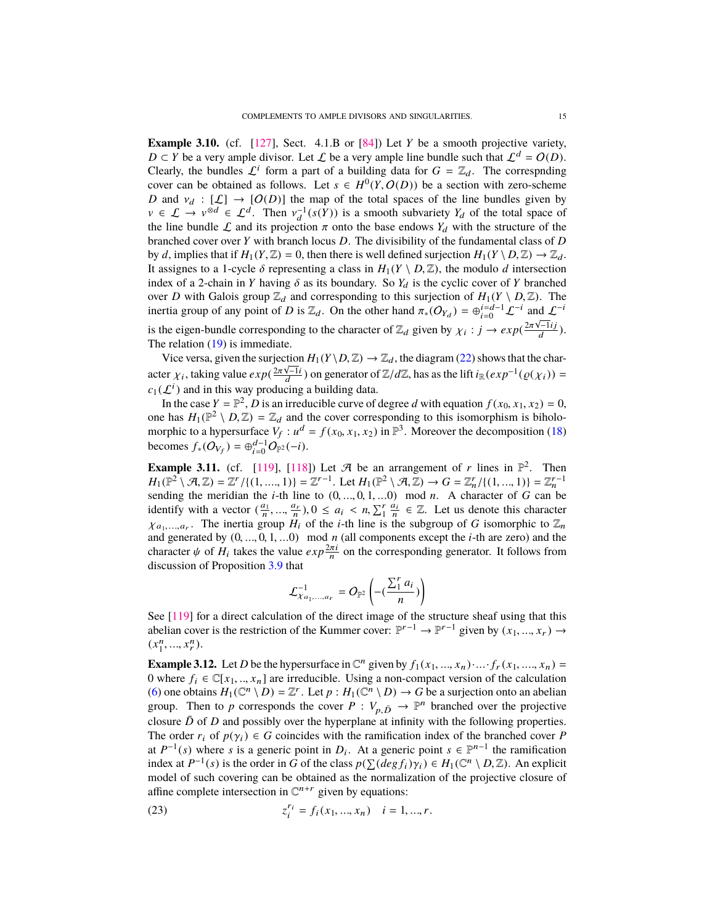<span id="page-14-1"></span><span id="page-14-0"></span>**Example 3.10.** (cf. [\[127\]](#page-50-5), Sect. 4.1.B or [\[84\]](#page-48-9)) Let *Y* be a smooth projective variety, *D* ⊂ *Y* be a very ample divisor. Let  $\mathcal L$  be a very ample line bundle such that  $\mathcal L^d = O(D)$ . Clearly, the bundles  $\mathcal{L}^i$  form a part of a building data for  $G = \mathbb{Z}_d$ . The correspnding cover can be obtained as follows. Let  $s \in H^0(Y, O(D))$  be a section with zero-scheme  $D$  and  $y \mapsto [C] \rightarrow [O(D)]$  the man of the total spaces of the line bundles given by *D* and  $v_d : [\mathcal{L}] \to [O(D)]$  the map of the total spaces of the line bundles given by  $v \in \mathcal{L} \to v^{\otimes d} \in \mathcal{L}^d$ . Then  $v_d^{-1}(s(Y))$  is a smooth subvariety  $Y_d$  of the total space of the line bundle  $f$  and its projection  $\pi$  onto the base endows  $Y_t$ , with the structure of the the line bundle  $\mathcal L$  and its projection  $\pi$  onto the base endows  $Y_d$  with the structure of the branched cover over *Y* with branch locus *D*. The divisibility of the fundamental class of *D* by *d*, implies that if  $H_1(Y, \mathbb{Z}) = 0$ , then there is well defined surjection  $H_1(Y \setminus D, \mathbb{Z}) \to \mathbb{Z}_d$ . It assignes to a 1-cycle  $\delta$  representing a class in  $H_1(Y \setminus D, \mathbb{Z})$ , the modulo *d* intersection index of a 2-chain in *Y* having  $\delta$  as its boundary. So  $Y_d$  is the cyclic cover of *Y* branched over *D* with Galois group  $\mathbb{Z}_d$  and corresponding to this surjection of  $H_1(Y \setminus D, \mathbb{Z})$ . The inertia group of any point of *D* is  $\mathbb{Z}_d$ . On the other hand  $\pi$  (*O*<sub>*x*</sub>) =  $\oplus$ <sup>i=*d*-1</sup>  $f^{-i}$  and  $f^{-i}$ inertia group of any point of *D* is  $\mathbb{Z}_d$ . On the other hand  $\pi_*(O_{Y_d}) = \bigoplus_{i=0}^{i=d-1} \mathcal{L}^{-i}$  and  $\mathcal{L}^{-i}$ 

is the eigen-bundle corresponding to the character of  $\mathbb{Z}_d$  given by  $\chi_i : j \to exp(\frac{2\pi\sqrt{-1}ij}{d})$ <br>The relation (10) is immediate  $\frac{(-1ij)}{d}$ ). The relation [\(19\)](#page-12-1) is immediate.

Vice versa, given the surjection  $H_1(Y \setminus D, \mathbb{Z}) \to \mathbb{Z}_d$ , the diagram [\(22\)](#page-13-3) shows that the char-<br> $\chi^2 \pi \sqrt{-1} i \sqrt{-1}$ acter  $\chi_i$ , taking value  $exp(\frac{2\pi\sqrt{-1}i}{d})$  on generator of  $\mathbb{Z}/d\mathbb{Z}$ , has as the lift  $i_{\mathbb{R}}(exp^{-1}(\varrho(\chi_i)) =$ <br> $\varrho_i(f_i)$  and in this way producing a building data  $c_1(\mathcal{L}^i)$  and in this way producing a building data.

In the case  $Y = \mathbb{P}^2$ ,  $D$  is an irreducible curve of degree *d* with equation  $f(x_0, x_1, x_2) = 0$ ,<br>a has  $H(\mathbb{P}^2 \setminus D, \mathbb{Z}) = \mathbb{Z}$ , and the cover corresponding to this isomorphism is hiboloone has  $H_1(\mathbb{P}^2 \setminus D, \mathbb{Z}) = \mathbb{Z}_d$  and the cover corresponding to this isomorphism is biholo-<br>morphic to a hypersurface  $V_c : u^d = f(x_0, x_1, x_0)$  in  $\mathbb{P}^3$ . Moreover the decomposition (18) morphic to a hypersurface  $V_f$ :  $u^d = f(x_0, x_1, x_2)$  in  $\mathbb{P}^3$ . Moreover the decomposition [\(18\)](#page-12-0) becomes  $f_*(O_{V_f}) = \bigoplus_{i=0}^{d-1} O_{\mathbb{P}^2}(-i)$ .

**Example 3.11.** (cf. [\[119\]](#page-49-12), [\[118\]](#page-49-13)) Let  $\mathcal{A}$  be an arrangement of *r* lines in  $\mathbb{P}^2$ . Then  $H_1(\mathbb{P}^2 \setminus \mathcal{A}, \mathbb{Z}) = \mathbb{Z}^r / \{(1, ..., 1)\} = \mathbb{Z}^{r-1}$ . Let  $H_1(\mathbb{P}^2 \setminus \mathcal{A}, \mathbb{Z}) \to G = \mathbb{Z}_n^r / \{(1, ..., 1)\} = \mathbb{Z}_n^{r-1}$ .<br>Sending the meridian the *i*-th line to  $(0, 0, 1, 0)$  mod  $n$ . A character of *G* can be sending the meridian the *<sup>i</sup>*-th line to (0, ..., <sup>0</sup>, <sup>1</sup>, ...0) mod *<sup>n</sup>*. A character of *<sup>G</sup>* can be identify with a vector  $(\frac{a_1}{n}, \dots, \frac{a_r}{n})$ ,  $0 \le a_i < n$ ,  $\sum_{i=1}^r \frac{a_i}{n} \in \mathbb{Z}$ . Let us denote this character . The inertia group  $H_i$  of the *i*-th line is the subgroup of *G* isomorphic to  $\mathbb{Z}_n$  $\chi_{a_1,...,a_r}$ . The inertia group  $H_i$  of the *i*-th line is the subgroup of G isomorphic to  $\mathbb{Z}_n$  and generated by  $(0, ..., 0, 1, ...)$  mod *n* (all components except the *i*-th are zero) and the character  $\mu$  of H, takes t character  $\psi$  of  $H_i$  takes the value  $exp \frac{2\pi i}{n}$  on the corresponding generator. It follows from discussion of Proposition [3.9](#page-13-4) that

$$
\mathcal{L}_{\chi_{a_1,...,a_r}}^{-1} = O_{\mathbb{P}^2}\left(-\left(\frac{\sum_1^r a_i}{n}\right)\right)
$$

See [\[119\]](#page-49-12) for a direct calculation of the direct image of the structure sheaf using that this abelian cover is the restriction of the Kummer cover:  $\mathbb{P}^{r-1} \to \mathbb{P}^{r-1}$  given by  $(x_1, ..., x_r) \to$  $(x_1^n, ..., x_r^n).$ 

**Example 3.12.** Let *D* be the hypersurface in  $\mathbb{C}^n$  given by  $f_1(x_1, ..., x_n) \cdot ... \cdot f_r(x_1, ..., x_n) = 0$  where  $f_i \in \mathbb{C}[x_i, ..., x_n]$  are irreducible. Using a non-compact version of the calculation 0 where  $f_i \in \mathbb{C}[x_1, ..., x_n]$  are irreducible. Using a non-compact version of the calculation [\(6\)](#page-7-6) one obtains  $H_1(\mathbb{C}^n \setminus D) = \mathbb{Z}^r$ . Let  $p : H_1(\mathbb{C}^n \setminus D) \to G$  be a surjection onto an abelian group. Then to *p* corresponds the cover  $P : V_{p,\bar{D}} \to \mathbb{P}^n$  branched over the projective<br>classes  $\bar{D}$  of *D* and good by such the hyperplane at infinite with the following approximate closure  $\bar{D}$  of *D* and possibly over the hyperplane at infinity with the following properties. The order  $r_i$  of  $p(y_i) \in G$  coincides with the ramification index of the branched cover *P* at  $P^{-1}(s)$  where *s* is a generic point in  $D_i$ . At a generic point  $s \in \mathbb{P}^{n-1}$  the ramification index at  $P^{-1}(s)$  is the order in *G* of the class  $p(\sum (deg f_i)\gamma_i) \in H_1(\mathbb{C}^n \setminus D, \mathbb{Z})$ . An explicit model of such covering can be obtained as the normalization of the projective closure of model of such covering can be obtained as the normalization of the projective closure of affine complete intersection in  $\mathbb{C}^{n+r}$  given by equations:

(23) 
$$
z_i^{r_i} = f_i(x_1, ..., x_n) \quad i = 1, ..., r.
$$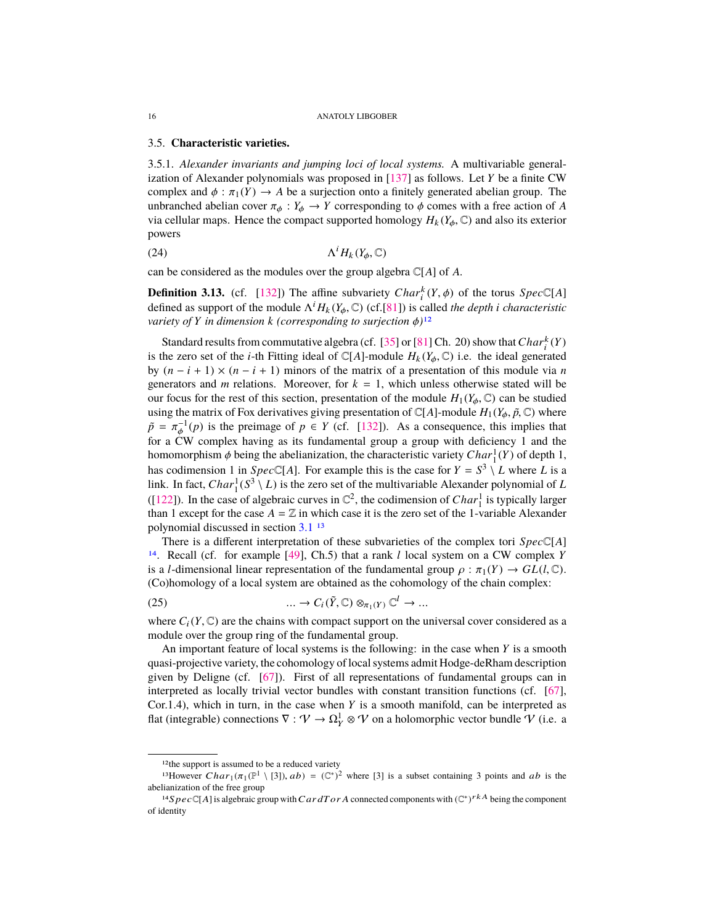## <span id="page-15-7"></span><span id="page-15-5"></span>3.5. **Characteristic varieties.**

<span id="page-15-6"></span>3.5.1. *Alexander invariants and jumping loci of local systems.* A multivariable generalization of Alexander polynomials was proposed in [\[137\]](#page-50-11) as follows. Let *Y* be a finite CW complex and  $\phi : \pi_1(Y) \to A$  be a surjection onto a finitely generated abelian group. The unbranched abelian cover  $\pi_{\phi}: Y_{\phi} \to Y$  corresponding to  $\phi$  comes with a free action of *A* via cellular maps. Hence the compact supported homology  $H_k(Y_\phi, \mathbb{C})$  and also its exterior powers

$$
\Lambda^i H_k(Y_\phi, \mathbb{C})
$$

can be considered as the modules over the group algebra C[*A*] of *A*.

<span id="page-15-4"></span>**Definition 3.13.** (cf. [\[132\]](#page-50-0)) The affine subvariety *Char*<sup>k</sup>  $(Y, \phi)$  of the torus *Spec*<sup>C</sup>[*A*] defined as support of the module  $\Lambda^i H_i (Y, \phi)$  (of [811) is called the dapth i characteristic defined as support of the module  $\Lambda^i H_k(Y_\phi, \mathbb{C})$  (cf.[\[81\]](#page-48-10)) is called *the depth i characteristic*<br>variety of *Y* in dimension *k* (corresponding to surjection  $\phi$ )<sup>12</sup> *variety of Y in dimension k* (*corresponding to surjection*  $\phi$ )<sup>[12](#page-15-0)</sup>

Standard results from commutative algebra (cf. [\[35\]](#page-47-7) or [\[81\]](#page-48-10) Ch. 20) show that  $Char_i^k(Y)$ is the zero set of the *i*-th Fitting ideal of  $\mathbb{C}[A]$ -module  $H_k(Y_\phi, \mathbb{C})$  i.e. the ideal generated by  $(n - i + 1) \times (n - i + 1)$  minors of the matrix of a presentation of this module via *n* generators and *m* relations. Moreover, for  $k = 1$ , which unless otherwise stated will be our focus for the rest of this section, presentation of the module  $H_1(Y_\phi, \mathbb{C})$  can be studied using the matrix of Fox derivatives giving presentation of  $\mathbb{C}[A]$ -module  $H_1(Y_\phi, \tilde{p}, \mathbb{C})$  where  $\tilde{p} = \pi_{\varphi}^{-1}(p)$  is the preimage of  $p \in Y$  (cf. [\[132\]](#page-50-0)). As a consequence, this implies that for a CW complex having as its fundamental group a group with deficiency 1 and the for a CW complex having as its fundamental group a group with deficiency 1 and the homomorphism  $\phi$  being the abelianization, the characteristic variety *Char*<sup>1</sup>(*Y*) of depth 1,<br>hes equivarian 1 in Spec<sup>(T<sub>1</sub>A1</sup>). For example this is the esse for  $Y = S^3$  *I*, where *I* is a has codimension 1 in *Spec*  $\mathbb{C}[A]$ . For example this is the case for  $Y = S^3 \setminus L$  where *L* is a link. In fact,  $Char_1^1(S^3 \setminus L)$  is the zero set of the multivariable Alexander polynomial of *L* ([\[122\]](#page-49-14)). In the case of algebraic curves in  $\mathbb{C}^2$ , the codimension of *Char*<sup>1</sup> is typically larger than 1 except for the case  $A = \mathbb{Z}$  in which case it is the zero set of the 1-variable Alexander polynomial discussed in section [3.1](#page-6-2) [13](#page-15-1)

There is a different interpretation of these subvarieties of the complex tori *Spec*C[*A*] [14](#page-15-2). Recall (cf. for example [\[49\]](#page-47-8), Ch.5) that a rank *l* local system on a CW complex *Y* is a *l*-dimensional linear representation of the fundamental group  $\rho : \pi_1(Y) \to GL(l, \mathbb{C})$ . (Co)homology of a local system are obtained as the cohomology of the chain complex:

<span id="page-15-3"></span>(25) 
$$
\dots \to C_i(\tilde{Y}, \mathbb{C}) \otimes_{\pi_1(Y)} \mathbb{C}^l \to \dots
$$

where  $C_i(Y, \mathbb{C})$  are the chains with compact support on the universal cover considered as a module over the group ring of the fundamental group.

An important feature of local systems is the following: in the case when *Y* is a smooth quasi-projective variety, the cohomology of local systems admit Hodge-deRham description given by Deligne (cf. [\[67\]](#page-48-11)). First of all representations of fundamental groups can in interpreted as locally trivial vector bundles with constant transition functions (cf. [\[67\]](#page-48-11), Cor.1.4), which in turn, in the case when *Y* is a smooth manifold, can be interpreted as flat (integrable) connections  $\nabla : \mathcal{V} \to \Omega_Y^1 \otimes \mathcal{V}$  on a holomorphic vector bundle  $\mathcal V$  (i.e. a

<span id="page-15-1"></span><span id="page-15-0"></span><sup>12</sup>the support is assumed to be a reduced variety

<sup>&</sup>lt;sup>13</sup>However  $Char_1(\pi_1(\mathbb{P}^1 \setminus [3]), ab) = (\mathbb{C}^*)^2$  where [3] is a subset containing 3 points and *ab* is the limitation of the free group. abelianization of the free group

<span id="page-15-2"></span><sup>&</sup>lt;sup>14</sup>S  $pec \mathbb{C}[A]$  is algebraic group with CardT or A connected components with  $(\mathbb{C}^*)^{rkA}$  being the component of identity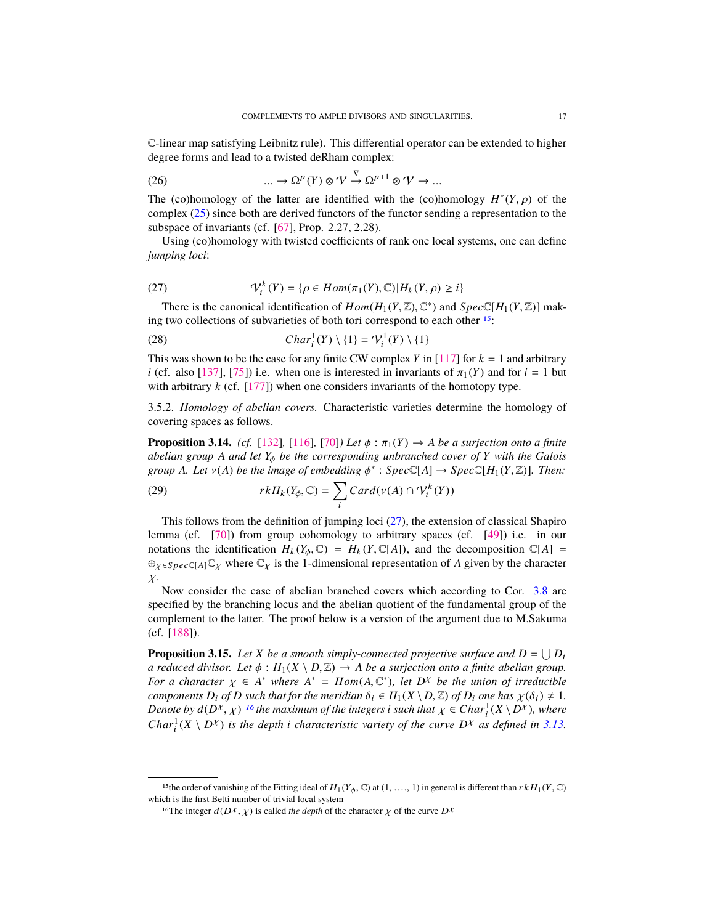<span id="page-16-6"></span>C-linear map satisfying Leibnitz rule). This differential operator can be extended to higher degree forms and lead to a twisted deRham complex:

<span id="page-16-4"></span>(26) 
$$
\dots \to \Omega^p(Y) \otimes \mathcal{V} \stackrel{\nabla}{\to} \Omega^{p+1} \otimes \mathcal{V} \to \dots
$$

The (co)homology of the latter are identified with the (co)homology  $H^*(Y, \rho)$  of the complex (25) since both are derived functors of the functor sending a representation to the complex [\(25\)](#page-15-3) since both are derived functors of the functor sending a representation to the subspace of invariants (cf. [\[67\]](#page-48-11), Prop. 2.27, 2.28).

Using (co)homology with twisted coefficients of rank one local systems, one can define *jumping loci*:

<span id="page-16-1"></span>(27) 
$$
\mathcal{V}_i^k(Y) = \{ \rho \in Hom(\pi_1(Y), \mathbb{C}) | H_k(Y, \rho) \ge i \}
$$

There is the canonical identification of  $Hom(H_1(Y, \mathbb{Z}), \mathbb{C}^*)$  and  $Spec\mathbb{C}[H_1(Y, \mathbb{Z})]$  mak-<br>t two collections of subvarieties of both tori correspond to each other <sup>15</sup>: ing two collections of subvarieties of both tori correspond to each other [15](#page-16-0):

(28) 
$$
Char_i^1(Y) \setminus \{1\} = \mathcal{V}_i^1(Y) \setminus \{1\}
$$

This was shown to be the case for any finite CW complex *Y* in [\[117\]](#page-49-15) for  $k = 1$  and arbitrary *i* (cf. also [\[137\]](#page-50-11), [\[75\]](#page-48-12)) i.e. when one is interested in invariants of  $\pi_1(Y)$  and for  $i = 1$  but with arbitrary *k* (cf. [\[177\]](#page-51-12)) when one considers invariants of the homotopy type.

3.5.2. *Homology of abelian covers.* Characteristic varieties determine the homology of covering spaces as follows.

<span id="page-16-3"></span>**Proposition 3.14.** *(cf.* [\[132\]](#page-50-0), [\[116\]](#page-49-16), [\[70\]](#page-48-13)*) Let*  $\phi$  :  $\pi_1(Y) \to A$  *be a surjection onto a finite abelian group <sup>A</sup> and let <sup>Y</sup>*φ *be the corresponding unbranched cover of <sup>Y</sup> with the Galois group A. Let*  $v(A)$  *be the image of embedding*  $\phi^*$  :  $Spec\mathbb{C}[A] \rightarrow Spec\mathbb{C}[H_1(Y,\mathbb{Z})]$ *. Then:* 

(29) 
$$
rkH_k(Y_\phi,\mathbb{C})=\sum_i Card(\nu(A)\cap \mathcal{V}_i^k(Y))
$$

This follows from the definition of jumping loci  $(27)$ , the extension of classical Shapiro lemma (cf. [\[70\]](#page-48-13)) from group cohomology to arbitrary spaces (cf. [\[49\]](#page-47-8)) i.e. in our notations the identification  $H_k(Y_\phi, \mathbb{C}) = H_k(Y, \mathbb{C}[A])$ , and the decomposition  $\mathbb{C}[A] =$  $\oplus_{\chi \in Spec \subset [A]} \mathbb{C}_{\chi}$  where  $\mathbb{C}_{\chi}$  is the 1-dimensional representation of *A* given by the character  $\chi$ .

Now consider the case of abelian branched covers which according to Cor. [3.8](#page-12-2) are specified by the branching locus and the abelian quotient of the fundamental group of the complement to the latter. The proof below is a version of the argument due to M.Sakuma (cf. [\[188\]](#page-52-9)).

<span id="page-16-5"></span>**Proposition 3.15.** Let *X* be a smooth simply-connected projective surface and  $D = \bigcup D_i$ *a reduced divisor. Let*  $\phi$  :  $H_1(X \setminus D, \mathbb{Z}) \to A$  *be a surjection onto a finite abelian group. For a character*  $\chi \in A^*$  *where*  $A^* = Hom(A, \mathbb{C}^*)$ *, let*  $D^{\chi}$  *be the union of irreducible*<br>*components D*: of *D* such that for the meridian  $\delta_1 \in H_1(X \setminus D \mathbb{Z})$  of *D*; one has  $\chi(\delta_1) \neq 1$ *components*  $D_i$  *of*  $D$  *such that for the meridian*  $\delta_i \in H_1(X \setminus D, \mathbb{Z})$  *of*  $D_i$  *one has*  $\chi(\delta_i) \neq 1$ *. Denote by*  $d(D^X, \chi)$  <sup>[16](#page-16-2)</sup> the maximum of the integers *i* such that  $\chi \in Char_1^1(X \setminus D^X)$ , where  $Char_2^1(X \setminus D^X)$  is the dapth *i* abanastanistic variaty of the summa  $D^X$  as defined in 3.13 *Char*<sup>1</sup><sub>*i*</sub>( $X \setminus D^X$ ) *is the depth i characteristic variety of the curve*  $D^X$  *as defined in* [3.13.](#page-15-4)

<span id="page-16-0"></span><sup>&</sup>lt;sup>15</sup>the order of vanishing of the Fitting ideal of  $H_1(Y_\phi, \mathbb{C})$  at  $(1, \ldots, 1)$  in general is different than  $rk H_1(Y, \mathbb{C})$ which is the first Betti number of trivial local system

<span id="page-16-2"></span><sup>&</sup>lt;sup>16</sup>The integer  $d(D^{\chi}, \chi)$  is called *the depth* of the character  $\chi$  of the curve  $D^{\chi}$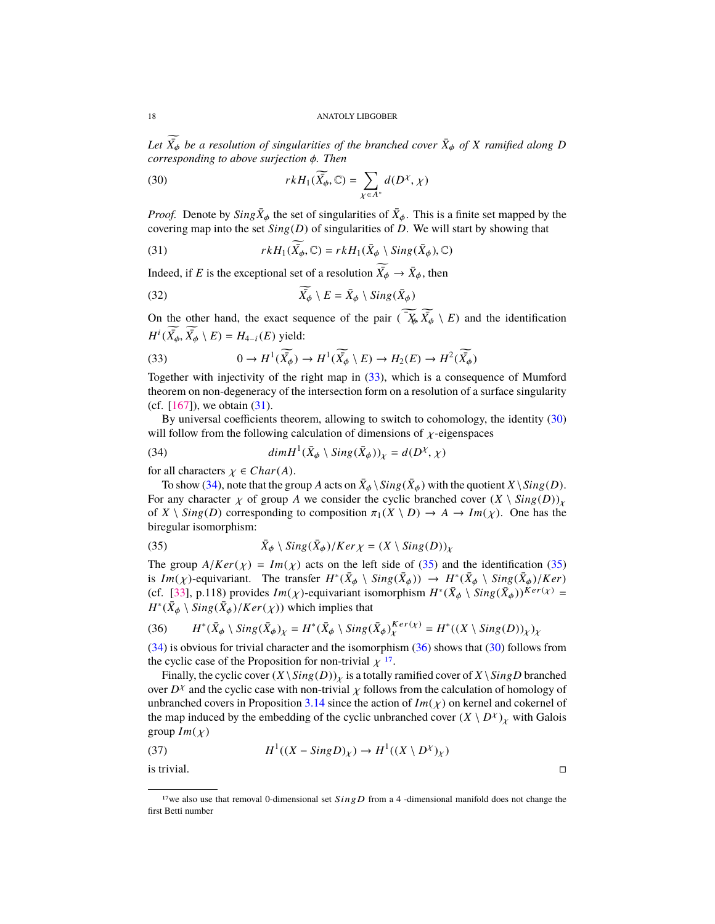<span id="page-17-7"></span>Let  $\widetilde{X}_{\phi}$  be a resolution of singularities of the branched cover  $\bar{X}_{\phi}$  of *X* ramified along *D* corresponding to ghous surjection  $\phi$ . Then *corresponding to above surjection* φ*. Then*

<span id="page-17-2"></span>(30) 
$$
rkH_1(\widetilde{X_{\phi}}, \mathbb{C}) = \sum_{\chi \in A^*} d(D^{\chi}, \chi)
$$

*Proof.* Denote by  $Sing\overline{X}_{\phi}$  the set of singularities of  $\overline{X}_{\phi}$ . This is a finite set mapped by the covaring man into the set  $Sing(D)$  of singularities of  $D$ . We will start by showing that covering map into the set *Sin*g(*D*) of singularities of *D*. We will start by showing that

<span id="page-17-1"></span>(31) 
$$
rkH_1(\widetilde{\bar{X}_{\phi}}, \mathbb{C}) = rkH_1(\bar{X}_{\phi} \setminus Sing(\bar{X}_{\phi}), \mathbb{C})
$$

Indeed, if *E* is the exceptional set of a resolution  $\widetilde{X}_{\phi} \to \overline{X}_{\phi}$ , then

(32) 
$$
\widetilde{X_{\phi}} \setminus E = \bar{X}_{\phi} \setminus Sing(\bar{X}_{\phi})
$$

On the other hand, the exact sequence of the pair  $(\widetilde{\overline{X}}_k \widetilde{X}_{\phi} \setminus E)$  and the identification  $H^i(\widetilde{X_\phi}, \widetilde{X_\phi} \setminus E) = H_{4-i}(E)$  yield:

<span id="page-17-0"></span>(33) 
$$
0 \to H^1(\widetilde{X_{\phi}}) \to H^1(\widetilde{X_{\phi}} \setminus E) \to H_2(E) \to H^2(\widetilde{X_{\phi}})
$$

Together with injectivity of the right map in [\(33\)](#page-17-0), which is a consequence of Mumford theorem on non-degeneracy of the intersection form on a resolution of a surface singularity (cf.  $[167]$ ), we obtain  $(31)$ .

By universal coefficients theorem, allowing to switch to cohomology, the identity [\(30\)](#page-17-2) will follow from the following calculation of dimensions of  $\chi$ -eigenspaces

<span id="page-17-3"></span>(34) 
$$
\dim H^1(\bar{X}_{\phi} \setminus Sing(\bar{X}_{\phi}))_{\chi} = d(D^{\chi}, \chi)
$$

for all characters  $\chi \in Char(A)$ .

To show [\(34\)](#page-17-3), note that the group *A* acts on  $\bar{X}_{\phi} \setminus Sing(\bar{X}_{\phi})$  with the quotient *X*  $\setminus Sing(D)$ . For any character  $\chi$  of group *A* we consider the cyclic branched cover  $(X \setminus Sing(D))_{\chi}$ of *X* \ *Sing(D)* corresponding to composition  $\pi_1(X \setminus D) \to A \to Im(\chi)$ . One has the biregular isomorphism:

<span id="page-17-4"></span>(35) 
$$
\bar{X}_{\phi} \setminus Sing(\bar{X}_{\phi})/Ker \chi = (X \setminus Sing(D))_{\chi}
$$

The group  $A/Ker(\chi) = Im(\chi)$  acts on the left side of [\(35\)](#page-17-4) and the identification (35) is  $Im(\chi)$ -equivariant. The transfer  $H^*(\bar{X}_{\phi} \setminus Sing(\bar{X}_{\phi})) \to H^*(\bar{X}_{\phi} \setminus Sing(\bar{X}_{\phi})/Ker)$ <br>(*cf.* [33] p.118) provides  $Im(\chi)$  equivariant isomorphism  $H^*(\bar{X}_{\phi} \setminus Sing(\bar{X}_{\phi})/Ker)$ (cf. [\[33\]](#page-46-4), p.118) provides  $Im(\chi)$ -equivariant isomorphism  $H^*(\bar{X}_{\phi} \setminus \overline{Sing}(\overline{X}_{\phi}))^{Ker(\chi)} = H^*(\overline{Y}_{\phi} \setminus \overline{Sing}(\overline{X}_{\phi}))^{Ker(\chi)}$  $H^*(\bar{X}_{\phi} \setminus Sing(\bar{X}_{\phi})/Ker(\chi))$  which implies that

<span id="page-17-5"></span>(36) 
$$
H^*(\bar{X}_{\phi} \setminus Sing(\bar{X}_{\phi})_{\chi} = H^*(\bar{X}_{\phi} \setminus Sing(\bar{X}_{\phi})_{\chi}^{Ker(\chi)} = H^*((X \setminus Sing(D))_{\chi})_{\chi}
$$

[\(34\)](#page-17-3) is obvious for trivial character and the isomorphism [\(36\)](#page-17-5) shows that [\(30\)](#page-17-2) follows from the cyclic case of the Proposition for non-trivial  $\chi^{17}$  $\chi^{17}$  $\chi^{17}$ .

Finally, the cyclic cover  $(X \setminus Sing(D))_X$  is a totally ramified cover of  $X \setminus SingD$  branched over  $D^{\chi}$  and the cyclic case with non-trivial  $\chi$  follows from the calculation of homology of unbranched covers in Proposition 3.14 since the action of  $Im(\chi)$  on kernel and cokernel of unbranched covers in Proposition [3.14](#page-16-3) since the action of  $Im(\chi)$  on kernel and cokernel of the map induced by the embedding of the cyclic unbranched cover  $(X \setminus D^X)_\chi$  with Galois group  $Im(\chi)$ 

(37) 
$$
H^1((X - SingD)_X) \to H^1((X \setminus D^X)_X)
$$

is trivial.

<span id="page-17-6"></span><sup>&</sup>lt;sup>17</sup>we also use that removal 0-dimensional set  $SingD$  from a 4 -dimensional manifold does not change the first Betti number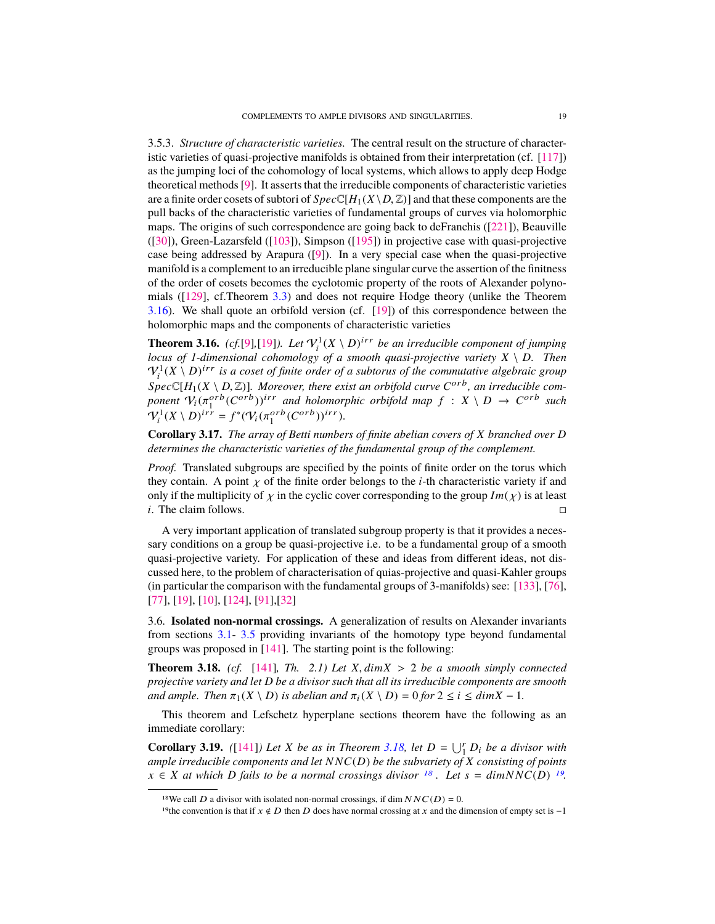<span id="page-18-6"></span>3.5.3. *Structure of characteristic varieties.* The central result on the structure of characteristic varieties of quasi-projective manifolds is obtained from their interpretation (cf. [\[117\]](#page-49-15)) as the jumping loci of the cohomology of local systems, which allows to apply deep Hodge theoretical methods [\[9\]](#page-46-5). It asserts that the irreducible components of characteristic varieties are a finite order cosets of subtori of  $Spec \mathbb{C}[H_1(X \setminus D, \mathbb{Z})]$  and that these components are the pull backs of the characteristic varieties of fundamental groups of curves via holomorphic maps. The origins of such correspondence are going back to deFranchis ([\[221\]](#page-53-1)), Beauville ([\[30\]](#page-46-6)), Green-Lazarsfeld ([\[103\]](#page-49-17)), Simpson ([\[195\]](#page-52-10)) in projective case with quasi-projective case being addressed by Arapura ([\[9\]](#page-46-5)). In a very special case when the quasi-projective manifold is a complement to an irreducible plane singular curve the assertion of the finitness of the order of cosets becomes the cyclotomic property of the roots of Alexander polynomials ([\[129\]](#page-50-1), cf.Theorem [3.3\)](#page-8-0) and does not require Hodge theory (unlike the Theorem [3.16\)](#page-18-0). We shall quote an orbifold version (cf. [\[19\]](#page-46-7)) of this correspondence between the holomorphic maps and the components of characteristic varieties

<span id="page-18-0"></span>**Theorem 3.16.** (cf.[\[9\]](#page-46-5),[\[19\]](#page-46-7)). Let  $\mathcal{V}_i^1(X \setminus D)^{irr}$  be an irreducible component of jumping *locus of 1-dimensional cohomology of a smooth quasi-projective variety*  $X \setminus D$ *. Then*  $\mathcal{V}^1$  (X \ D)<sup>irr</sup> is a coset of finite order of a subtorus of the commutative algebraic group  $\mathcal{S}pec\mathbb{C}[H_1(X \setminus D, \mathbb{Z})]$ *. Moreover, there exist an orbifold curve*  $C^{\alpha r}$ *b, an irreducible component*  $\mathcal{R}(\pi^{\alpha r}b(C^{\alpha r}b))$ <sup>*irr*</sup> and holomorphic orbifold man  $f : X \setminus D \to C^{\alpha r}b$  such *ponent*  $V_i(\pi_i^{orb}(C^{orb}))^{irr}$  *and holomorphic orbifold map*  $f : X \setminus D \to C^{orb}$  *such*  $Q_i(x) \cap Nirr = f^*(Q_i(\pi_f) \cap C^{orb}) \cap (i \in \mathbb{N})$  $V_i^1(X \setminus D)^{irr} = f^*(V_i(\pi_1^{orb}(C^{orb}))^{irr}).$ 

**Corollary 3.17.** *The array of Betti numbers of finite abelian covers of X branched over D determines the characteristic varieties of the fundamental group of the complement.*

*Proof.* Translated subgroups are specified by the points of finite order on the torus which they contain. A point  $\chi$  of the finite order belongs to the *i*-th characteristic variety if and only if the multiplicity of  $\chi$  in the cyclic cover corresponding to the group  $Im(\chi)$  is at least *i*. The claim follows.

A very important application of translated subgroup property is that it provides a necessary conditions on a group be quasi-projective i.e. to be a fundamental group of a smooth quasi-projective variety. For application of these and ideas from different ideas, not discussed here, to the problem of characterisation of quias-projective and quasi-Kahler groups (in particular the comparison with the fundamental groups of 3-manifolds) see: [\[133\]](#page-50-12), [\[76\]](#page-48-14), [\[77\]](#page-48-15), [\[19\]](#page-46-7), [\[10\]](#page-46-0), [\[124\]](#page-49-18), [\[91\]](#page-48-16),[\[32\]](#page-46-8)

<span id="page-18-5"></span>3.6. **Isolated non-normal crossings.** A generalization of results on Alexander invariants from sections [3.1-](#page-6-2) [3.5](#page-15-5) providing invariants of the homotopy type beyond fundamental groups was proposed in [\[141\]](#page-50-13). The starting point is the following:

<span id="page-18-1"></span>**Theorem 3.18.** (cf. [\[141\]](#page-50-13)*, Th. 2.1) Let*  $X$ *, dimX* > 2 *be a smooth simply connected projective variety and let D be a divisor such that all its irreducible components are smooth and ample. Then*  $\pi_1(X \setminus D)$  *is abelian and*  $\pi_i(X \setminus D) = 0$  *for*  $2 \le i \le dimX - 1$ *.* 

This theorem and Lefschetz hyperplane sections theorem have the following as an immediate corollary:

<span id="page-18-4"></span>**Corollary 3.19.** ([\[141\]](#page-50-13)*)* Let *X* be as in Theorem [3.18,](#page-18-1) let  $D = \bigcup_{i=1}^{r} D_i$  be a divisor with *ample irreducible components and let N NC*(*D*) *be the subvariety of X consisting of points x* ∈ *X at which D fails to be a normal crossings divisor* <sup>[18](#page-18-2)</sup>*. Let s* =  $\dim NNC(D)$  <sup>[19](#page-18-3)</sup>

<span id="page-18-2"></span><sup>&</sup>lt;sup>18</sup>We call *D* a divisor with isolated non-normal crossings, if dim  $NNC(D) = 0$ .

<span id="page-18-3"></span><sup>&</sup>lt;sup>19</sup>the convention is that if  $x \notin D$  then D does have normal crossing at x and the dimension of empty set is -1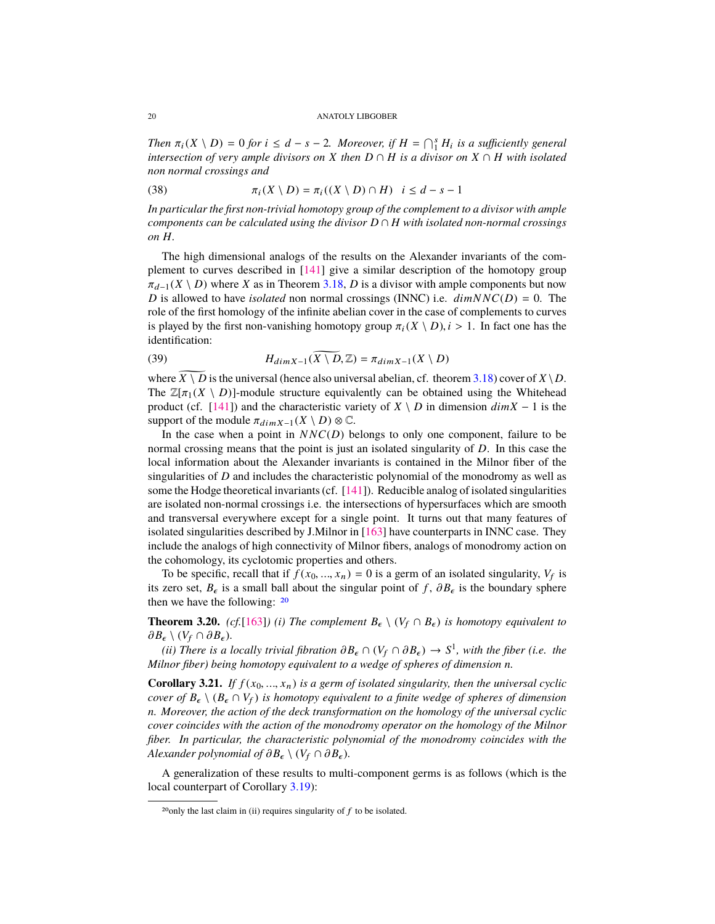<span id="page-19-1"></span>*Then*  $\pi_i(X \setminus D) = 0$  *for*  $i \leq d - s - 2$ *. Moreover, if*  $H = \bigcap_{i=1}^s H_i$  *is a sufficiently general intersection of very annual divisors on X* then  $D \cap H$  *is a divisor on*  $X \cap H$  *with isolated intersection of very ample divisors on X then*  $D \cap H$  *is a divisor on*  $X \cap H$  *with isolated non normal crossings and*

(38) 
$$
\pi_i(X \setminus D) = \pi_i((X \setminus D) \cap H) \quad i \leq d - s - 1
$$

*In particular the first non-trivial homotopy group of the complement to a divisor with ample components can be calculated using the divisor*  $D \cap H$  *with isolated non-normal crossings on H.*

The high dimensional analogs of the results on the Alexander invariants of the complement to curves described in [\[141\]](#page-50-13) give a similar description of the homotopy group  $\pi_{d-1}(X \setminus D)$  where *X* as in Theorem [3.18,](#page-18-1) *D* is a divisor with ample components but now *D* is allowed to have *isolated* non normal crossings (INNC) i.e.  $\dim NNC(D) = 0$ . The role of the first homology of the infinite abelian cover in the case of complements to curves is played by the first non-vanishing homotopy group  $\pi_i(X \setminus D)$ ,  $i > 1$ . In fact one has the identification:

(39) 
$$
H_{dim X-1}(\widetilde{X \setminus D}, \mathbb{Z}) = \pi_{dim X-1}(X \setminus D)
$$

where  $X \setminus D$  is the universal (hence also universal abelian, cf. theorem [3.18\)](#page-18-1) cover of  $X \setminus D$ . The  $\mathbb{Z}[\pi_1(X \setminus D)]$ -module structure equivalently can be obtained using the Whitehead product (cf. [\[141\]](#page-50-13)) and the characteristic variety of  $X \setminus D$  in dimension  $dim X - 1$  is the support of the module  $\pi_{\dim X-1}(X \setminus D) \otimes \mathbb{C}$ .

In the case when a point in  $NNC(D)$  belongs to only one component, failure to be normal crossing means that the point is just an isolated singularity of *D*. In this case the local information about the Alexander invariants is contained in the Milnor fiber of the singularities of *D* and includes the characteristic polynomial of the monodromy as well as some the Hodge theoretical invariants (cf. [\[141\]](#page-50-13)). Reducible analog of isolated singularities are isolated non-normal crossings i.e. the intersections of hypersurfaces which are smooth and transversal everywhere except for a single point. It turns out that many features of isolated singularities described by J.Milnor in [\[163\]](#page-51-14) have counterparts in INNC case. They include the analogs of high connectivity of Milnor fibers, analogs of monodromy action on the cohomology, its cyclotomic properties and others.

To be specific, recall that if  $f(x_0, ..., x_n) = 0$  is a germ of an isolated singularity,  $V_f$  is zero set  $B$  is a small hall about the singular point of  $f$ ,  $\partial B$  is the boundary sphere its zero set,  $B_{\epsilon}$  is a small ball about the singular point of *f*,  $\partial B_{\epsilon}$  is the boundary sphere then we have the following: [20](#page-19-0)

**Theorem 3.20.** *(cf.*[\[163\]](#page-51-14)*) (i) The complement*  $B_{\epsilon} \setminus (V_f \cap B_{\epsilon})$  *is homotopy equivalent to*  $\partial B_{\epsilon} \setminus (V_f \cap \partial B_{\epsilon}).$ 

 $(iii)$  There is a locally trivial fibration  $\partial B_{\epsilon} \cap (V_f \cap \partial B_{\epsilon}) \to S^1$ , with the fiber (i.e. the linear fiber) being homotony equivalent to a wedge of spheres of dimension n *Milnor fiber) being homotopy equivalent to a wedge of spheres of dimension n.*

**Corollary 3.21.** *If*  $f(x_0, ..., x_n)$  *is a germ of isolated singularity, then the universal cyclic cover of*  $B_{\epsilon} \setminus (B_{\epsilon} \cap V_f)$  *is homotopy equivalent to a finite wedge of spheres of dimension n. Moreover, the action of the deck transformation on the homology of the universal cyclic cover coincides with the action of the monodromy operator on the homology of the Milnor fiber. In particular, the characteristic polynomial of the monodromy coincides with the Alexander polynomial of*  $\partial B_{\epsilon} \setminus (V_f \cap \partial B_{\epsilon})$ *.* 

A generalization of these results to multi-component germs is as follows (which is the local counterpart of Corollary [3.19\)](#page-18-4):

<span id="page-19-0"></span><sup>&</sup>lt;sup>20</sup>only the last claim in (ii) requires singularity of  $f$  to be isolated.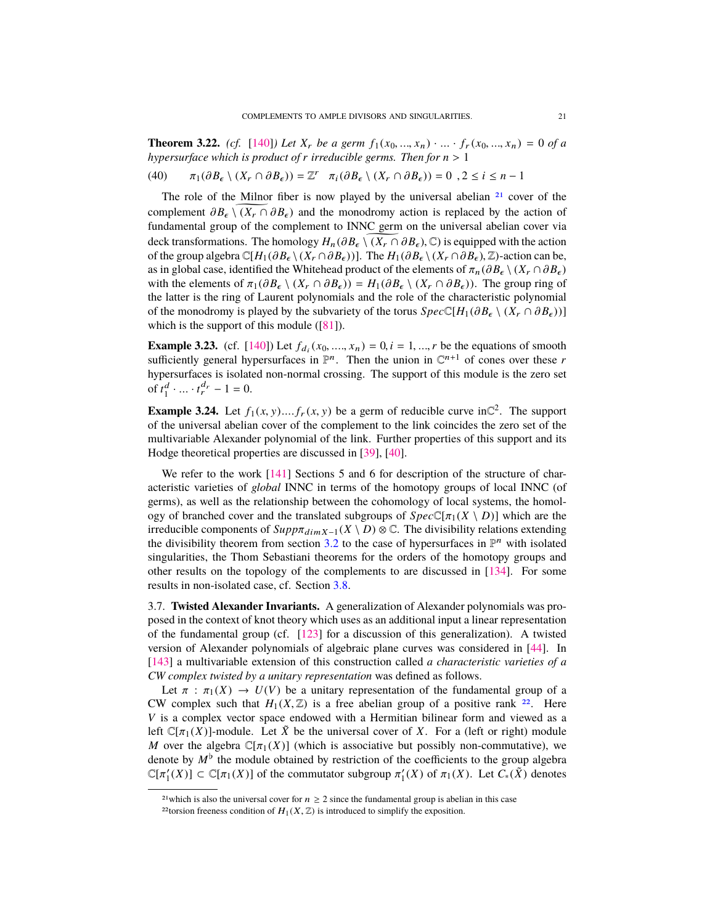<span id="page-20-3"></span>**Theorem 3.22.** *(cf.* [\[140\]](#page-50-6)*)* Let  $X_r$  be a germ  $f_1(x_0, ..., x_n) \cdot ... \cdot f_r(x_0, ..., x_n) = 0$  of a *hypersurface which is product of <sup>r</sup> irreducible germs. Then for <sup>n</sup>* > <sup>1</sup>

(40) 
$$
\pi_1(\partial B_{\epsilon} \setminus (X_r \cap \partial B_{\epsilon})) = \mathbb{Z}^r \quad \pi_i(\partial B_{\epsilon} \setminus (X_r \cap \partial B_{\epsilon})) = 0 \quad 2 \leq i \leq n-1
$$

The role of the Milnor fiber is now played by the universal abelian  $2<sup>1</sup>$  cover of the complement  $\partial B_{\epsilon} \setminus (X_r \cap \partial B_{\epsilon})$  and the monodromy action is replaced by the action of fundamental group of the complement to INNC germ on the universal abelian cover via deck transformations. The homology  $H_n(\partial B_\epsilon \setminus (X_r \cap \partial B_\epsilon), \mathbb{C})$  is equipped with the action of the group algebra  $\mathbb{C}[H_1(\partial B_\epsilon \setminus (X_r \cap \partial B_\epsilon))]$ . The  $H_1(\partial B_\epsilon \setminus (X_r \cap \partial B_\epsilon), \mathbb{Z})$ -action can be, as in global case, identified the Whitehead product of the elements of  $\pi_n(\partial B_\epsilon \setminus (X_r \cap \partial B_\epsilon))$ with the elements of  $\pi_1(\partial B_\epsilon \setminus (X_r \cap \partial B_\epsilon)) = H_1(\partial B_\epsilon \setminus (X_r \cap \partial B_\epsilon))$ . The group ring of the latter is the ring of Laurent polynomials and the role of the characteristic polynomial of the monodromy is played by the subvariety of the torus  $Spec\mathbb{C}[H_1(\partial B_\epsilon \setminus (X_r \cap \partial B_\epsilon))]$ which is the support of this module  $([81])$  $([81])$  $([81])$ .

<span id="page-20-2"></span>**Example 3.23.** (cf. [\[140\]](#page-50-6)) Let  $f_{di}(x_0, ..., x_n) = 0, i = 1, ..., r$  be the equations of smooth sufficiently general hypersurfaces in  $\mathbb{P}^n$ . Then the union in  $\mathbb{C}^{n+1}$  of cones over these r sufficiently general hypersurfaces in  $\mathbb{P}^n$ . Then the union in  $\mathbb{C}^{n+1}$  of cones over these *r* hypersurfaces is isolated non-normal crossing. The support of this module is the zero set of  $t_1^d \cdot ... \cdot t_r^{d_r} - 1 = 0.$ 

**Example 3.24.** Let  $f_1(x, y)$ .... $f_r(x, y)$  be a germ of reducible curve in  $\mathbb{C}^2$ . The support of the universal abelian cover of the complement to the link coincides the zero set of the of the universal abelian cover of the complement to the link coincides the zero set of the multivariable Alexander polynomial of the link. Further properties of this support and its Hodge theoretical properties are discussed in [\[39\]](#page-47-9), [\[40\]](#page-47-10).

We refer to the work [\[141\]](#page-50-13) Sections 5 and 6 for description of the structure of characteristic varieties of *global* INNC in terms of the homotopy groups of local INNC (of germs), as well as the relationship between the cohomology of local systems, the homology of branched cover and the translated subgroups of  $Spec\mathbb{C}[\pi_1(X \setminus D)]$  which are the irreducible components of  $\text{Supp} \pi_{\text{dim} X-1}(X \setminus D) \otimes \mathbb{C}$ . The divisibility relations extending the divisibility theorem from section [3.2](#page-8-3) to the case of hypersurfaces in  $\mathbb{P}^n$  with isolated singularities, the Thom Sebastiani theorems for the orders of the homotopy groups and other results on the topology of the complements to are discussed in [\[134\]](#page-50-7). For some results in non-isolated case, cf. Section [3.8.](#page-21-0)

3.7. **Twisted Alexander Invariants.** A generalization of Alexander polynomials was proposed in the context of knot theory which uses as an additional input a linear representation of the fundamental group (cf. [\[123\]](#page-49-19) for a discussion of this generalization). A twisted version of Alexander polynomials of algebraic plane curves was considered in [\[44\]](#page-47-6). In [\[143\]](#page-50-2) a multivariable extension of this construction called *a characteristic varieties of a CW complex twisted by a unitary representation* was defined as follows.

Let  $\pi$  :  $\pi_1(X) \to U(V)$  be a unitary representation of the fundamental group of a CW complex such that  $H_1(X,\mathbb{Z})$  is a free abelian group of a positive rank <sup>[22](#page-20-1)</sup>. Here *V* is a complex vector space endowed with a Hermitian bilinear form and viewed as a left  $\mathbb{C}[\pi_1(X)]$ -module. Let  $\bar{X}$  be the universal cover of X. For a (left or right) module *M* over the algebra  $\mathbb{C}[\pi_1(X)]$  (which is associative but possibly non-commutative), we denote by  $M^{\flat}$  the module obtained by restriction of the coefficients to the group algebra  $\mathbb{C}[\pi_1'(X)] \subset \mathbb{C}[\pi_1(X)]$  of the commutator subgroup  $\pi_1'(X)$  of  $\pi_1(X)$ . Let  $C_*(\tilde{X})$  denotes

<span id="page-20-0"></span><sup>&</sup>lt;sup>21</sup>which is also the universal cover for  $n \ge 2$  since the fundamental group is abelian in this case

<span id="page-20-1"></span><sup>&</sup>lt;sup>22</sup>torsion freeness condition of  $H_1(X, \mathbb{Z})$  is introduced to simplify the exposition.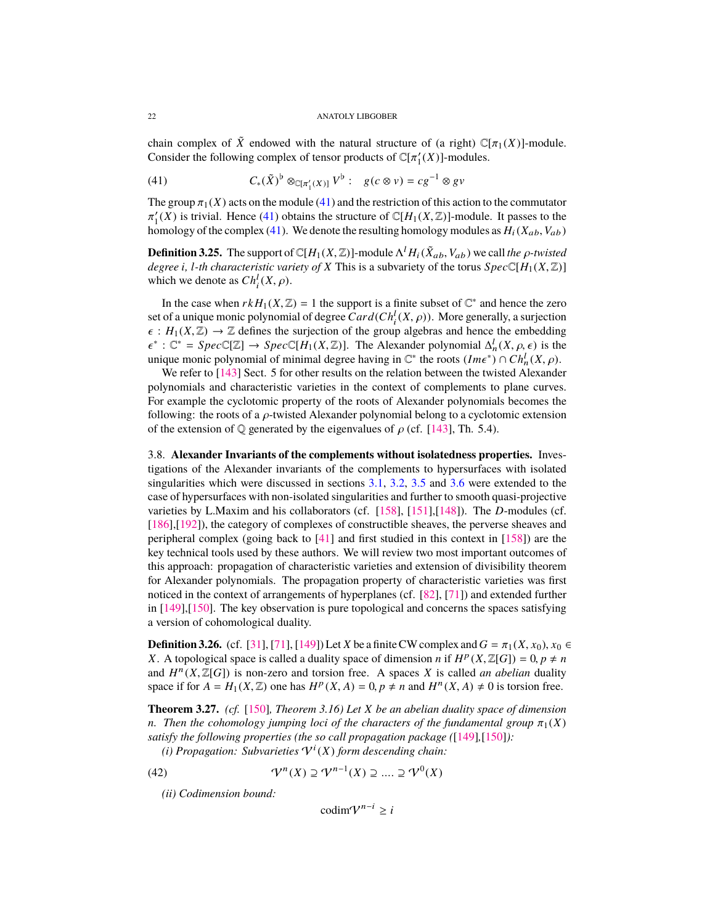<span id="page-21-2"></span>chain complex of  $\tilde{X}$  endowed with the natural structure of (a right)  $\mathbb{C}[\pi_1(X)]$ -module. Consider the following complex of tensor products of  $\mathbb{C}[\pi_1'(X)]$ -modules.

<span id="page-21-1"></span>(41) 
$$
C_*(\tilde{X})^{\flat} \otimes_{\mathbb{C}[\pi'_1(X)]} V^{\flat} : g(c \otimes v) = cg^{-1} \otimes gv
$$

The group  $\pi_1(X)$  acts on the module [\(41\)](#page-21-1) and the restriction of this action to the commutator homology of the complex [\(41\)](#page-21-1). We denote the resulting homology modules as  $H_i(X_{ab}, V_{ab})$  $\frac{1}{2}(X)$  is trivial. Hence [\(41\)](#page-21-1) obtains the structure of  $\mathbb{C}[H_1(X,\mathbb{Z})]$ -module. It passes to the complex (41) We denote the resulting homology modules as  $H_1(Y, Y, Y)$ 

**Definition 3.25.** The support of  $\mathbb{C}[H_1(X,\mathbb{Z})]$ -module  $\Lambda^l H_i(\tilde{X}_{ab}, V_{ab})$  we call *the*  $\rho$ *-twisted* degree *i* Lth characteristic variety of X This is a subvariety of the torus Spec $\mathbb{C}[H_1(X,\mathbb{Z})]$ *degree i*, *l*-th characteristic variety of *X* This is a subvariety of the torus  $Spec \mathbb{C}[H_1(X, \mathbb{Z})]$ which we denote as  $Ch_i^l(X, \rho)$ .

In the case when  $rkH_1(X, \mathbb{Z}) = 1$  the support is a finite subset of  $\mathbb{C}^*$  and hence the zero of a unique monic polynomial of degree  $Card(Ch^l(X, \alpha))$ . More generally a surjection set of a unique monic polynomial of degree  $Card(Ch_i^l(X, \rho))$ . More generally, a surjection  $\epsilon : H_i(Y | \mathbb{Z}) \to \mathbb{Z}$  defines the surjection of the group algebras and hence the embedding  $\epsilon: H_1(X, \mathbb{Z}) \to \mathbb{Z}$  defines the surjection of the group algebras and hence the embedding unique monic polynomial of minimal degree having in  $\mathbb{C}^*$  the roots  $(Im \epsilon^*) \cap Ch_n^l(X, \rho)$ .<br>We refer to [143] Sect. 5 for other results on the relation between the twisted Alexande <sup>∗</sup>:  $\mathbb{C}^* = Spec \mathbb{C}[\mathbb{Z}] \rightarrow Spec \mathbb{C}[H_1(X, \mathbb{Z})]$ . The Alexander polynomial  $\Delta_n^l(X, \rho, \epsilon)$  is the nonic polynomial of minimal degree having in  $\mathbb{C}^*$  the roots  $(lme^*) \circ Ch^l(X, \alpha)$ 

We refer to [\[143\]](#page-50-2) Sect. 5 for other results on the relation between the twisted Alexander polynomials and characteristic varieties in the context of complements to plane curves. For example the cyclotomic property of the roots of Alexander polynomials becomes the following: the roots of a  $\rho$ -twisted Alexander polynomial belong to a cyclotomic extension of the extension of  $\mathbb Q$  generated by the eigenvalues of  $\rho$  (cf. [\[143\]](#page-50-2), Th. 5.4).

<span id="page-21-0"></span>3.8. **Alexander Invariants of the complements without isolatedness properties.** Investigations of the Alexander invariants of the complements to hypersurfaces with isolated singularities which were discussed in sections [3.1,](#page-6-2) [3.2,](#page-8-3) [3.5](#page-15-5) and [3.6](#page-18-5) were extended to the case of hypersurfaces with non-isolated singularities and further to smooth quasi-projective varieties by L.Maxim and his collaborators (cf. [\[158\]](#page-51-9), [\[151\]](#page-50-14),[\[148\]](#page-50-15)). The *D*-modules (cf. [\[186\]](#page-52-11),[\[192\]](#page-52-12)), the category of complexes of constructible sheaves, the perverse sheaves and peripheral complex (going back to  $[41]$  and first studied in this context in  $[158]$ ) are the key technical tools used by these authors. We will review two most important outcomes of this approach: propagation of characteristic varieties and extension of divisibility theorem for Alexander polynomials. The propagation property of characteristic varieties was first noticed in the context of arrangements of hyperplanes (cf. [\[82\]](#page-48-17), [\[71\]](#page-48-18)) and extended further in [\[149\]](#page-50-16),[\[150\]](#page-50-17). The key observation is pure topological and concerns the spaces satisfying a version of cohomological duality.

**Definition 3.26.** (cf. [\[31\]](#page-46-9), [\[71\]](#page-48-18), [\[149\]](#page-50-16)) Let *X* be a finite CW complex and  $G = \pi_1(X, x_0)$ ,  $x_0 \in$ *X*. A topological space is called a duality space of dimension *n* if  $H^p(X, \mathbb{Z}[G]) = 0, p \neq n$ <br>and  $H^n(X, \mathbb{Z}[G])$  is non-zero and torsion free. A spaces *X* is called *an abelian* duality and  $H^{n}(X, \mathbb{Z}[G])$  is non-zero and torsion free. A spaces *X* is called *an abelian* duality space if for  $A = H(X \mathbb{Z})$  one has  $H^{p}(X, A) = 0$   $p \neq n$  and  $H^{n}(X, A) \neq 0$  is torsion free. space if for  $A = H_1(X, \mathbb{Z})$  one has  $H^p(X, A) = 0, p \neq n$  and  $H^n(X, A) \neq 0$  is torsion free.

**Theorem 3.27.** *(cf.* [\[150\]](#page-50-17)*, Theorem 3.16) Let X be an abelian duality space of dimension n.* Then the cohomology jumping loci of the characters of the fundamental group  $\pi_1(X)$ *satisfy the following properties (the so call propagation package (*[\[149\]](#page-50-16)*,*[\[150\]](#page-50-17)*):*

(*i*) Propagation: Subvarieties  $V^{i}(X)$  form descending chain:

(42) 
$$
\mathcal{V}^n(X) \supseteq \mathcal{V}^{n-1}(X) \supseteq \dots \supseteq \mathcal{V}^0(X)
$$

*(ii) Codimension bound:*

codim $V^{n-i} \geq i$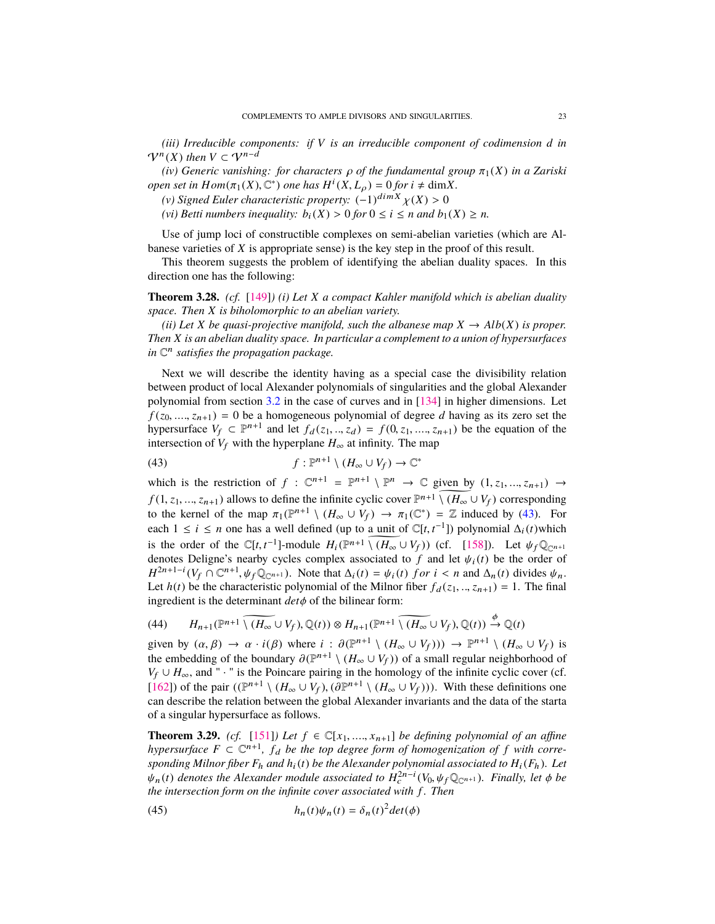<span id="page-22-1"></span>*(iii) Irreducible components: if V is an irreducible component of codimension d in*  $\mathcal{V}^n(X)$  then  $V \subset \mathcal{V}^{n-d}$ 

*(iv) Generic vanishing: for characters*  $\rho$  *of the fundamental group*  $\pi_1(X)$  *in a Zariski open set in*  $Hom(\pi_1(X), \mathbb{C}^*)$  *one has*  $H^i(X, L_\rho) = 0$  *for*  $i \neq dimX$ .<br>(*v*) *Signed Eular characteristic property:*  $(-1)^{dimX} y(X) > 0$ .

- (*v*) Signed Euler characteristic property:  $(-1)^{\dim X} \chi(X) > 0$ <br>(*vi*) Retti numbers inequality:  $h_1(Y) > 0$  for  $0 \le i \le n$  and  $h_1$
- *(vi) Betti numbers inequality:*  $b_i(X) > 0$  *for*  $0 \le i \le n$  *and*  $b_1(X) \ge n$ *.*

Use of jump loci of constructible complexes on semi-abelian varieties (which are Albanese varieties of *X* is appropriate sense) is the key step in the proof of this result.

This theorem suggests the problem of identifying the abelian duality spaces. In this direction one has the following:

**Theorem 3.28.** *(cf.* [\[149\]](#page-50-16)*) (i) Let X a compact Kahler manifold which is abelian duality space. Then X is biholomorphic to an abelian variety.*

*(ii)* Let *X* be quasi-projective manifold, such the albanese map  $X \to Alb(X)$  is proper. *Then X is an abelian duality space. In particular a complement to a union of hypersurfaces in* C n *satisfies the propagation package.*

Next we will describe the identity having as a special case the divisibility relation between product of local Alexander polynomials of singularities and the global Alexander polynomial from section [3.2](#page-8-3) in the case of curves and in [\[134\]](#page-50-7) in higher dimensions. Let  $f(z_0, ..., z_{n+1}) = 0$  be a homogeneous polynomial of degree *d* having as its zero set the hypersurface  $V_f \nightharpoonup P^{n+1}$  and let  $f_d(z_1, ..., z_d) = f(0, z_1, ..., z_{n+1})$  be the equation of the intersection of  $V_c$  with the hypersurface  $H$  at infinity. The man intersection of  $V_f$  with the hyperplane  $H_\infty$  at infinity. The map

<span id="page-22-0"></span>(43) 
$$
f: \mathbb{P}^{n+1} \setminus (H_{\infty} \cup V_f) \to \mathbb{C}^*
$$

which is the restriction of  $f : \mathbb{C}^{n+1} = \mathbb{P}^{n+1} \setminus \mathbb{P}^n \to \mathbb{C}$  given by  $(1, z_1, ..., z_{n+1}) \to$ *f* (1, *z*<sub>1</sub>, ..., *z*<sub>n+1</sub>) allows to define the infinite cyclic cover  $\mathbb{P}^{n+1}\setminus (H_\infty \cup V_f)$  corresponding to the kernel of the man  $\pi$  ( $\mathbb{P}^{n+1}\setminus (H_\infty \cup V_f) \to \pi$  is  $(\mathbb{C}^*) = \mathbb{Z}$  induced by (43). For to the kernel of the map  $\pi_1(\mathbb{P}^{n+1} \setminus (H_\infty \cup V_f) \to \pi_1(\mathbb{C}^*) = \mathbb{Z}$  induced by [\(43\)](#page-22-0). For each  $1 \le i \le n$  one has a well defined (up to a unit of  $\mathbb{C}[t, t^{-1}]$ ) polynomial  $\Delta_i(t)$  which is the order of the  $\mathbb{C}[t, t^{-1}]$ -module  $H_i(\mathbb{P}^{n+1}\setminus (H_\infty \cup V_f))$  (cf. [\[158\]](#page-51-9)). Let  $\psi_f \mathbb{Q}_{\mathbb{C}^{n+1}}$ denotes Deligne's nearby cycles complex associated to *f* and let  $\psi_i(t)$  be the order of  $H^{2n+1-i}(V_f \cap \mathbb{C}^{n+1}, \psi_f \mathbb{Q}_{\mathbb{C}^{n+1}})$ . Note that  $\Delta_i(t) = \psi_i(t)$  *f or i* < *n* and  $\Delta_n(t)$  divides  $\psi_n$ . Let  $h(t)$  be the characteristic polynomial of the Milnor fiber  $f_d(z_1, ..., z_{n+1}) = 1$ . The final ingredient is the determinant *det*φ of the bilinear form:

(44) 
$$
H_{n+1}(\mathbb{P}^{n+1} \setminus \widetilde{(H_{\infty} \cup V_f)}, \mathbb{Q}(t)) \otimes H_{n+1}(\mathbb{P}^{n+1} \setminus \widetilde{(H_{\infty} \cup V_f)}, \mathbb{Q}(t)) \xrightarrow{\phi} \mathbb{Q}(t)
$$

given by  $(\alpha, \beta) \to \alpha \cdot i(\beta)$  where  $i : \partial(\mathbb{P}^{n+1} \setminus (H_\infty \cup V_f))) \to \mathbb{P}^{n+1} \setminus (H_\infty \cup V_f)$  is<br>the embedding of the boundary  $\partial(\mathbb{P}^{n+1} \setminus (H_\infty \cup V_f))$  of a small regular peighborhood of the embedding of the boundary  $\partial (\mathbb{P}^{n+1} \setminus (H_\infty \cup V_f))$  of a small regular neighborhood of  $V_{\leq n+1}$  and " i " is the Poincare pairing in the homology of the infinite cyclic cover (cf *V<sub>f</sub>* ∪ *H*<sub>∞</sub>, and " · " is the Poincare pairing in the homology of the infinite cyclic cover (cf. [\[162\]](#page-51-15)) of the pair  $((\mathbb{P}^{n+1} \setminus (H_\infty \cup V_f), (\partial \mathbb{P}^{n+1} \setminus (H_\infty \cup V_f)))$ . With these definitions one<br>can describe the relation between the global Alexander invariants and the data of the starta can describe the relation between the global Alexander invariants and the data of the starta of a singular hypersurface as follows.

**Theorem 3.29.** *(cf.* [\[151\]](#page-50-14)*)* Let  $f \in \mathbb{C}[x_1, ..., x_{n+1}]$  be defining polynomial of an affine *hypersurface*  $F \subset \mathbb{C}^{n+1}$ ,  $f_d$  be the top degree form of homogenization of f with corre*sponding Milnor fiber*  $F_h$  *and*  $h_i(t)$  *be the Alexander polynomial associated to*  $H_i(F_h)$ *. Let*  $\psi_n(t)$  denotes the Alexander module associated to  $H_c^{2n-i}(V_0, \psi_f \mathbb{Q}_{\mathbb{C}^{n+1}})$ . Finally, let  $\phi$  be *the intersection form on the infinite cover associated with f . Then*

(45) 
$$
h_n(t)\psi_n(t) = \delta_n(t)^2 det(\phi)
$$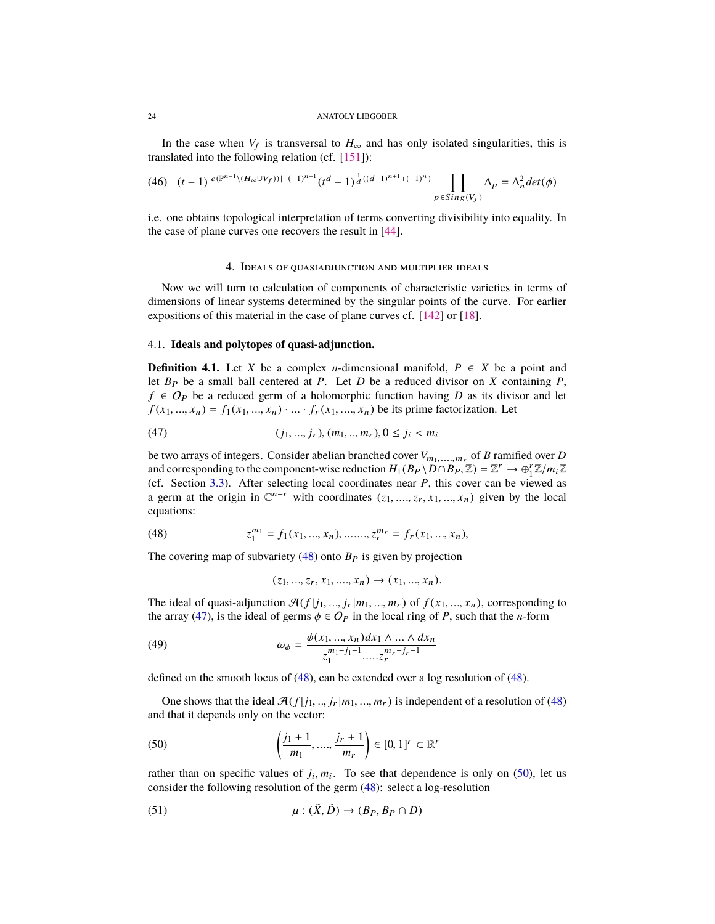<span id="page-23-7"></span>In the case when  $V_f$  is transversal to  $H_\infty$  and has only isolated singularities, this is translated into the following relation (cf.  $[151]$ ):

$$
(46)\quad (t-1)^{|e(\mathbb{P}^{n+1})(H_\infty \cup V_f))|+(-1)^{n+1}}(t^d-1)^{\frac{1}{d}((d-1)^{n+1}+(-1)^n)}\prod_{p\in Sing(V_f)}\Delta_p=\Delta_n^2det(\phi)
$$

i.e. one obtains topological interpretation of terms converting divisibility into equality. In the case of plane curves one recovers the result in [\[44\]](#page-47-6).

## 4. Ideals of quasiadjunction and multiplier ideals

<span id="page-23-0"></span>Now we will turn to calculation of components of characteristic varieties in terms of dimensions of linear systems determined by the singular points of the curve. For earlier expositions of this material in the case of plane curves cf. [\[142\]](#page-50-18) or [\[18\]](#page-46-10).

# <span id="page-23-6"></span>4.1. **Ideals and polytopes of quasi-adjunction.**

**Definition 4.1.** Let *X* be a complex *n*-dimensional manifold,  $P \in X$  be a point and let  $B_P$  be a small ball centered at *P*. Let *D* be a reduced divisor on *X* containing *P*, *f* ∈  $O_P$  be a reduced germ of a holomorphic function having *D* as its divisor and let  $f(x_1, ..., x_n) = f_1(x_1, ..., x_n) \cdot ... \cdot f_r(x_1, ..., x_n)$  be its prime factorization. Let

<span id="page-23-2"></span>(47) 
$$
(j_1, ..., j_r), (m_1, ..., m_r), 0 \le j_i < m_i
$$

be two arrays of integers. Consider abelian branched cover  $V_{m_1,...,m_r}$  of *B* ramified over *D*<br>and corresponding to the component wise reduction  $H(P_1 \n\setminus D \cap P_2 \n\setminus \mathbb{Z}) = \mathbb{Z}^r \longrightarrow \mathbb{Z}^r \mathbb{Z}^r$ and corresponding to the component-wise reduction  $H_1(B_P \setminus D \cap B_P, \mathbb{Z}) = \mathbb{Z}^r \to \bigoplus_{i=1}^r \mathbb{Z}/m_i \mathbb{Z}$ <br>(cf. Section 3.3) After selecting local coordinates near *P*, this cover can be viewed as (cf. Section [3.3\)](#page-10-0). After selecting local coordinates near *P*, this cover can be viewed as a germ at the origin in  $\mathbb{C}^{n+r}$  with coordinates  $(z_1, ..., z_r, x_1, ..., x_n)$  given by the local equations: equations:

(48) 
$$
z_1^{m_1} = f_1(x_1, ..., x_n), \dots, z_r^{m_r} = f_r(x_1, ..., x_n),
$$

The covering map of subvariety  $(48)$  onto  $B<sub>P</sub>$  is given by projection

<span id="page-23-5"></span><span id="page-23-1"></span>
$$
(z_1, ..., z_r, x_1, ..., x_n) \to (x_1, ..., x_n).
$$

The ideal of quasi-adjunction  $\mathcal{A}(f|j_1, ..., j_r|m_1, ..., m_r)$  of  $f(x_1, ..., x_n)$ , corresponding to the array [\(47\)](#page-23-2), is the ideal of germs  $\phi \in O_P$  in the local ring of *P*, such that the *n*-form

(49) 
$$
\omega_{\phi} = \frac{\phi(x_1, ..., x_n)dx_1 \wedge ... \wedge dx_n}{z_1^{m_1-j_1-1}....z_r^{m_r-j_r-1}}
$$

defined on the smooth locus of [\(48\)](#page-23-1), can be extended over a log resolution of [\(48\)](#page-23-1).

One shows that the ideal  $\mathcal{A}(f|_{i_1},...,i_r|m_1,...,m_r)$  is independent of a resolution of [\(48\)](#page-23-1) and that it depends only on the vector:

<span id="page-23-3"></span>(50) 
$$
\left(\frac{j_1+1}{m_1}, \dots, \frac{j_r+1}{m_r}\right) \in [0,1]^r \subset \mathbb{R}^r
$$

rather than on specific values of  $j_i, m_i$ . To see that dependence is only on [\(50\)](#page-23-3), let us<br>consider the following resolution of the germ  $(48)$ ; select a log-resolution consider the following resolution of the germ [\(48\)](#page-23-1): select a log-resolution

<span id="page-23-4"></span>(51) 
$$
\mu : (\tilde{X}, \tilde{D}) \to (B_P, B_P \cap D)
$$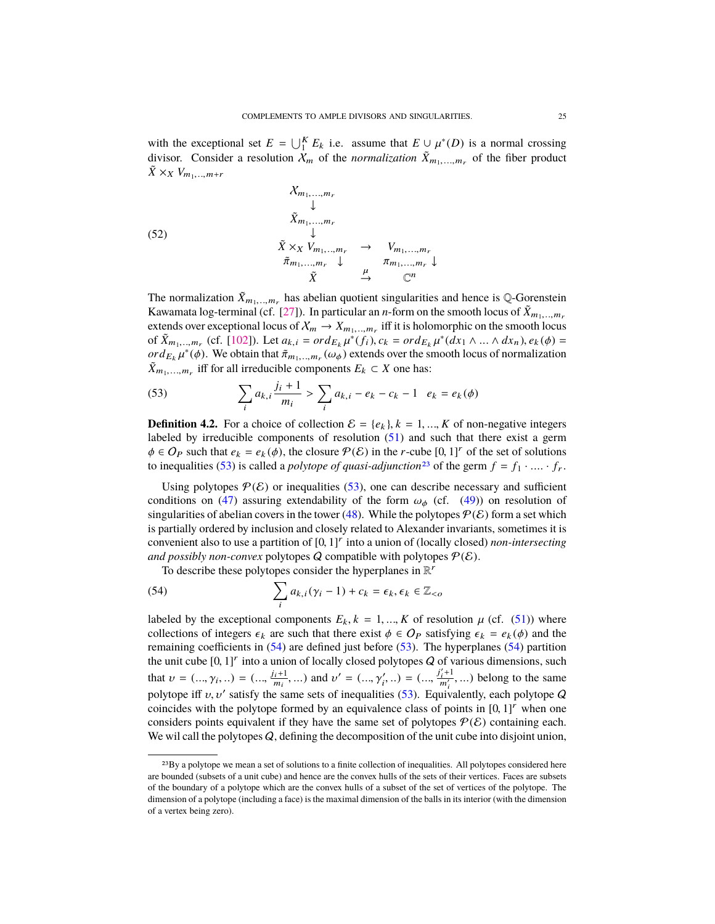<span id="page-24-3"></span>with the exceptional set  $E = \bigcup_{i=1}^{K} E_k$  i.e. assume that  $E \cup \mu^*(D)$  is a normal crossing divisor. Consider a resolution  $Y$  of the normalization  $\tilde{Y}$  of the fiber product divisor. Consider a resolution  $\chi_m$  of the *normalization*  $\tilde{X}_{m_1,...,m_r}$  of the fiber product  $\tilde{X} \times_X V_{m_1, \ldots, m+r}$ 

(52)  
\n
$$
\begin{array}{ccc}\n\chi_{m_1,\ldots,m_r} & \downarrow & \\
\bar{X}_{m_1,\ldots,m_r} & \downarrow & \\
\bar{X} \times_X V_{m_1,\ldots,m_r} & \to & V_{m_1,\ldots,m_r} \\
\bar{\pi}_{m_1,\ldots,m_r} & \downarrow & \pi_{m_1,\ldots,m_r} \\
\bar{X} & \to & \mathbb{C}^n\n\end{array}
$$

The normalization  $\tilde{X}_{m_1,...,m_r}$  has abelian quotient singularities and hence is Q-Gorenstein<br>Kaysanta log terminal (of [27]). In perticular an a form on the smooth logy of  $\tilde{Y}$ Kawamata log-terminal (cf. [\[27\]](#page-46-11)). In particular an *n*-form on the smooth locus of  $\bar{X}_{m_1, \dots, m_r}$ extends over exceptional locus of  $X_m \to X_{m_1,\dots,m_r}$  iff it is holomorphic on the smooth locus<br>of  $\tilde{Y}$  (of [102]) Let  $g_n = \alpha r d$ ,  $u^*(f_n) = \alpha r d$ ,  $u^*(dx_n) = \alpha dx$ ,  $g(x) = g(x)$ of  $\tilde{X}_{m_1,...,m_r}$  (cf. [\[102\]](#page-49-20)). Let  $a_{k,i} = ord_{E_k} \mu^*(f_i), c_k = ord_{E_k} \mu^*(dx_1 \wedge ... \wedge dx_n), e_k(\phi) =$ <br>order  $\mu^*(\phi)$ . We obtain that  $\tilde{\pi}$  (*(a,)*) extends over the smooth locus of normalization  $\tilde{\mathbf{v}}$   $\tilde{\mathbf{v}}$   $\tilde{\mathbf{v}}$   $\tilde{\mathbf{v}}$   $\tilde{\mathbf{v}}$   $\tilde{\mathbf{v}}$   $\tilde{\mathbf{v}}$   $\tilde{\mathbf{v}}$   $\tilde{\mathbf{v}}$   $\tilde{\mathbf{v}}$   $\tilde{\mathbf{v}}$   $\tilde{\mathbf{v}}$   $\tilde{\mathbf{v}}$   $\tilde{\mathbf{v}}$   $\tilde{\mathbf{v}}$   $\tilde{\mathbf{v}}$   $\tilde{\mathbf{v}}$   $\tilde{\mathbf{v}}$   $\tilde{\$  $\tilde{X}_{m_1,...,m_r}$  iff for all irreducible components  $E_k \subset X$  one has:

<span id="page-24-0"></span>(53) 
$$
\sum_{i} a_{k,i} \frac{j_i + 1}{m_i} > \sum_{i} a_{k,i} - e_k - c_k - 1 \quad e_k = e_k(\phi)
$$

**Definition 4.2.** For a choice of collection  $\mathcal{E} = \{e_k\}, k = 1, ..., K$  of non-negative integers labeled by irreducible components of resolution [\(51\)](#page-23-4) and such that there exist a germ  $\phi \in O_P$  such that  $e_k = e_k(\phi)$ , the closure  $\mathcal{P}(\mathcal{E})$  in the *r*-cube  $[0, 1]^r$  of the set of solutions to inequalities [\(53\)](#page-24-0) is called a *polytope of quasi-adjunction*<sup>[23](#page-24-1)</sup> of the germ  $f = f_1 \cdot ... \cdot f_r$ .

Using polytopes  $P(\mathcal{E})$  or inequalities [\(53\)](#page-24-0), one can describe necessary and sufficient conditions on [\(47\)](#page-23-2) assuring extendability of the form  $\omega_{\phi}$  (cf. [\(49\)](#page-23-5)) on resolution of singularities of abelian covers in the tower [\(48\)](#page-23-1). While the polytopes  $\mathcal{P}(\mathcal{E})$  form a set which is partially ordered by inclusion and closely related to Alexander invariants, sometimes it is convenient also to use a partition of  $[0, 1]^r$  into a union of (locally closed) *non-intersecting*<br>and possibly non-convex polytones  $\Omega$  compatible with polytones  $\mathcal{P}(\mathcal{E})$ *and possibly non-convex* polytopes  $Q$  compatible with polytopes  $P(E)$ .

<span id="page-24-2"></span>To describe these polytopes consider the hyperplanes in  $\mathbb{R}^r$ 

(54) 
$$
\sum_{i} a_{k,i} (\gamma_i - 1) + c_k = \epsilon_k, \epsilon_k \in \mathbb{Z}_{<\omega}
$$

labeled by the exceptional components  $E_k$ ,  $k = 1, ..., K$  of resolution  $\mu$  (cf. [\(51\)](#page-23-4)) where collections of integers  $\epsilon_k$  are such that there exist  $\phi \in O_P$  satisfying  $\epsilon_k = e_k(\phi)$  and the remaining coefficients in [\(54\)](#page-24-2) are defined just before [\(53\)](#page-24-0). The hyperplanes [\(54\)](#page-24-2) partition the unit cube  $[0, 1]^r$  into a union of locally closed polytopes Q of various dimensions, such that  $v = (..., \gamma_i, ...) = (..., \frac{j_i+1}{m_i})$  $\frac{i+1}{m_i}$ , ...) and  $v' = (..., \gamma'_i, ...) = (..., \frac{j'_i+1}{m'_i})$  $\frac{m_i^2}{m_i^2}$ , ...) belong to the same polytope iff  $v, v'$  satisfy the same sets of inequalities [\(53\)](#page-24-0). Equivalently, each polytope Q coincides with the polytope formed by an equivalence class of points in [0, 1]<sup>r</sup> when one coincides with the polytope formed by an equivalence class of points in  $[0, 1]^r$  when one considers points equivalent if they have the same set of polytopes  $P(\mathcal{E})$  containing each. We wil call the polytopes  $Q$ , defining the decomposition of the unit cube into disjoint union,

<span id="page-24-1"></span> $23By$  a polytope we mean a set of solutions to a finite collection of inequalities. All polytopes considered here are bounded (subsets of a unit cube) and hence are the convex hulls of the sets of their vertices. Faces are subsets of the boundary of a polytope which are the convex hulls of a subset of the set of vertices of the polytope. The dimension of a polytope (including a face) is the maximal dimension of the balls in its interior (with the dimension of a vertex being zero).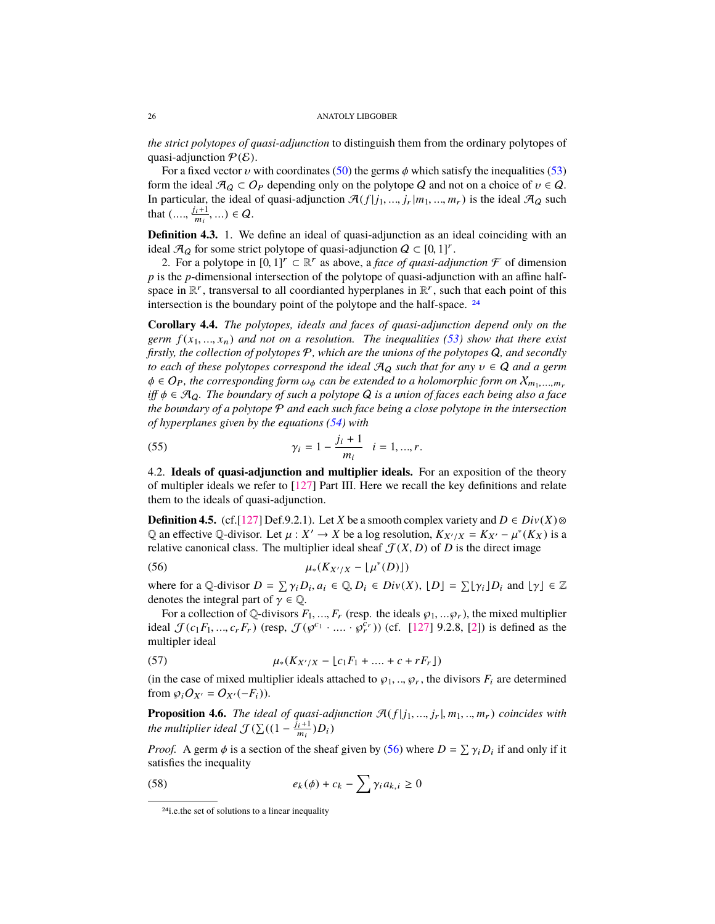<span id="page-25-4"></span>*the strict polytopes of quasi-adjunction* to distinguish them from the ordinary polytopes of quasi-adjunction  $P(E)$ .

For a fixed vector  $\nu$  with coordinates [\(50\)](#page-23-3) the germs  $\phi$  which satisfy the inequalities [\(53\)](#page-24-0) form the ideal  $\mathcal{A}_Q \subset O_P$  depending only on the polytope Q and not on a choice of  $v \in Q$ . In particular, the ideal of quasi-adjunction  $\mathcal{A}(f|j_1, ..., j_r|m_1, ..., m_r)$  is the ideal  $\mathcal{A}_Q$  such that  $\left( \ldots, \frac{j_i+1}{m_i} \right)$  $\frac{i+1}{m_i}, \ldots$ )  $\in Q$ .

<span id="page-25-3"></span>**Definition 4.3.** 1. We define an ideal of quasi-adjunction as an ideal coinciding with an ideal  $\mathcal{A}_Q$  for some strict polytope of quasi-adjunction  $Q \subset [0, 1]^r$ .<br>
2 For a polytope in  $[0, 1]^r \subset \mathbb{R}^r$  as above a face of quasi-adjunction

2. For a polytope in  $[0, 1]^r \subset \mathbb{R}^r$  as above, a *face of quasi-adjunction*  $\mathcal F$  of dimension<br>s the *n*-dimensional intersection of the polytope of quasi-adjunction with an affine half*p* is the *p*-dimensional intersection of the polytope of quasi-adjunction with an affine halfspace in  $\mathbb{R}^r$ , transversal to all coordianted hyperplanes in  $\mathbb{R}^r$ , such that each point of this intersection is the boundary point of the polytope and the half-space. [24](#page-25-0)

**Corollary 4.4.** *The polytopes, ideals and faces of quasi-adjunction depend only on the germ*  $f(x_1, \ldots, x_n)$  *and not on a resolution. The inequalities [\(53\)](#page-24-0) show that there exist firstly, the collection of polytopes* P*, which are the unions of the polytopes* Q*, and secondly to each of these polytopes correspond the ideal* <sup>A</sup><sup>Q</sup> *such that for any* <sup>υ</sup> ∈ Q *and a germ*  $\phi \in O_P$ , the corresponding form  $\omega_{\phi}$  can be extended to a holomorphic form on  $X_{m_1,...,m_r}$ *iff* φ ∈ AQ*. The boundary of such a polytope* <sup>Q</sup> *is a union of faces each being also a face the boundary of a polytope* P *and each such face being a close polytope in the intersection of hyperplanes given by the equations [\(54\)](#page-24-2) with*

(55) 
$$
\gamma_i = 1 - \frac{j_i + 1}{m_i} \quad i = 1, ..., r.
$$

4.2. **Ideals of quasi-adjunction and multiplier ideals.** For an exposition of the theory of multipler ideals we refer to [\[127\]](#page-50-5) Part III. Here we recall the key definitions and relate them to the ideals of quasi-adjunction.

**Definition 4.5.** (cf.[\[127\]](#page-50-5) Def.9.2.1). Let *X* be a smooth complex variety and  $D \in Div(X) \otimes$ Q an effective Q-divisor. Let  $\mu$  :  $X' \to X$  be a log resolution,  $K_{X'/X} = K_{X'} - \mu^*(K_X)$  is a relative canonical class. The multiplier ideal sheaf  $\mathcal{F}(X, D)$  of D is the direct image relative canonical class. The multiplier ideal sheaf  $\mathcal{J}(X, D)$  of *D* is the direct image

<span id="page-25-1"></span>
$$
\mu_*(K_{X'/X} - \lfloor \mu^*(D) \rfloor)
$$

where for a Q-divisor  $D = \sum \gamma_i D_i$ ,  $a_i \in \mathbb{Q}$ ,  $D_i \in Div(X)$ ,  $[D] = \sum [\gamma_i] D_i$  and  $[\gamma] \in \mathbb{Z}$ <br>denotes the integral part of  $\gamma \in \mathbb{Q}$ . denotes the integral part of  $\gamma \in \mathbb{Q}$ .

For a collection of Q-divisors  $F_1, ..., F_r$  (resp. the ideals  $\varphi_1, ..., \varphi_r$ ), the mixed multiplier ideal  $\mathcal{J}(c_1F_1, ..., c_rF_r)$  (resp,  $\mathcal{J}(\varphi^{c_1} \cdot ... \cdot \varphi_r^{c_r})$ ) (cf. [\[127\]](#page-50-5) 9.2.8, [\[2\]](#page-45-2)) is defined as the multipler ideal multipler ideal

(57) 
$$
\mu_*(K_{X'/X} - \lfloor c_1 F_1 + \dots + c + r F_r \rfloor)
$$

(in the case of mixed multiplier ideals attached to  $\wp_1, ..., \wp_r$ , the divisors  $F_i$  are determined from  $\wp_1 O_{\mathcal{U}} = O_{\mathcal{U}}(-F_i)$ ) from  $\wp_i O_{X'} = O_{X'}(-F_i)$ .

<span id="page-25-2"></span>**Proposition 4.6.** *The ideal of quasi-adjunction*  $\mathcal{A}(f|j_1, ..., j_r|, m_1, ..., m_r)$  *coincides with the multiplier ideal*  $\mathcal{J}(\sum((1 - \frac{j_i+1}{m_i})D_i)$  $\frac{i+1}{m_i}$ ) $D_i$ )

*Proof.* A germ  $\phi$  is a section of the sheaf given by [\(56\)](#page-25-1) where  $D = \sum \gamma_i D_i$  if and only if it satisfies the inequality satisfies the inequality

(58) 
$$
e_k(\phi) + c_k - \sum \gamma_i a_{k,i} \ge 0
$$

<span id="page-25-0"></span><sup>24</sup>i.e.the set of solutions to a linear inequality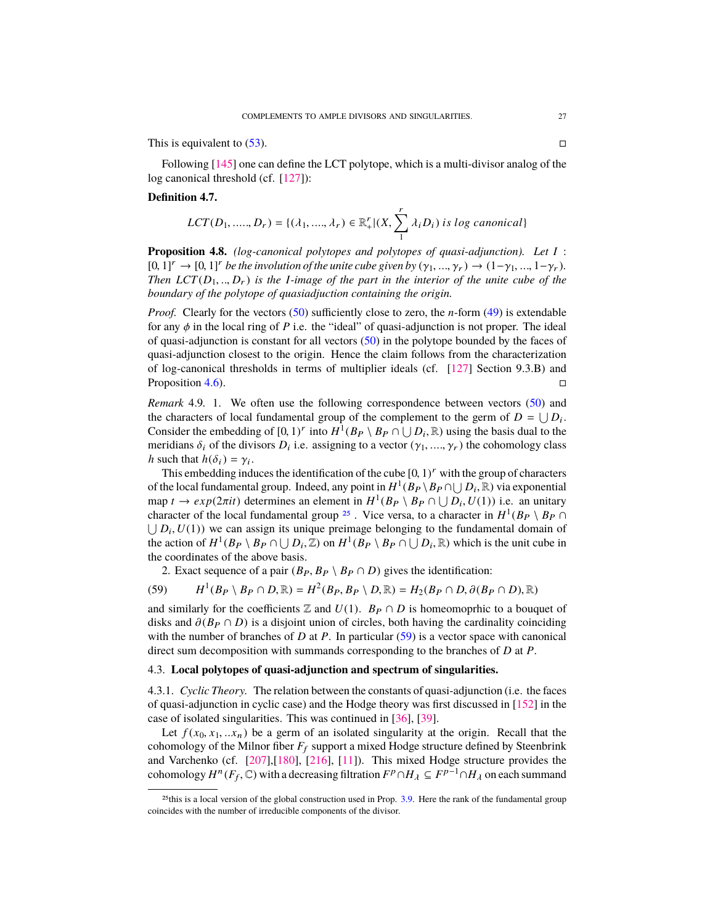<span id="page-26-3"></span>This is equivalent to  $(53)$ .

Following [\[145\]](#page-50-19) one can define the LCT polytope, which is a multi-divisor analog of the log canonical threshold (cf. [\[127\]](#page-50-5)):

## **Definition 4.7.**

$$
LCT(D_1, \ldots, D_r) = \{(\lambda_1, \ldots, \lambda_r) \in \mathbb{R}_+^r | (X, \sum_1^r \lambda_i D_i) \; is \; log \; canonical \}
$$

**Proposition 4.8.** *(log-canonical polytopes and polytopes of quasi-adjunction). Let I* :  $[0, 1]^r \rightarrow [0, 1]^r$  *be the involution of the unite cube given by*  $(\gamma_1, ..., \gamma_r) \rightarrow (1-\gamma_1, ..., 1-\gamma_r)$ *. Then*  $LCT(D_1, ..., D_r)$  *is the I-image of the part in the interior of the unite cube of the boundary of the polytope of quasiadjuction containing the origin.*

*Proof.* Clearly for the vectors [\(50\)](#page-23-3) sufficiently close to zero, the *n*-form [\(49\)](#page-23-5) is extendable for any  $\phi$  in the local ring of *P* i.e. the "ideal" of quasi-adjunction is not proper. The ideal of quasi-adjunction is constant for all vectors [\(50\)](#page-23-3) in the polytope bounded by the faces of quasi-adjunction closest to the origin. Hence the claim follows from the characterization of log-canonical thresholds in terms of multiplier ideals (cf. [\[127\]](#page-50-5) Section 9.3.B) and Proposition [4.6\)](#page-25-2).

<span id="page-26-2"></span>*Remark* 4.9*.* 1. We often use the following correspondence between vectors [\(50\)](#page-23-3) and the characters of local fundamental group of the complement to the germ of  $D = \bigcup D_i$ . Consider the embedding of  $[0, 1)^r$  into  $H^1(B_P \setminus B_P \cap \bigcup D_i, \mathbb{R})$  using the basis dual to the meridians  $\delta$ , of the divisors  $D$ , i.e. assigning to a vector  $(\chi, \chi)$  the cohomology class meridians  $\delta_i$  of the divisors  $D_i$  i.e. assigning to a vector  $(\gamma_1, ..., \gamma_r)$  the cohomology class h such that  $h(\delta_1) = \gamma_i$ . *h* such that  $h(\delta_i) = \gamma_i$ .<br>This embedding indi-

This embedding induces the identification of the cube  $[0, 1)^r$  with the group of characters<br>the local fundamental group. Indeed, any point in  $H^1(B_R)$ ,  $B_R$   $\cap$   $[1, R]$ .  $\mathbb{R}$ ) via exponential of the local fundamental group. Indeed, any point in  $H^1(B_P \setminus B_P \cap \bigcup D_i, \mathbb{R})$  via exponential<br>man  $t \to e \nu n(2\pi i t)$  determines an element in  $H^1(B_P \setminus B_P \cap \bigcup D_i, U(1))$  i.e., an unitary map  $t \to exp(2\pi i t)$  determines an element in  $H^1(B_P \setminus B_P \cap \bigcup D_i, U(1))$  i.e. an unitary character of the local fundamental group 25. Vice versa, to a character in  $H^1(B_R \setminus B_R \cap$ character of the local fundamental group <sup>[25](#page-26-0)</sup>. Vice versa, to a character in  $H^1(B_P \setminus B_P \cap$  $\bigcup D_i$ ,  $U(1)$ ) we can assign its unique preimage belonging to the fundamental domain of the action of  $H^1(B_R \setminus B_R \cap \square | D \subseteq \mathbb{Z})$  on  $H^1(B_R \setminus B_R \cap \square | D \subseteq \mathbb{R})$  which is the unit cube in the action of  $H^1(B_P \setminus B_P \cap \bigcup D_i, \mathbb{Z})$  on  $H^1(\overline{B_P} \setminus B_P \cap \bigcup D_i, \mathbb{R})$  which is the unit cube in the coordinates of the above basis the coordinates of the above basis.

<span id="page-26-1"></span>2. Exact sequence of a pair  $(B_P, B_P \setminus B_P \cap D)$  gives the identification:

(59) 
$$
H^1(B_P \setminus B_P \cap D, \mathbb{R}) = H^2(B_P, B_P \setminus D, \mathbb{R}) = H_2(B_P \cap D, \partial(B_P \cap D), \mathbb{R})
$$

and similarly for the coefficients  $\mathbb Z$  and  $U(1)$ .  $B_P \cap D$  is homeomoprhic to a bouquet of disks and  $\partial (B_P \cap D)$  is a disjoint union of circles, both having the cardinality coinciding with the number of branches of *D* at *P*. In particular [\(59\)](#page-26-1) is a vector space with canonical direct sum decomposition with summands corresponding to the branches of *D* at *P*.

## 4.3. **Local polytopes of quasi-adjunction and spectrum of singularities.**

4.3.1. *Cyclic Theory.* The relation between the constants of quasi-adjunction (i.e. the faces of quasi-adjunction in cyclic case) and the Hodge theory was first discussed in [\[152\]](#page-50-20) in the case of isolated singularities. This was continued in [\[36\]](#page-47-12), [\[39\]](#page-47-9).

Let  $f(x_0, x_1, \ldots, x_n)$  be a germ of an isolated singularity at the origin. Recall that the cohomology of the Milnor fiber  $F_f$  support a mixed Hodge structure defined by Steenbrink and Varchenko (cf. [\[207\]](#page-52-13),[\[180\]](#page-51-16), [\[216\]](#page-53-5), [\[11\]](#page-46-12)). This mixed Hodge structure provides the cohomology  $H^n(F_f, \mathbb{C})$  with a decreasing filtration  $F^p \cap H_\lambda \subseteq F^{p-1} \cap H_\lambda$  on each summand

<span id="page-26-0"></span><sup>&</sup>lt;sup>25</sup>this is a local version of the global construction used in Prop. [3.9.](#page-13-4) Here the rank of the fundamental group coincides with the number of irreducible components of the divisor.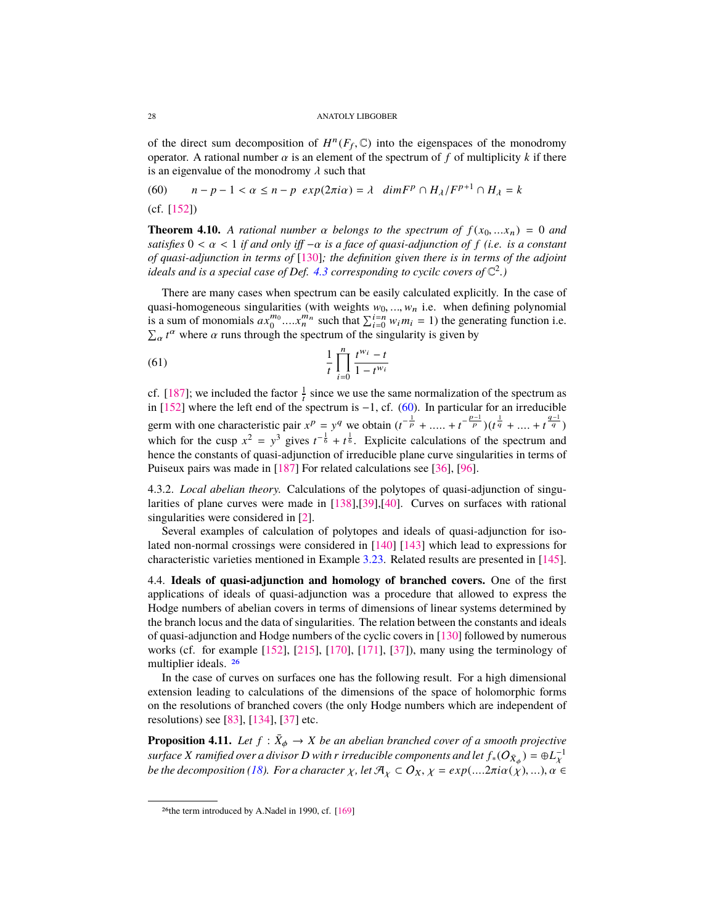<span id="page-27-3"></span>of the direct sum decomposition of  $H^n(F_f, \mathbb{C})$  into the eigenspaces of the monodromy<br>operator. A rational number  $\alpha$  is an element of the spectrum of f of multiplicity k if there operator. A rational number  $\alpha$  is an element of the spectrum of f of multiplicity k if there is an eigenvalue of the monodromy  $\lambda$  such that<br>(60)  $n - p - 1 < \alpha \le n - p \exp(2\pi i \alpha) =$ 

<span id="page-27-0"></span>(60)  $n - p - 1 < \alpha \le n - p$  *exp*(2π*i*α) = λ *dimF<sup>p</sup></sup>* ∩ *H*<sub>λ</sub>/*F*<sup>*p*+1</sup> ∩ *H*<sub>λ</sub> = *k* (cf. [\[152\]](#page-50-20))

**Theorem 4.10.** *A rational number*  $\alpha$  *belongs to the spectrum of*  $f(x_0, \ldots, x_n) = 0$  *and satisfies* <sup>0</sup> < α < <sup>1</sup> *if and only iff* <sup>−</sup>α *is a face of quasi-adjunction of <sup>f</sup> (i.e. is a constant of quasi-adjunction in terms of* [\[130\]](#page-50-21)*; the definition given there is in terms of the adjoint ideals and is a special case of Def. [4.3](#page-25-3) corresponding to cycilc covers of* C 2 *.)*

There are many cases when spectrum can be easily calculated explicitly. In the case of quasi-homogeneous singularities (with weights  $w_0$ , ...,  $w_n$  i.e. when defining polynomial is a sum of monomials  $ax_0^{m_0}$ .... $x_n^{m_n}$  such that  $\sum_{i=0}^{i=n} w_i m_i = 1$ ) the generating function i.e.  $\sum_{\alpha} t^{\alpha}$  where  $\alpha$  runs through the spectrum of the singularity is given by

(61) 
$$
\frac{1}{t} \prod_{i=0}^{n} \frac{t^{w_i} - t}{1 - t^{w_i}}
$$

cf. [\[187\]](#page-52-14); we included the factor  $\frac{1}{t}$  since we use the same normalization of the spectrum as in [\[152\]](#page-50-20) where the left end of the spectrum is −1, cf. [\(60\)](#page-27-0). In particular for an irreducible germ with one characteristic pair  $x^p = y^q$  we obtain  $(t^{-\frac{1}{p}} + \dots + t^{-\frac{p-1}{p}})(t^{\frac{1}{q}} + \dots + t^{\frac{q-1}{q}})$ which for the cusp  $x^2 = y^3$  gives  $t^{-\frac{1}{6}} + t^{\frac{1}{6}}$ . Explicite calculations of the spectrum and hence the constants of quasi-adjunction of irreducible plane curve singularities in terms of Puiseux pairs was made in [\[187\]](#page-52-14) For related calculations see [\[36\]](#page-47-12), [\[96\]](#page-49-21).

4.3.2. *Local abelian theory.* Calculations of the polytopes of quasi-adjunction of singularities of plane curves were made in [\[138\]](#page-50-22),[\[39\]](#page-47-9),[\[40\]](#page-47-10). Curves on surfaces with rational singularities were considered in [\[2\]](#page-45-2).

Several examples of calculation of polytopes and ideals of quasi-adjunction for isolated non-normal crossings were considered in [\[140\]](#page-50-6) [\[143\]](#page-50-2) which lead to expressions for characteristic varieties mentioned in Example [3.23.](#page-20-2) Related results are presented in [\[145\]](#page-50-19).

4.4. **Ideals of quasi-adjunction and homology of branched covers.** One of the first applications of ideals of quasi-adjunction was a procedure that allowed to express the Hodge numbers of abelian covers in terms of dimensions of linear systems determined by the branch locus and the data of singularities. The relation between the constants and ideals of quasi-adjunction and Hodge numbers of the cyclic covers in [\[130\]](#page-50-21) followed by numerous works (cf. for example [\[152\]](#page-50-20), [\[215\]](#page-52-15), [\[170\]](#page-51-17), [\[171\]](#page-51-18), [\[37\]](#page-47-13)), many using the terminology of multiplier ideals. [26](#page-27-1)

In the case of curves on surfaces one has the following result. For a high dimensional extension leading to calculations of the dimensions of the space of holomorphic forms on the resolutions of branched covers (the only Hodge numbers which are independent of resolutions) see [\[83\]](#page-48-19), [\[134\]](#page-50-7), [\[37\]](#page-47-13) etc.

<span id="page-27-2"></span>**Proposition 4.11.** Let  $f : \overline{X}_{\phi} \to X$  be an abelian branched cover of a smooth projective<br>gyogle is *X* gamified away divisor David a junctually comparents and let  $f(G) \geq 0.1$ *surface X ramified over a divisor D with r irreducible components and let*  $f_*(O_{\bar{X}_\phi}) = \oplus L_X^{-1}$ *be the decomposition [\(18\)](#page-12-0). For a character*  $\chi$ , *let*  $\mathcal{A}_\chi \subset O_X$ ,  $\chi = exp(...2\pi i \alpha(\chi),...)$ ,  $\alpha \in$ 

<span id="page-27-1"></span><sup>26</sup>the term introduced by A.Nadel in 1990, cf. [\[169\]](#page-51-19)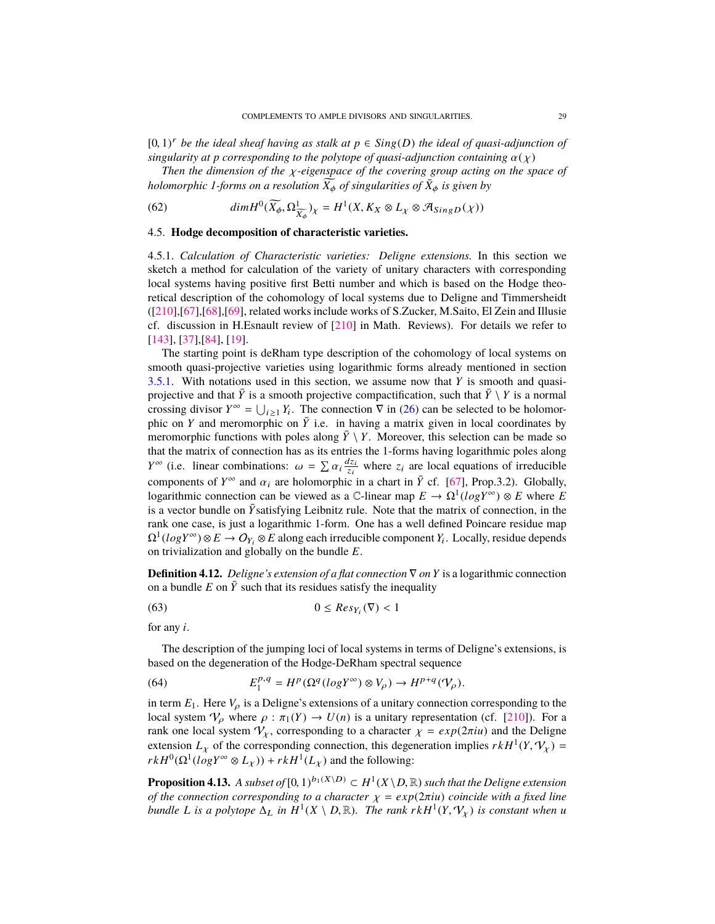<span id="page-28-2"></span>[0, 1)<sup>*r*</sup> *be the ideal sheaf having as stalk at*  $p \in Sing(D)$  *the ideal of quasi-adjunction of* singularity at *p* corresponding to the polytone of quasi-adjunction containing  $\alpha(x)$ *singularity at p corresponding to the polytope of quasi-adjunction containing*  $\alpha(\chi)$ 

*Then the dimension of the* χ*-eigenspace of the covering group acting on the space of holomorphic 1-forms on a resolution*  $\overline{X}_{\phi}$  *of singularities of*  $\overline{X}_{\phi}$  *is given by* 

<span id="page-28-1"></span>(62) 
$$
dim H^{0}(\widetilde{X_{\phi}}, \Omega^{1}_{\widetilde{X_{\phi}}})_{\chi} = H^{1}(X, K_{X} \otimes L_{\chi} \otimes \mathcal{A}_{SingD}(\chi))
$$

## 4.5. **Hodge decomposition of characteristic varieties.**

4.5.1. *Calculation of Characteristic varieties: Deligne extensions.* In this section we sketch a method for calculation of the variety of unitary characters with corresponding local systems having positive first Betti number and which is based on the Hodge theoretical description of the cohomology of local systems due to Deligne and Timmersheidt ([\[210\]](#page-52-16),[\[67\]](#page-48-11),[\[68\]](#page-48-20),[\[69\]](#page-48-21), related works include works of S.Zucker, M.Saito, El Zein and Illusie cf. discussion in H.Esnault review of [\[210\]](#page-52-16) in Math. Reviews). For details we refer to [\[143\]](#page-50-2), [\[37\]](#page-47-13),[\[84\]](#page-48-9), [\[19\]](#page-46-7).

The starting point is deRham type description of the cohomology of local systems on smooth quasi-projective varieties using logarithmic forms already mentioned in section [3.5.1.](#page-15-6) With notations used in this section, we assume now that *Y* is smooth and quasiprojective and that  $\bar{Y}$  is a smooth projective compactification, such that  $\bar{Y} \setminus Y$  is a normal crossing divisor  $Y^{\infty} = \bigcup_{i \geq 1} Y_i$ . The connection  $\nabla$  in [\(26\)](#page-16-4) can be selected to be holomorphic on *Y* and meromorphic on  $\overline{Y}$  i.e. in having a matrix given in local coordinates by meromorphic functions with poles along  $\bar{Y} \setminus Y$ . Moreover, this selection can be made so that the matrix of connection has as its entries the 1-forms having logarithmic poles along *Y*<sup>∞</sup> (i.e. linear combinations:  $\omega = \sum \alpha_i \frac{dz_i}{z_i}$  where  $z_i$  are local equations of irreducible components of *Y*<sup>∞</sup> and  $\alpha_i$  are holomorphic in a chart in  $\overline{Y}$  cf. [\[67\]](#page-48-11), Prop.3.2). Globally,<br>logarithmic connection can be viewed as a C-linear man  $F \to O^{1}(logV^{\infty}) \otimes F$  where F logarithmic connection can be viewed as a  $\mathbb{C}$ -linear map  $E \to \Omega^1(log Y^{\infty}) \otimes E$  where *E* is a vector bundle on  $\bar{Y}$ satisfying Leibnitz rule. Note that the matrix of connection, in the rank one case, is just a logarithmic 1-form. One has a well defined Poincare residue map  $\Omega^1(log Y^{\infty}) \otimes E \to O_{Y_i} \otimes E$  along each irreducible component *Y<sub>i</sub>*. Locally, residue depends on trivialization and globally on the bundle *E*.

**Definition 4.12.** *Deligne's extension of a flat connection* ∇ *on Y* is a logarithmic connection on a bundle  $E$  on  $Y$  such that its residues satisfy the inequality

<span id="page-28-0"></span>
$$
(63) \t\t 0 \le Res_{Y_i}(\nabla) < 1
$$

for any *i*.

The description of the jumping loci of local systems in terms of Deligne's extensions, is based on the degeneration of the Hodge-DeRham spectral sequence

(64) 
$$
E_1^{p,q} = H^p(\Omega^q(log Y^{\infty}) \otimes V_{\rho}) \to H^{p+q}(\mathcal{V}_{\rho}).
$$

in term  $E_1$ . Here  $V_\rho$  is a Deligne's extensions of a unitary connection corresponding to the local system  $V_\rho$  where  $\rho : \pi_1(Y) \to U(n)$  is a unitary representation (cf. [\[210\]](#page-52-16)). For a rank one local system  $V_\chi$ , corresponding to a character  $\chi = \exp(2\pi i u)$  and the Deligne extension  $L_X$  of the corresponding connection, this degeneration implies  $rkH^1(Y, V_X) =$ <br> $rkH^0(\Omega^1(logY^{\infty} \otimes I)) + rkH^1(I)$  and the following:  $rkH^0(\Omega^1(\log Y^{\infty} \otimes L_{\chi})) + rkH^1(L_{\chi})$  and the following:

**Proposition 4.13.** *A subset of*  $[0, 1)^{b_1(X \setminus D)} \subset H^1(X \setminus D, \mathbb{R})$  such that the Deligne extension of the connection corresponding to a character  $y = e \sin(2\pi i u)$  coincide with a fixed line *of the connection corresponding to a character*  $χ = exp(2πiu)$  *coincide with a fixed line bundle L is a polytope*  $\Delta_L$  *in*  $H^1(X \setminus D, \mathbb{R})$ *. The rank*  $rkH^1(Y, V_X)$  *is constant when u*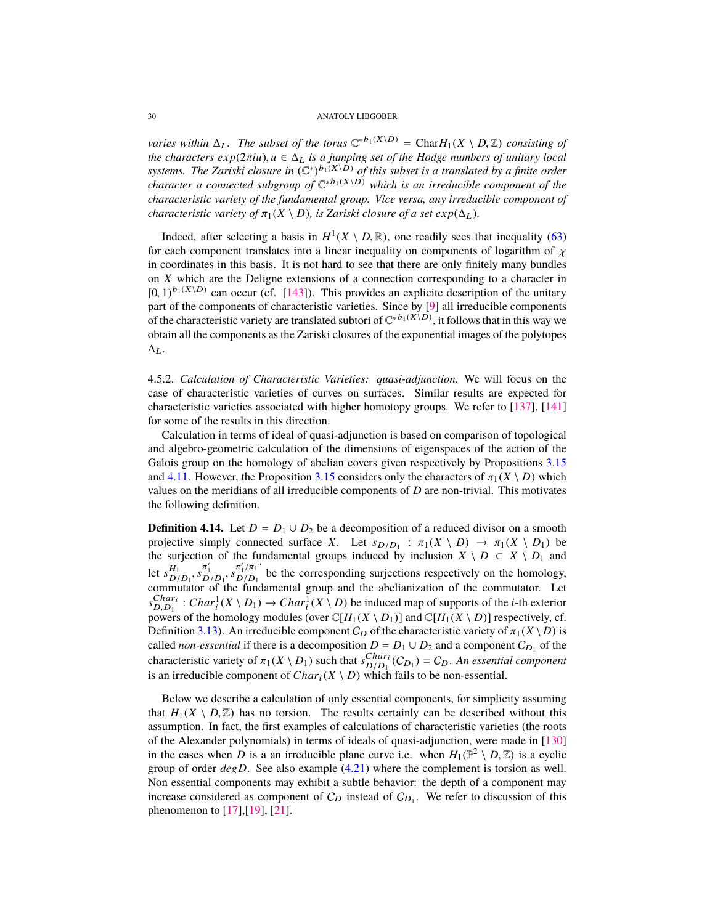<span id="page-29-0"></span>*varies within*  $\Delta_L$ . The subset of the torus  $\mathbb{C}^{*b_1(X \setminus D)} = \text{Char}H_1(X \setminus D, \mathbb{Z})$  consisting of the characters exp( $2\pi i u$ )  $u \in \Delta_L$  is a jumping set of the Hodge numbers of unitary local *the characters*  $exp(2\pi i u)$ *,*  $u \in \Delta_L$  *is a jumping set of the Hodge numbers of unitary local* systems. The Zariski closure in  $(\mathbb{C}^*)^{b_1(X\setminus D)}$  of this subset is a translated by a finite order *character a connected subgroup of*  $\mathbb{C}^{*b_1(X \setminus D)}$  *which is an irreducible component of the characteristic variety of the fundamental group. Vice versa, any irreducible component of characteristic variety of*  $\pi_1(X \setminus D)$ *, is Zariski closure of a set*  $exp(\Delta_L)$ *.* 

Indeed, after selecting a basis in  $H^1(X \setminus D, \mathbb{R})$ , one readily sees that inequality [\(63\)](#page-28-0) each component translates into a linear inequality on components of logarithm of  $\chi$ for each component translates into a linear inequality on components of logarithm of  $\chi$ in coordinates in this basis. It is not hard to see that there are only finitely many bundles on *X* which are the Deligne extensions of a connection corresponding to a character in  $[0, 1)^{b_1(X \setminus D)}$  can occur (cf. [\[143\]](#page-50-2)). This provides an explicite description of the unitary<br>part of the components of characteristic varieties. Since by [9] all irreducible components part of the components of characteristic varieties. Since by [\[9\]](#page-46-5) all irreducible components of the characteristic variety are translated subtori of  $\mathbb{C}^{*b_1(X\setminus D)}$ , it follows that in this way we obtain all the components as the Zariski closures of the exponential images of the polytopes  $\Delta_L$ .

4.5.2. *Calculation of Characteristic Varieties: quasi-adjunction.* We will focus on the case of characteristic varieties of curves on surfaces. Similar results are expected for characteristic varieties associated with higher homotopy groups. We refer to [\[137\]](#page-50-11), [\[141\]](#page-50-13) for some of the results in this direction.

Calculation in terms of ideal of quasi-adjunction is based on comparison of topological and algebro-geometric calculation of the dimensions of eigenspaces of the action of the Galois group on the homology of abelian covers given respectively by Propositions [3.15](#page-16-5) and [4.11.](#page-27-2) However, the Proposition [3.15](#page-16-5) considers only the characters of  $\pi_1(X \setminus D)$  which values on the meridians of all irreducible components of *D* are non-trivial. This motivates the following definition.

**Definition 4.14.** Let  $D = D_1 \cup D_2$  be a decomposition of a reduced divisor on a smooth projective simply connected surface *X*. Let  $s_{D/D_1}$ :  $\pi_1(X \setminus D) \to \pi_1(X \setminus D_1)$  be the surjection of the fundamental groups induced by inclusion  $X \setminus D \subset X \setminus D_2$  and the surjection of the fundamental groups induced by inclusion  $X \setminus D \subset X \setminus D_1$  and let  $s_{\mathbf{D}}^{H_1}$  $H_1 \over D/D_1$ ,  $S_{D/D_1} \over D/D_1$ ,  $S_{D/D_1} \over D/D_1$ <br>mutator of the func  $D/D_1$ <br>D/D<sub>1</sub> be the corresponding surjections respectively on the homology,<br>Chudamental group and the abelianization of the commutator. Let commutator of the fundamental group and the abelianization of the commutator. Let  $s_{D,D_1}^{Char_i}$ : *Char*<sup>1</sup><sub>i</sub> $(X \setminus D_1) \rightarrow Char_i^1(X \setminus D)$  be induced map of supports of the *i*-th exterior  $\sum_{D_i, D_1}$   $\ldots$   $\sum_{i=1}^n (X \setminus D_1)$   $\ldots$   $\sum_{i=1}^n (X \setminus D_i)$  and  $\sum_{i=1}^n (X \setminus D_i)$  respectively, cf. Definition [3.13\)](#page-15-4). An irreducible component  $C_D$  of the characteristic variety of  $\pi_1(X \setminus D)$  is called *non-essential* if there is a decomposition  $D = D_1 \cup D_2$  and a component  $C_{D_1}$  of the characteristic variety of  $\pi_1(X \setminus D_1)$  such that  $s_{D/D_1}^{Char_1}$ <br>is an irreducible component of  $Char_1(X \setminus D)$  which  $\frac{Char_i}{D/D_1}(C_{D_1}) = C_D$ . An essential component<br>which fails to be non-essential is an irreducible component of  $Char_i(X \setminus D)$  which fails to be non-essential.

Below we describe a calculation of only essential components, for simplicity assuming that  $H_1(X \setminus D, \mathbb{Z})$  has no torsion. The results certainly can be described without this assumption. In fact, the first examples of calculations of characteristic varieties (the roots of the Alexander polynomials) in terms of ideals of quasi-adjunction, were made in [\[130\]](#page-50-21) in the cases when *D* is a an irreducible plane curve i.e. when  $H_1(\mathbb{P}^2 \setminus D, \mathbb{Z})$  is a cyclic group of order  $de \Omega$ . See also example (4.2.1) where the complement is torsion as well group of order *de*g*D*. See also example [\(4.21\)](#page-33-0) where the complement is torsion as well. Non essential components may exhibit a subtle behavior: the depth of a component may increase considered as component of  $C_D$  instead of  $C_{D_1}$ . We refer to discussion of this phenomenon to [\[17\]](#page-46-13),[\[19\]](#page-46-7), [\[21\]](#page-46-14).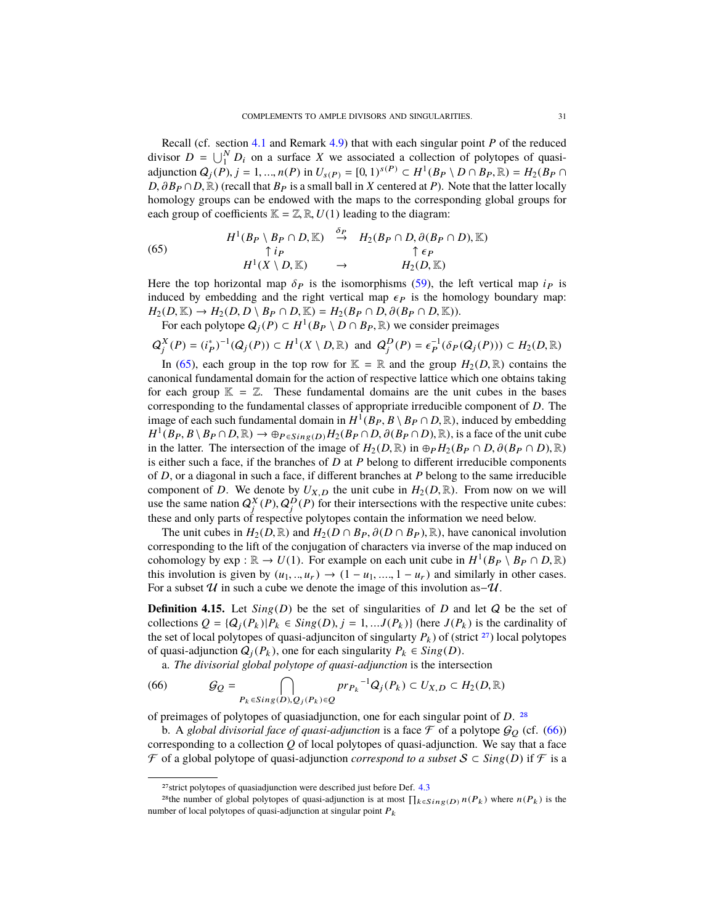Recall (cf. section [4.1](#page-23-6) and Remark [4.9\)](#page-26-2) that with each singular point *P* of the reduced divisor  $D = \bigcup_{i=1}^{N} D_i$  on a surface X we associated a collection of polytopes of quasiadjunction  $Q_j(P)$ ,  $j = 1, ..., n(P)$  in  $U_{s(P)} = [0, 1)^{s(P)} \subset H^1(B_P \setminus D \cap B_P, \mathbb{R}) = H_2(B_P \cap D \cap B_R, \mathbb{R})$ .  $D, \partial B_P \cap D, \mathbb{R}$ ) (recall that  $B_P$  is a small ball in *X* centered at *P*). Note that the latter locally homology groups can be endowed with the maps to the corresponding global groups for each group of coefficients  $\mathbb{K} = \mathbb{Z}, \mathbb{R}, U(1)$  leading to the diagram:

<span id="page-30-0"></span>(65) 
$$
H^{1}(B_{P} \setminus B_{P} \cap D, \mathbb{K}) \stackrel{\delta_{P}}{\rightarrow} H_{2}(B_{P} \cap D, \partial(B_{P} \cap D), \mathbb{K})
$$

$$
H^{1}(X \setminus D, \mathbb{K}) \rightarrow H_{2}(D, \mathbb{K})
$$

Here the top horizontal map  $\delta_P$  is the isomorphisms [\(59\)](#page-26-1), the left vertical map *i<sub>P</sub>* is induced by embedding and the right vertical map  $\epsilon_P$  is the homology boundary map induced by embedding and the right vertical map  $\epsilon_P$  is the homology boundary map:  $H_2(D, \mathbb{K}) \to H_2(D, D \setminus B_P \cap D, \mathbb{K}) = H_2(B_P \cap D, \partial(B_P \cap D, \mathbb{K})).$ 

For each polytope  $Q_j(P) \subset H^1(B_P \setminus D \cap B_P, \mathbb{R})$  we consider preimages

$$
Q_j^X(P) = (i_P^*)^{-1}(Q_j(P)) \subset H^1(X \setminus D, \mathbb{R}) \text{ and } Q_j^D(P) = \epsilon_P^{-1}(\delta_P(Q_j(P))) \subset H_2(D, \mathbb{R})
$$

In [\(65\)](#page-30-0), each group in the top row for  $\mathbb{K} = \mathbb{R}$  and the group  $H_2(D, \mathbb{R})$  contains the canonical fundamental domain for the action of respective lattice which one obtains taking for each group  $\mathbb{K} = \mathbb{Z}$ . These fundamental domains are the unit cubes in the bases corresponding to the fundamental classes of appropriate irreducible component of *D*. The image of each such fundamental domain in  $H^1(B_P, B \setminus B_P \cap D, \mathbb{R})$ , induced by embedding  $H^1(B_P, B \setminus B_P \cap D, \mathbb{R}) \to \mathbb{R}_P$ ,  $g: (p, H_0(B_P \cap D, B)(B_P \cap D, \mathbb{R}))$  is a face of the unit cube  $H^1(B_P, B \setminus B_P \cap D, \mathbb{R}) \to \oplus_{P \in Sing(D)} H_2(B_P \cap D, \partial(B_P \cap D), \mathbb{R})$ , is a face of the unit cube<br>in the latter. The intersection of the image of  $H_2(P \cap D)$  in  $\oplus_R H_2(B_R \cap D, \partial(B_R \cap D) \mathbb{R})$ . in the latter. The intersection of the image of  $H_2(D, \mathbb{R})$  in  $\oplus_P H_2(B_P \cap D, \partial (B_P \cap D), \mathbb{R})$ is either such a face, if the branches of *D* at *P* belong to different irreducible components of *D*, or a diagonal in such a face, if different branches at *P* belong to the same irreducible component of *D*. We denote by  $U_{X,D}$  the unit cube in  $H_2(D,\mathbb{R})$ . From now on we will use the same nation  $Q_j^X(P), Q_j^D(P)$  for their intersections with the respective unite cubes:<br>these and only parts of respective polytopes contain the information we need below. these and only parts of respective polytopes contain the information we need below.

The unit cubes in  $H_2(D, \mathbb{R})$  and  $H_2(D \cap B_P, \partial(D \cap B_P), \mathbb{R})$ , have canonical involution corresponding to the lift of the conjugation of characters via inverse of the map induced on cohomology by exp :  $\mathbb{R} \to U(1)$ . For example on each unit cube in  $H^1(B_P \setminus B_P \cap D, \mathbb{R})$ <br>this involution is given by  $(\mu_1, \mu_2) \to (1 - \mu_1, 1 - \mu_2)$  and similarly in other cases this involution is given by  $(u_1, ..., u_r) \rightarrow (1 - u_1, ..., 1 - u_r)$  and similarly in other cases. For a subset  $U$  in such a cube we denote the image of this involution as– $U$ .

**Definition 4.15.** Let  $Sing(D)$  be the set of singularities of *D* and let *Q* be the set of collections  $Q = \{Q_i(P_k) | P_k \in Sing(D), j = 1, ... J(P_k)\}$  (here  $J(P_k)$  is the cardinality of the set of local polytopes of quasi-adjunciton of singularty  $P_k$ ) of (strict <sup>[27](#page-30-1)</sup>) local polytopes of quasi-adjunction  $Q_i(P_k)$ , one for each singularity  $P_k \in Sing(D)$ .

<span id="page-30-3"></span>a. *The divisorial global polytope of quasi-adjunction* is the intersection

(66) 
$$
\mathcal{G}_Q = \bigcap_{P_k \in Sing(D), Q_j(P_k) \in Q} pr_{P_k}^{-1} Q_j(P_k) \subset U_{X,D} \subset H_2(D, \mathbb{R})
$$

of preimages of polytopes of quasiadjunction, one for each singular point of *D*. [28](#page-30-2)

b. A *global divisorial face of quasi-adjunction* is a face  $\mathcal F$  of a polytope  $\mathcal G_Q$  (cf. [\(66\)](#page-30-3)) corresponding to a collection *Q* of local polytopes of quasi-adjunction. We say that a face  $\mathcal F$  of a global polytope of quasi-adjunction *correspond to a subset*  $S \subset Sing(D)$  if  $\mathcal F$  is a

<span id="page-30-2"></span><span id="page-30-1"></span> $27$ strict polytopes of quasiadjunction were described just before Def.  $4.3$ 

<sup>&</sup>lt;sup>28</sup>the number of global polytopes of quasi-adjunction is at most  $\prod_{k \in Sing(D)} n(P_k)$  where  $n(P_k)$  is the number of local polytopes of quasi-adjunction at singular point  $P_k$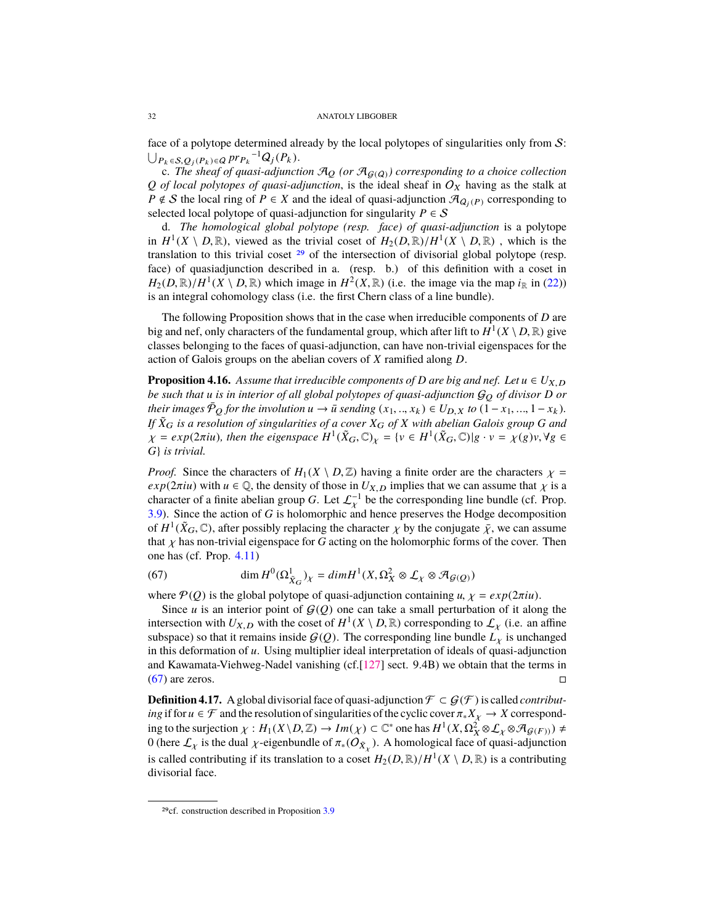<span id="page-31-3"></span>face of a polytope determined already by the local polytopes of singularities only from S:  $\bigcup_{P_k \in S, Q_j(P_k) \in Q} \text{pr}_{P_k}^{-1} Q_j(P_k).$ 

c. *The sheaf of quasi-adjunction*  $\mathcal{A}_Q$  *(or*  $\mathcal{A}_{G(Q)}$ *) corresponding to a choice collection Q of local polytopes of quasi-adjunction*, is the ideal sheaf in  $O_X$  having as the stalk at *P*  $\notin$  *S* the local ring of *P*  $\in$  *X* and the ideal of quasi-adjunction  $\mathcal{A}_{Q_i(P)}$  corresponding to selected local polytope of quasi-adjunction for singularity  $P \in \mathcal{S}$ 

d. *The homological global polytope (resp. face) of quasi-adjunction* is a polytope in  $H^1(X \setminus D, \mathbb{R})$ , viewed as the trivial coset of  $H_2(D, \mathbb{R})/H^1(X \setminus D, \mathbb{R})$ , which is the translation to this trivial coset <sup>29</sup> of the intersection of divisorial global polytone (resp. translation to this trivial coset [29](#page-31-0) of the intersection of divisorial global polytope (resp. face) of quasiadjunction described in a. (resp. b.) of this definition with a coset in  $H_2(D, \mathbb{R})/H^1(X \setminus D, \mathbb{R})$  which image in  $H^2(X, \mathbb{R})$  (i.e. the image via the map *i*<sub>R</sub> in [\(22\)](#page-13-3)) is an integral cohomology class (i.e. the first Chern class of a line bundle).

The following Proposition shows that in the case when irreducible components of *D* are big and nef, only characters of the fundamental group, which after lift to  $\hat{H}^1(X \setminus D, \mathbb{R})$  give classes belonging to the faces of quasi-adjunction, can have non-trivial eigenspaces for the action of Galois groups on the abelian covers of *X* ramified along *D*.

<span id="page-31-2"></span>**Proposition 4.16.** *Assume that irreducible components of D* are big and nef. Let  $u \in U_{X,D}$ *be such that u is in interior of all global polytopes of quasi-adjunction* G<sup>Q</sup> *of divisor D or their images*  $\bar{P}_Q$  *for the involution*  $u \to \bar{u}$  *sending*  $(x_1, ..., x_k) \in U_{D,X}$  *to*  $(1 - x_1, ..., 1 - x_k)$ *. If <sup>X</sup>*˜<sup>G</sup> *is a resolution of singularities of a cover <sup>X</sup>*<sup>G</sup> *of <sup>X</sup> with abelian Galois group <sup>G</sup> and*  $\chi = exp(2\pi i u)$ , then the eigenspace  $H^1(\tilde{X}_G, \mathbb{C})_\chi = \{v \in H^1(\tilde{X}_G, \mathbb{C}) | g \cdot v = \chi(g)v, \forall g \in G$ , is trivial *G*} *is trivial.*

*Proof.* Since the characters of  $H_1(X \setminus D, \mathbb{Z})$  having a finite order are the characters  $\chi =$ *exp*( $2\pi i$ *u*) with  $u \in \mathbb{Q}$ , the density of those in  $U_{X,D}$  implies that we can assume that  $\chi$  is a character of a finite abelian group *G*. Let  $\mathcal{L}_{\mathcal{X}}^{-1}$  be the corresponding line bundle (cf. Prop. 3.9). Since the action of *G* is holomorphic and bence preserves the Hodge decomposition [3.9\)](#page-13-4). Since the action of *G* is holomorphic and hence preserves the Hodge decomposition of  $H^1(\tilde{X}_G, \mathbb{C})$ , after possibly replacing the character  $\chi$  by the conjugate  $\bar{\chi}$ , we can assume that  $\chi$  has non-trivial eigenspace for G acting on the holomorphic forms of the cover. Then that  $\chi$  has non-trivial eigenspace for *G* acting on the holomorphic forms of the cover. Then one has (cf. Prop. [4.11\)](#page-27-2)

<span id="page-31-1"></span>(67) 
$$
\dim H^0(\Omega^1_{\tilde{X}_G})_\chi = dim H^1(X, \Omega^2_X \otimes \mathcal{L}_\chi \otimes \mathcal{A}_{\mathcal{G}(Q)})
$$

where  $P(Q)$  is the global polytope of quasi-adjunction containing *u*,  $\chi = exp(2\pi iu)$ .

Since  $u$  is an interior point of  $G(Q)$  one can take a small perturbation of it along the intersection with  $U_{X,D}$  with the coset of  $H^1(X \setminus D, \mathbb{R})$  corresponding to  $\mathcal{L}_\chi$  (i.e. an affine subspace) so that it remains inside  $G(\Omega)$ . The corresponding line bundle  $I$  is unchanged subspace) so that it remains inside  $G(Q)$ . The corresponding line bundle  $L<sub>\chi</sub>$  is unchanged in this deformation of *u*. Using multiplier ideal interpretation of ideals of quasi-adjunction and Kawamata-Viehweg-Nadel vanishing (cf.[\[127\]](#page-50-5) sect. 9.4B) we obtain that the terms in  $(67)$  are zeros.

**Definition 4.17.** A global divisorial face of quasi-adjunction  $\mathcal{F} \subset \mathcal{G}(\mathcal{F})$  is called *contributing* if for  $u \in \mathcal{F}$  and the resolution of singularities of the cyclic cover  $\pi_* X_\chi \to X$  corresponding to the surjection  $\chi : H_1(X \setminus D, \mathbb{Z}) \to Im(\chi) \subset \mathbb{C}^*$  one has  $H^1(X, \Omega^2_X \otimes \mathcal{L}_X \otimes \mathcal{A}_{\mathcal{G}(F)}) \neq 0$  (here  $f$  is the dual v-eigenbundle of  $\pi$ ,  $(\Omega \infty)$ ). A homological face of quasi-adjunction 0 (here  $\mathcal{L}_\chi$  is the dual  $\chi$ -eigenbundle of  $\pi_*(\overline{O}_{\bar{X}_\chi})$ . A homological face of quasi-adjunction is called contributing if its translation to a coset  $H_2(D, \mathbb{R})/H^1(X \setminus D, \mathbb{R})$  is a contributing divisorial face divisorial face.

<span id="page-31-0"></span><sup>29</sup>cf. construction described in Proposition [3.9](#page-13-4)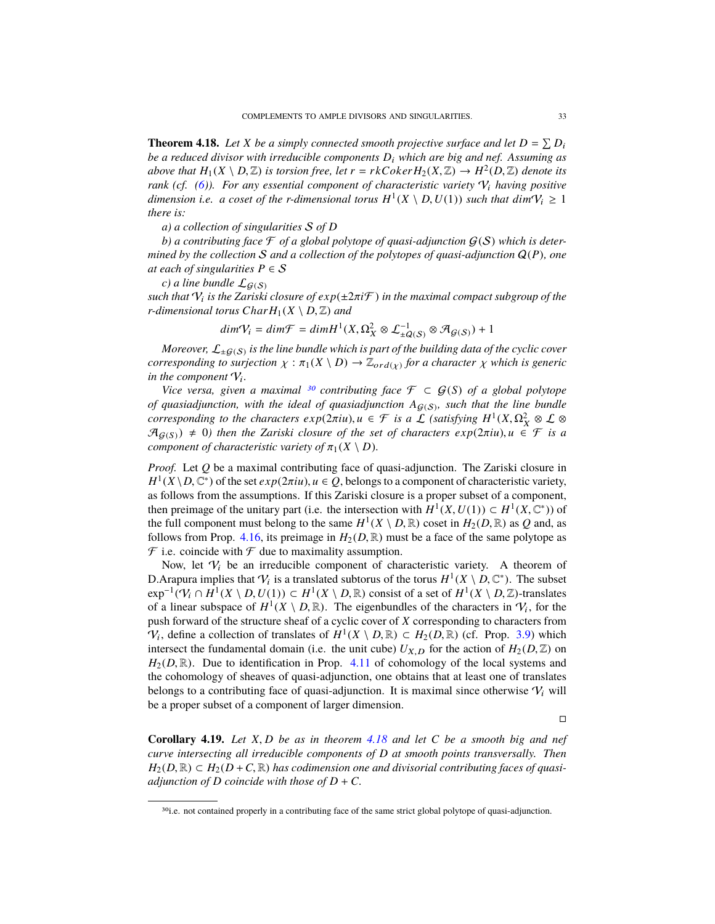<span id="page-32-0"></span>**Theorem 4.18.** Let *X* be a simply connected smooth projective surface and let  $D = \sum D_i$ *be a reduced divisor with irreducible components D*<sup>i</sup> *which are big and nef. Assuming as above that*  $H_1(X \setminus D, \mathbb{Z})$  *is torsion free, let*  $r = rk\text{Coker}\ H_2(X, \mathbb{Z}) \to H^2(D, \mathbb{Z})$  *denote its* rank (cf. (6)). For any essential component of characteristic variety  $N$ , having positive *rank (cf. [\(6\)](#page-7-6)). For any essential component of characteristic variety*  $V_i$  *having positive dimension i.e. a coset of the r-dimensional torus*  $H^1(X \setminus D, U(1))$  *such that*  $dimV_i \ge 1$  *there is: there is:*

*a) a collection of singularities* S *of D*

b) a contributing face  $\mathcal F$  of a global polytope of quasi-adjunction  $\mathcal G(\mathcal S)$  which is deter*mined by the collection* S *and a collection of the polytopes of quasi-adjunction* Q(*P*)*, one at each of singularities*  $P \in S$ 

*c*) *a* line bundle  $\mathcal{L}_{\mathcal{G}(S)}$ 

*such that*  $V_i$  *is the Zariski closure of*  $exp(\pm 2\pi i \mathcal{F})$  *in the maximal compact subgroup of the*<br>*r*-dimensional torus CharH.(X \, D,  $\mathbb{Z}$ ) and *r*-dimensional torus  $CharH_1(X \setminus D, \mathbb{Z})$  and

$$
dim \mathcal{V}_i = dim \mathcal{F} = dim H^1(X, \Omega_X^2 \otimes \mathcal{L}_{\pm \mathcal{Q}(S)}^{-1} \otimes \mathcal{A}_{\mathcal{G}(S)}) + 1
$$

 $M$ oreover,  $\mathcal{L}_{\pm G(S)}$  is the line bundle which is part of the building data of the cyclic cover *corresponding to surjection*  $\chi : \pi_1(X \setminus D) \to \mathbb{Z}_{ord(\chi)}$  *for a character*  $\chi$  *which is generic in the component*  $\mathcal{V}$ *.* in the component  $V_i$ .

*Vice versa, given a maximal* <sup>[30](#page-32-1)</sup> *contributing face*  $\mathcal{F} \subset \mathcal{G}(S)$  *of a global polytope* of quasiadjunction, with the ideal of quasiadjunction  $A_{\mathcal{G}(S)}$ , such that the line bundle *corresponding to the characters*  $exp(2\pi iu)$ *,*  $u \in \mathcal{F}$  *is a*  $\mathcal{L}$  *(satisfying*  $H^1(X, \Omega_X^2 \otimes \mathcal{L} \otimes \mathcal{F}$ *)*  $\mathcal{F}$  *and*  $\mathcal{F}$  *and*  $\mathcal{F}$  *and*  $\mathcal{F}$  *is a*  $\mathcal{F}$  *of*  $\mathcal{F}$  *is a*  $\mathcal{F}$  *is a*  $\mathcal{F}$  *is a*  $\mathcal{A}_{G(S)}$ )  $\neq$  0) then the Zariski closure of the set of characters  $exp(2\pi i u)$ ,  $u \in \mathcal{F}$  is a *component of characteristic variety of*  $\pi_1(X \setminus D)$ *.* 

*Proof.* Let *Q* be a maximal contributing face of quasi-adjunction. The Zariski closure in  $H^1(X \setminus D, \mathbb{C}^*)$  of the set *exp*(2*πiu*),  $u \in Q$ , belongs to a component of characteristic variety, as follows from the assumptions. If this Zariski closure is a proper subset of a component as follows from the assumptions. If this Zariski closure is a proper subset of a component, then preimage of the unitary part (i.e. the intersection with  $H^1(X, U(1)) \subset H^1(X, \mathbb{C}^*)$ ) of the full component must belong to the same  $H^1(X \setminus D, \mathbb{R})$  coset in  $H_2(D, \mathbb{R})$  as O and as the full component must belong to the same  $H^1(X \setminus D, \mathbb{R})$  coset in  $H_2(D, \mathbb{R})$  as *Q* and, as follows from Prop. 4.16, its preimage in  $H_2(D, \mathbb{R})$  must be a face of the same polytone as follows from Prop. [4.16,](#page-31-2) its preimage in  $H_2(D,\mathbb{R})$  must be a face of the same polytope as  $\mathcal F$  i.e. coincide with  $\mathcal F$  due to maximality assumption.

Now, let  $V_i$  be an irreducible component of characteristic variety. A theorem of D. Arapura implies that  $V_i$  is a translated subtorus of the torus  $H^1(X \setminus D, \mathbb{C}^*)$ . The subset<br>exp<sup>-1</sup>(V,  $\cap$  H<sup>1</sup>(X \ D, I/(1))  $\subset H^1(X \setminus D, \mathbb{R})$  consist of a set of  $H^1(X \setminus D, \mathbb{Z})$ -translates  $\exp^{-1}(V_i \cap H^1(X \setminus D, U(1)) \subset H^1(X \setminus D, \mathbb{R})$  consist of a set of  $H^1(X \setminus D, \mathbb{Z})$ -translates of a linear subspace of  $H^1(Y \setminus D, \mathbb{R})$ . The eigenbundles of the characters in V, for the of a linear subspace of  $H^1(X \setminus D, \mathbb{R})$ . The eigenbundles of the characters in  $V_i$ , for the push forward of the structure sheaf of a cyclic cover of X corresponding to characters from push forward of the structure sheaf of a cyclic cover of *X* corresponding to characters from  $V_i$ , define a collection of translates of  $H^1(X \setminus D, \mathbb{R}) \subset H_2(D, \mathbb{R})$  (cf. Prop. [3.9\)](#page-13-4) which intersect the fundamental domain (i.e. the unit cube)  $U_{N, \Omega}$  for the action of  $H_2(D, \mathbb{Z})$  on intersect the fundamental domain (i.e. the unit cube)  $U_{X,D}$  for the action of  $H_2(D,\mathbb{Z})$  on  $H_2(D,\mathbb{R})$ . Due to identification in Prop. [4.11](#page-27-2) of cohomology of the local systems and the cohomology of sheaves of quasi-adjunction, one obtains that at least one of translates belongs to a contributing face of quasi-adjunction. It is maximal since otherwise  $V_i$  will be a proper subset of a component of larger dimension.

 $\Box$ 

<span id="page-32-2"></span>**Corollary 4.19.** *Let <sup>X</sup>*, *<sup>D</sup> be as in theorem [4.18](#page-32-0) and let <sup>C</sup> be a smooth big and nef curve intersecting all irreducible components of D at smooth points transversally. Then*  $H_2(D,\mathbb{R}) \subset H_2(D+C,\mathbb{R})$  *has codimension one and divisorial contributing faces of quasiadjunction of D coincide with those of*  $D + C$ *.* 

<span id="page-32-1"></span><sup>&</sup>lt;sup>30</sup>i.e. not contained properly in a contributing face of the same strict global polytope of quasi-adjunction.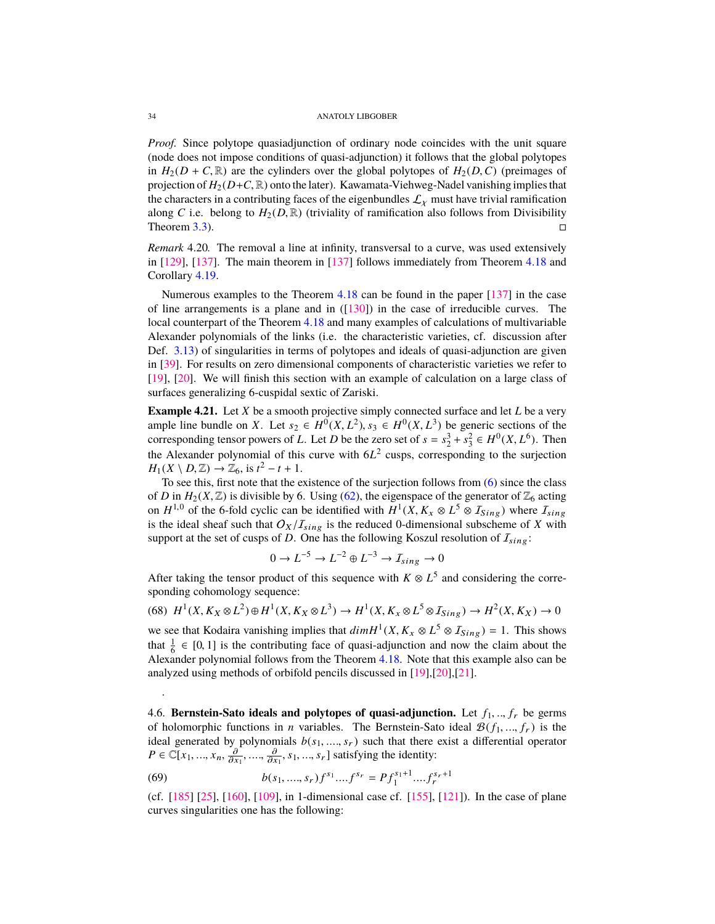<span id="page-33-1"></span>*Proof.* Since polytope quasiadjunction of ordinary node coincides with the unit square (node does not impose conditions of quasi-adjunction) it follows that the global polytopes in  $H_2(D + C, \mathbb{R})$  are the cylinders over the global polytopes of  $H_2(D, C)$  (preimages of projection of  $H_2(D+C, \mathbb{R})$  onto the later). Kawamata-Viehweg-Nadel vanishing implies that the characters in a contributing faces of the eigenbundles  $\mathcal{L}_\chi$  must have trivial ramification along *C* i.e. belong to  $H_2(D, \mathbb{R})$  (triviality of ramification also follows from Divisibility Theorem 3.3). Theorem [3.3\)](#page-8-0).

*Remark* 4.20*.* The removal a line at infinity, transversal to a curve, was used extensively in [\[129\]](#page-50-1), [\[137\]](#page-50-11). The main theorem in [\[137\]](#page-50-11) follows immediately from Theorem [4.18](#page-32-0) and Corollary [4.19.](#page-32-2)

Numerous examples to the Theorem [4.18](#page-32-0) can be found in the paper [\[137\]](#page-50-11) in the case of line arrangements is a plane and in ([\[130\]](#page-50-21)) in the case of irreducible curves. The local counterpart of the Theorem [4.18](#page-32-0) and many examples of calculations of multivariable Alexander polynomials of the links (i.e. the characteristic varieties, cf. discussion after Def. [3.13\)](#page-15-4) of singularities in terms of polytopes and ideals of quasi-adjunction are given in [\[39\]](#page-47-9). For results on zero dimensional components of characteristic varieties we refer to [\[19\]](#page-46-7), [\[20\]](#page-46-15). We will finish this section with an example of calculation on a large class of surfaces generalizing 6-cuspidal sextic of Zariski.

<span id="page-33-0"></span>**Example 4.21.** Let *X* be a smooth projective simply connected surface and let *L* be a very ample line bundle on *X*. Let  $s_2 \in H^0(X, L^2)$ ,  $s_3 \in H^0(X, L^3)$  be generic sections of the corresponding tensor powers of *L* Let *D* be the zero set of  $s - s^3 + s^2 \in H^0(Y, L^6)$ . Then corresponding tensor powers of *L*. Let *D* be the zero set of  $s = s_2^3 + s_3^2 \in H^0(X, L^6)$ . Then the Alexander polynomial of this curve with  $6L^2$  cusps, corresponding to the surjection  $H_1(X \setminus D, \mathbb{Z}) \to \mathbb{Z}_6$ , is  $t^2 - t + 1$ .<br>To see this, first note that the e

To see this, first note that the existence of the surjection follows from [\(6\)](#page-7-6) since the class of *D* in  $H_2(X, \mathbb{Z})$  is divisible by 6. Using [\(62\)](#page-28-1), the eigenspace of the generator of  $\mathbb{Z}_6$  acting on *H*<sup>1,0</sup> of the 6-fold cyclic can be identified with  $H^1(X, K_X \otimes L^5 \otimes I_{Sing})$  where  $I_{sing}$ <br>is the ideal sheaf such that  $O_X/I$ , is the reduced 0-dimensional subscheme of *X* with is the ideal sheaf such that  $O_X/I_{sing}$  is the reduced 0-dimensional subscheme of *X* with support at the set of cusps of *D*. One has the following Koszul resolution of  $I_{sing}$ :

$$
0 \to L^{-5} \to L^{-2} \oplus L^{-3} \to I_{sing} \to 0
$$

After taking the tensor product of this sequence with  $K \otimes L^5$  and considering the corresponding cohomology sequence:

 $H^1(X, K_X \otimes L^2) \oplus H^1(X, K_X \otimes L^3) \to H^1(X, K_X \otimes L^5 \otimes I_{Sing}) \to H^2(X, K_X) \to 0$ 

we see that Kodaira vanishing implies that  $dim H^1(X, K_X \otimes L^5 \otimes I_{Sing}) = 1$ . This shows that  $\frac{1}{2} \in [0, 1]$  is the contributing free of quoti ediunction and now the claim about the that  $\frac{1}{6} \in [0, 1]$  is the contributing face of quasi-adjunction and now the claim about the<br>Alexander polynomial follows from the Theorem 4.18. Note that this example also can be Alexander polynomial follows from the Theorem [4.18.](#page-32-0) Note that this example also can be analyzed using methods of orbifold pencils discussed in [\[19\]](#page-46-7),[\[20\]](#page-46-15),[\[21\]](#page-46-14).

4.6. **Bernstein-Sato ideals and polytopes of quasi-adjunction.** Let  $f_1, ..., f_r$  be germs of holomorphic functions in *n* variables. The Bernstein-Sato ideal  $\mathcal{B}(f_1, ..., f_r)$  is the ideal generated by polynomials  $b(s_1, ..., s_r)$  such that there exist a differential operator  $P \in \mathbb{C}[x_1, ..., x_n, \frac{\partial}{\partial x_1}, ..., \frac{\partial}{\partial x_1}, s_1, ..., s_r]$  satisfying the identity:

(69) 
$$
b(s_1, ..., s_r)f^{s_1}...f^{s_r} = Pf_1^{s_1+1}....f_r^{s_r+1}
$$
  
(cf. [185] [25], [160], [109], in 1-dimensional case cf. [155], [121]). In the case of plane

curves singularities one has the following:

.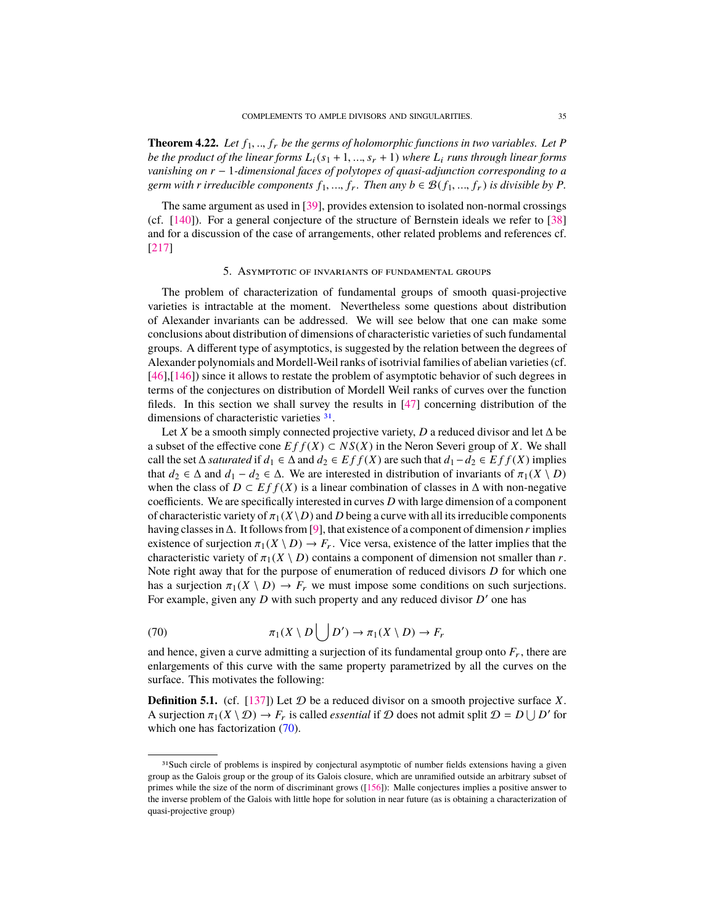<span id="page-34-4"></span>**Theorem 4.22.** Let  $f_1, \ldots, f_r$  be the germs of holomorphic functions in two variables. Let P *be the product of the linear forms*  $L_i(s_1 + 1, ..., s_r + 1)$  where  $L_i$  *runs through linear forms vanishing on r* − 1*-dimensional faces of polytopes of quasi-adjunction corresponding to a germ with r irreducible components*  $f_1, ..., f_r$ *. Then any*  $b \in \mathcal{B}(f_1, ..., f_r)$  *is divisible by*  $P$ *.* 

The same argument as used in [\[39\]](#page-47-9), provides extension to isolated non-normal crossings (cf. [\[140\]](#page-50-6)). For a general conjecture of the structure of Bernstein ideals we refer to [\[38\]](#page-47-14) and for a discussion of the case of arrangements, other related problems and references cf. [\[217\]](#page-53-6)

# 5. Asymptotic of invariants of fundamental groups

<span id="page-34-0"></span>The problem of characterization of fundamental groups of smooth quasi-projective varieties is intractable at the moment. Nevertheless some questions about distribution of Alexander invariants can be addressed. We will see below that one can make some conclusions about distribution of dimensions of characteristic varieties of such fundamental groups. A different type of asymptotics, is suggested by the relation between the degrees of Alexander polynomials and Mordell-Weil ranks of isotrivial families of abelian varieties (cf. [\[46\]](#page-47-15),[\[146\]](#page-50-3)) since it allows to restate the problem of asymptotic behavior of such degrees in terms of the conjectures on distribution of Mordell Weil ranks of curves over the function fileds. In this section we shall survey the results in [\[47\]](#page-47-4) concerning distribution of the dimensions of characteristic varieties [31](#page-34-1).

Let *X* be a smooth simply connected projective variety, *D* a reduced divisor and let  $\Delta$  be a subset of the effective cone  $E f f(X) \subset NS(X)$  in the Neron Severi group of X. We shall call the set  $\triangle$  *saturated* if  $d_1 \in \triangle$  and  $d_2 \in E f f(X)$  are such that  $d_1 - d_2 \in E f f(X)$  implies that  $d_2 \in \Delta$  and  $d_1 - d_2 \in \Delta$ . We are interested in distribution of invariants of  $\pi_1(X \setminus D)$ when the class of  $D \subset E f f(X)$  is a linear combination of classes in  $\Delta$  with non-negative coefficients. We are specifically interested in curves *D* with large dimension of a component of characteristic variety of  $\pi_1(X \backslash D)$  and *D* being a curve with all its irreducible components having classes in∆. It follows from [\[9\]](#page-46-5), that existence of a component of dimension *r* implies existence of surjection  $\pi_1(X \setminus D) \to F_r$ . Vice versa, existence of the latter implies that the characteristic variety of  $\pi_1(X \setminus D)$  contains a component of dimension not smaller than *r*. Note right away that for the purpose of enumeration of reduced divisors *D* for which one has a surjection  $\pi_1(X \setminus D) \to F_r$  we must impose some conditions on such surjections. For example, given any  $D$  with such property and any reduced divisor  $D'$  one has

<span id="page-34-2"></span>(70) 
$$
\pi_1(X \setminus D \bigcup D') \to \pi_1(X \setminus D) \to F_r
$$

and hence, given a curve admitting a surjection of its fundamental group onto  $F_r$ , there are enlargements of this curve with the same property parametrized by all the curves on the surface. This motivates the following:

<span id="page-34-3"></span>**Definition 5.1.** (cf. [\[137\]](#page-50-11)) Let  $\mathcal{D}$  be a reduced divisor on a smooth projective surface *X*. A surjection  $\pi_1(X \setminus \mathcal{D}) \to F_r$  is called *essential* if  $\mathcal D$  does not admit split  $\mathcal D = D \cup D'$  for which one has factorization (70) which one has factorization  $(70)$ .

<span id="page-34-1"></span><sup>31</sup>Such circle of problems is inspired by conjectural asymptotic of number fields extensions having a given group as the Galois group or the group of its Galois closure, which are unramified outside an arbitrary subset of primes while the size of the norm of discriminant grows ([\[156\]](#page-51-23)): Malle conjectures implies a positive answer to the inverse problem of the Galois with little hope for solution in near future (as is obtaining a characterization of quasi-projective group)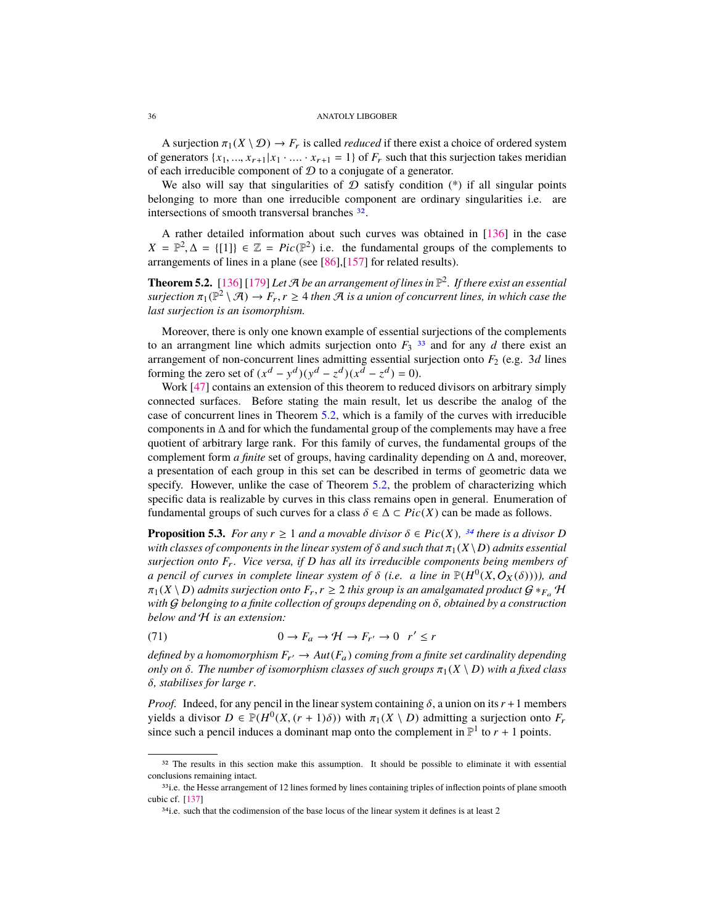<span id="page-35-5"></span>A surjection  $\pi_1(X \setminus \mathcal{D}) \to F_r$  is called *reduced* if there exist a choice of ordered system of generators  $\{x_1, ..., x_{r+1}|x_1 \cdot ... \cdot x_{r+1} = 1\}$  of  $F_r$  such that this surjection takes meridian of each irreducible component of  $D$  to a conjugate of a generator.

We also will say that singularities of  $D$  satisfy condition  $(*)$  if all singular points belonging to more than one irreducible component are ordinary singularities i.e. are intersections of smooth transversal branches [32](#page-35-0).

A rather detailed information about such curves was obtained in [\[136\]](#page-50-23) in the case  $X = \mathbb{P}^2, \Delta = \{ [1] \} \in \mathbb{Z} = Pic(\mathbb{P}^2)$  i.e. the fundamental groups of the complements to general general groups of the complements to arrangements of lines in a plane (see [\[86\]](#page-48-22),[\[157\]](#page-51-24) for related results).

<span id="page-35-2"></span>**Theorem 5.2.** [\[136\]](#page-50-23) [\[179\]](#page-51-25) *Let*  $\mathcal{A}$  *be an arrangement of lines in*  $\mathbb{P}^2$ . *If there exist an essential*  $sufficient\pi_1(\mathbb{P}^2 \setminus \mathcal{A}) \to F_r, r \geq 4$  *then*  $\mathcal A$  *is a union of concurrent lines, in which case the* last surjection is an isomorphism *last surjection is an isomorphism.*

Moreover, there is only one known example of essential surjections of the complements to an arrangment line which admits surjection onto  $F_3$ <sup>[33](#page-35-1)</sup> and for any *d* there exist an arrangement of non-concurrent lines admitting essential surjection onto  $F_2$  (e.g. 3*d* lines forming the zero set of  $(x^d - y^d)(y^d - z^d)(x^{\bar{d}} - z^d) = 0$ .

Work [\[47\]](#page-47-4) contains an extension of this theorem to reduced divisors on arbitrary simply connected surfaces. Before stating the main result, let us describe the analog of the case of concurrent lines in Theorem [5.2,](#page-35-2) which is a family of the curves with irreducible components in ∆ and for which the fundamental group of the complements may have a free quotient of arbitrary large rank. For this family of curves, the fundamental groups of the complement form *a finite* set of groups, having cardinality depending on ∆ and, moreover, a presentation of each group in this set can be described in terms of geometric data we specify. However, unlike the case of Theorem [5.2,](#page-35-2) the problem of characterizing which specific data is realizable by curves in this class remains open in general. Enumeration of fundamental groups of such curves for a class  $\delta \in \Delta \subset Pic(X)$  can be made as follows.

<span id="page-35-4"></span>**Proposition 5.3.** *For any*  $r \ge 1$  *and a movable divisor*  $\delta \in Pic(X)$ *, <sup>[34](#page-35-3)</sup> there is a divisor D with classes of components in the linear system of*  $\delta$  *and such that*  $\pi_1(X \setminus D)$  *admits essential surjection onto*  $F_r$ . Vice versa, if D has all its irreducible components being members of *a pencil of curves in complete linear system of*  $\delta$  (*i.e. a line in*  $\mathbb{P}(H^0(X, \mathcal{O}_X(\delta))))$ *, and*  $\pi_1(X \setminus D)$  admits surjection onto  $F \subset \Sigma$  2 this group is an amalgamated product  $G \times_{\Sigma} \mathcal{H}$  $\pi_1(X \setminus D)$  *admits surjection onto*  $F_r$ ,  $r \geq 2$  *this group is an amalgamated product*  $G *_{F_a} H$ *with* <sup>G</sup> *belonging to a finite collection of groups depending on* δ*, obtained by a construction below and* H *is an extension:*

(71) 
$$
0 \to F_a \to \mathcal{H} \to F_{r'} \to 0 \quad r' \leq r
$$

*defined by a homomorphism*  $F_{r'} \to Aut(F_a)$  *coming from a finite set cardinality depending only on*  $\delta$ *. The number of isomorphism classes of such groups*  $\pi_1(X \setminus D)$  *with a fixed class* δ*, stabilises for large <sup>r</sup>.*

*Proof.* Indeed, for any pencil in the linear system containing  $\delta$ , a union on its  $r + 1$  members yields a divisor  $D \in \mathbb{P}(H^0(X, (r+1)\delta))$  with  $\pi_1(X \setminus D)$  admitting a surjection onto  $F_r$  since such a pencil induces a dominant map onto the complement in  $\mathbb{P}^1$  to  $r + 1$  points since such a pencil induces a dominant map onto the complement in  $\mathbb{P}^1$  to  $r + 1$  points.

<span id="page-35-0"></span><sup>&</sup>lt;sup>32</sup> The results in this section make this assumption. It should be possible to eliminate it with essential conclusions remaining intact.

<span id="page-35-1"></span><sup>33&</sup>lt;sub>1</sub>.e. the Hesse arrangement of 12 lines formed by lines containing triples of inflection points of plane smooth cubic cf. [\[137\]](#page-50-11)

<span id="page-35-3"></span><sup>&</sup>lt;sup>34</sup>i.e. such that the codimension of the base locus of the linear system it defines is at least 2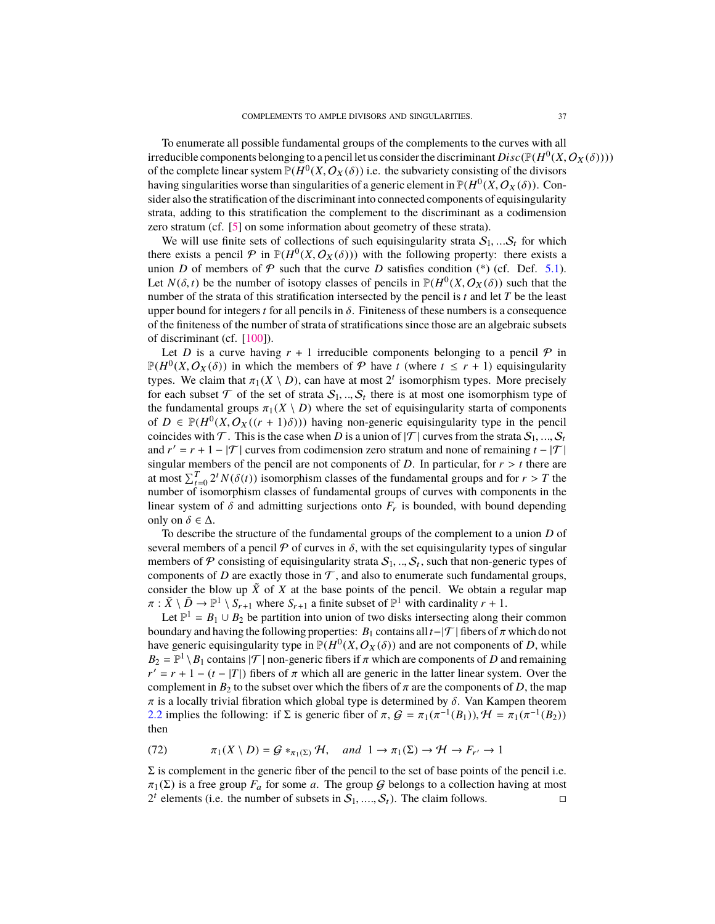<span id="page-36-0"></span>To enumerate all possible fundamental groups of the complements to the curves with all irreducible components belonging to a pencil let us consider the discriminant  $Disc(\mathbb{P}(H^0(X, O_X(\delta))))$ <br>of the complete linear system  $\mathbb{P}(H^0(X, O_X(\delta)))$  i.e. the subvariety consisting of the divisors of the complete linear system  $P(H^0(X, O_X(\delta)))$  i.e. the subvariety consisting of the divisors having singularities worse than singularities of a generic element in  $P(H^0(X, O_Y(\delta)))$  Conhaving singularities worse than singularities of a generic element in  $\mathbb{P}(H^0(X, O_X(\delta))$ . Con-<br>sider also the stratification of the discriminant into connected components of equisingularity sider also the stratification of the discriminant into connected components of equisingularity strata, adding to this stratification the complement to the discriminant as a codimension zero stratum (cf. [\[5\]](#page-45-3) on some information about geometry of these strata).

We will use finite sets of collections of such equisingularity strata  $S_1, \ldots S_t$  for which there exists a pencil  $\mathcal P$  in  $\mathbb P(H^0(X, O_X(\delta)))$  with the following property: there exists a union *D* of members of  $\mathcal P$  such that the curve *D* satisfies condition (\*) (cf. Def. 5.1) union *D* of members of  $P$  such that the curve *D* satisfies condition (\*) (cf. Def. [5.1\)](#page-34-3). Let  $N(\delta, t)$  be the number of isotopy classes of pencils in  $\mathbb{P}(H^0(X, O_X(\delta)))$  such that the number of the strata of this stratification intersected by the nencil is t and let *T* be the least number of the strata of this stratification intersected by the pencil is *t* and let *T* be the least upper bound for integers *t* for all pencils in  $\delta$ . Finiteness of these numbers is a consequence of the finiteness of the number of strata of stratifications since those are an algebraic subsets of discriminant (cf. [\[100\]](#page-49-24)).

Let *D* is a curve having  $r + 1$  irreducible components belonging to a pencil  $\mathcal P$  in  $\mathbb{P}(H^0(X, O_X(\delta)))$  in which the members of P have *t* (where  $t \leq r + 1$ ) equisingularity<br>types. We claim that  $\pi_r(X \setminus D)$  can have at most 2<sup>*t*</sup> isomorphism types. More precisely types. We claim that  $\pi_1(X \setminus D)$ , can have at most  $2^t$  isomorphism types. More precisely for each subset  $\mathcal T$  of the set of strata  $S$ .  $S$ , there is at most one isomorphism type of for each subset  $\mathcal T$  of the set of strata  $\mathcal S_1, ..., \mathcal S_t$  there is at most one isomorphism type of the fundamental groups  $\pi_i(X \setminus D)$  where the set of equisingularity starta of components the fundamental groups  $\pi_1(X \setminus D)$  where the set of equisingularity starta of components of  $D \in \mathbb{P}(H^0(X, O_X((r+1)\delta)))$  having non-generic equisingularity type in the pencil<br>coincides with  $\mathcal T$ . This is the case when  $D$  is a union of  $|\mathcal T|$  curves from the strata S. coincides with  $\mathcal T$ . This is the case when *D* is a union of  $|\mathcal T|$  curves from the strata  $S_1, ..., S_t$ and  $r' = r + 1 - |\mathcal{T}|$  curves from codimension zero stratum and none of remaining  $t - |\mathcal{T}|$ singular members of the pencil are not components of  $D$ . In particular, for  $r > t$  there are at most  $\sum_{t=0}^{T} 2^t N(\delta(t))$  isomorphism classes of the fundamental groups and for  $r > T$  the number of isomorphism classes of fundamental groups of curves with components in the linear system of  $\delta$  and admitting surjections onto  $F_r$  is bounded, with bound depending only on  $\delta \in \Delta$ .

To describe the structure of the fundamental groups of the complement to a union *D* of several members of a pencil  $\mathcal P$  of curves in  $\delta$ , with the set equisingularity types of singular members of P consisting of equisingularity strata  $S_1, ..., S_t$ , such that non-generic types of components of D are exactly those in T and also to enumerate such fundamental groups components of *D* are exactly those in  $\mathcal{T}$ , and also to enumerate such fundamental groups, consider the blow up  $\tilde{X}$  of  $X$  at the base points of the pencil. We obtain a regular map  $\pi : \tilde{X} \setminus \tilde{D} \to \mathbb{P}^1 \setminus S_{r+1}$  where  $S_{r+1}$  a finite subset of  $\mathbb{P}^1$  with cardinality  $r + 1$ .<br>Let  $\mathbb{P}^1 = R_1 + R_2$  be partition into union of two disks intersecting along the

Let  $\mathbb{P}^1 = B_1 \cup B_2$  be partition into union of two disks intersecting along their common boundary and having the following properties:  $B_1$  contains all  $t-|\mathcal{T}|$  fibers of  $\pi$  which do not have generic equisingularity type in  $\mathbb{P}(H^0(X, O_X(\delta)))$  and are not components of *D*, while  $R_2 = \mathbb{P}^1 \setminus R_1$  contains  $|\mathcal{T}|$  non-generic fibers if  $\pi$  which are components of *D* and remaining  $B_2 = \mathbb{P}^1 \setminus B_1$  contains  $|\mathcal{T}|$  non-generic fibers if  $\pi$  which are components of *D* and remaining  $r' = r + 1 - (t - |\mathcal{T}|)$  fibers of  $\pi$  which all are generic in the latter linear system. Over the  $r' = r + 1 - (t - |T|)$  fibers of  $\pi$  which all are generic in the latter linear system. Over the complement in  $R_2$  to the subset over which the fibers of  $\pi$  are the components of  $D$  the man complement in  $B_2$  to the subset over which the fibers of  $\pi$  are the components of  $D$ , the map  $\pi$  is a locally trivial fibration which global type is determined by  $\delta$ . Van Kampen theorem [2.2](#page-4-2) implies the following: if  $\Sigma$  is generic fiber of  $\pi$ ,  $\mathcal{G} = \pi_1(\pi^{-1}(B_1))$ ,  $\mathcal{H} = \pi_1(\pi^{-1}(B_2))$ then

(72) 
$$
\pi_1(X \setminus D) = G *_{\pi_1(\Sigma)} \mathcal{H}
$$
, and  $1 \to \pi_1(\Sigma) \to \mathcal{H} \to F_{r'} \to 1$ 

 $\Sigma$  is complement in the generic fiber of the pencil to the set of base points of the pencil i.e.  $\pi_1(\Sigma)$  is a free group  $F_a$  for some *a*. The group *G* belongs to a collection having at most  $2^t$  elements (i.e. the number of subsets in  $S_1, ..., S_t$ ). The claim follows.  $2^t$  elements (i.e. the number of subsets in  $S_1, ..., S_t$ ). The claim follows.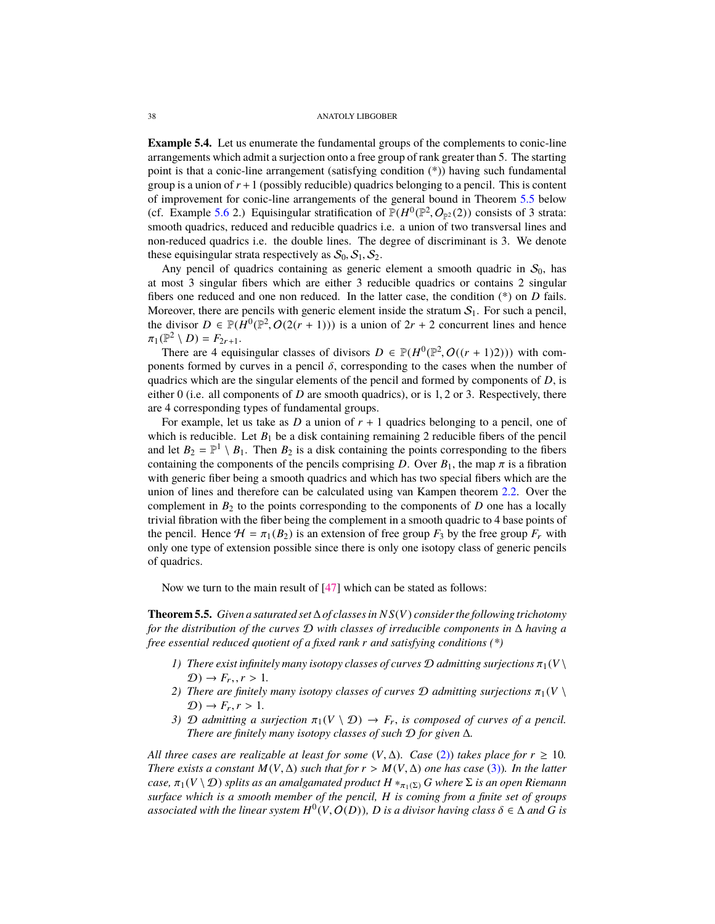<span id="page-37-4"></span><span id="page-37-3"></span>**Example 5.4.** Let us enumerate the fundamental groups of the complements to conic-line arrangements which admit a surjection onto a free group of rank greater than 5. The starting point is that a conic-line arrangement (satisfying condition (\*)) having such fundamental group is a union of  $r + 1$  (possibly reducible) quadrics belonging to a pencil. This is content of improvement for conic-line arrangements of the general bound in Theorem [5.5](#page-37-0) below (cf. Example [5.6](#page-0-0) 2.) Equisingular stratification of  $\mathbb{P}(H^0(\mathbb{P}^2, O_{\mathbb{P}^2}(2))$  consists of 3 strata:<br>smooth quadrics reduced and reducible quadrics i.e. a union of two transversal lines and smooth quadrics, reduced and reducible quadrics i.e. a union of two transversal lines and non-reduced quadrics i.e. the double lines. The degree of discriminant is 3. We denote these equisingular strata respectively as  $S_0$ ,  $S_1$ ,  $S_2$ .

Any pencil of quadrics containing as generic element a smooth quadric in  $S_0$ , has at most 3 singular fibers which are either 3 reducible quadrics or contains 2 singular fibers one reduced and one non reduced. In the latter case, the condition (\*) on *D* fails. Moreover, there are pencils with generic element inside the stratum  $S_1$ . For such a pencil, the divisor  $D \in \mathbb{P}(H^0(\mathbb{P}^2, O(2(r+1)))$  is a union of  $2r + 2$  concurrent lines and hence  $\pi_1(\mathbb{P}^2 \setminus D) - F_{2n+1}$  $\pi_1(\mathbb{P}^2 \setminus D) = F_{2r+1}.$ <br>There are 4 equi-

There are 4 equisingular classes of divisors  $D \in \mathbb{P}(H^0(\mathbb{P}^2, O((r+1)2)))$  with com-<br>pents formed by curves in a pencil  $\delta$ , corresponding to the cases when the number of ponents formed by curves in a pencil  $\delta$ , corresponding to the cases when the number of quadrics which are the singular elements of the pencil and formed by components of *D*, is either 0 (i.e. all components of *D* are smooth quadrics), or is 1, 2 or 3. Respectively, there are 4 corresponding types of fundamental groups.

For example, let us take as  $D$  a union of  $r + 1$  quadrics belonging to a pencil, one of which is reducible. Let  $B_1$  be a disk containing remaining 2 reducible fibers of the pencil and let  $B_2 = \mathbb{P}^1 \setminus B_1$ . Then  $B_2$  is a disk containing the points corresponding to the fibers containing the components of the pencils comprising *D*. Over  $B_1$ , the map  $\pi$  is a fibration with generic fiber being a smooth quadrics and which has two special fibers which are the union of lines and therefore can be calculated using van Kampen theorem [2.2.](#page-4-2) Over the complement in  $B_2$  to the points corresponding to the components of  $D$  one has a locally trivial fibration with the fiber being the complement in a smooth quadric to 4 base points of the pencil. Hence  $H = \pi_1(B_2)$  is an extension of free group  $F_3$  by the free group  $F_r$  with only one type of extension possible since there is only one isotopy class of generic pencils of quadrics.

Now we turn to the main result of [\[47\]](#page-47-4) which can be stated as follows:

<span id="page-37-0"></span>**Theorem 5.5.** *Given a saturated set*∆*of classes in N S*(*V*) *consider the following trichotomy for the distribution of the curves* D *with classes of irreducible components in* ∆ *having a free essential reduced quotient of a fixed rank r and satisfying conditions (\*)*

- *1) There exist infinitely many isotopy classes of curves*  $\mathcal D$  *admitting surjections*  $\pi_1(V \setminus$  $\mathcal{D}$ )  $\rightarrow$   $F_r, r > 1$ .
- <span id="page-37-1"></span>*2) There are finitely many isotopy classes of curves*  $\mathcal D$  *admitting surjections*  $\pi_1(V \setminus$  $\mathcal{D}$ )  $\rightarrow$   $F_r, r > 1$ .
- <span id="page-37-2"></span>*3)* D admitting a surjection  $\pi_1(V \setminus D) \to F_r$ , is composed of curves of a pencil. *There are finitely many isotopy classes of such* D *for given* ∆*.*

*All three cases are realizable at least for some*  $(V, \Delta)$ *. Case [\(2\)\)](#page-37-1) <i>takes place for*  $r \geq 10$ . *There exists a constant*  $M(V, \Delta)$  *such that for*  $r > M(V, \Delta)$  *one has case* (3)*). In the latter case,*  $\pi_1(V \setminus D)$  *splits as an amalgamated product*  $H *_{\pi_1(\Sigma)} G$  *where*  $\Sigma$  *is an open Riemann surface which is a smooth member of the pencil, H is coming from a finite set of groups associated with the linear system*  $H^0(V, O(D))$ *, D is a divisor having class*  $\delta \in \Delta$  *and G is*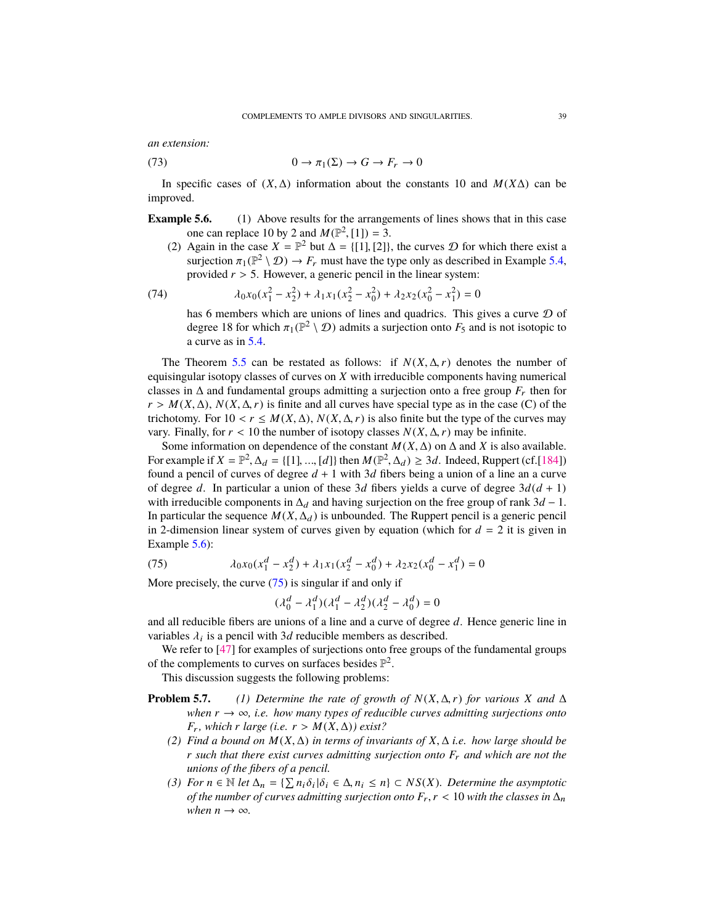<span id="page-38-1"></span>*an extension:*

(73) 
$$
0 \to \pi_1(\Sigma) \to G \to F_r \to 0
$$

In specific cases of  $(X, \Delta)$  information about the constants 10 and  $M(X\Delta)$  can be improved.

**Example 5.6.** (1) Above results for the arrangements of lines shows that in this case one can replace 10 by 2 and  $M(\mathbb{P}^2, [1]) = 3$ .<br>Again in the case  $X = \mathbb{P}^2$  but  $A = [11112]$ 

(2) Again in the case  $X = \mathbb{P}^2$  but  $\Delta = \{[1], [2]\}$ , the curves  $\mathcal D$  for which there exist a surjection  $\pi: (\mathbb{P}^2 \setminus \mathcal D) \to F$  must have the type only as described in Example 5.4. surjection  $\pi_1(\mathbb{P}^2 \setminus \mathcal{D}) \to F_r$  must have the type only as described in Example [5.4,](#page-37-3)<br>provided  $r > 5$ . However, a generic pencil in the linear system: provided *<sup>r</sup>* > 5. However, a generic pencil in the linear system:

(74) 
$$
\lambda_0 x_0 (x_1^2 - x_2^2) + \lambda_1 x_1 (x_2^2 - x_0^2) + \lambda_2 x_2 (x_0^2 - x_1^2) = 0
$$

has 6 members which are unions of lines and quadrics. This gives a curve  $D$  of degree 18 for which  $\pi_1(\mathbb{P}^2 \setminus \mathcal{D})$  admits a surjection onto  $F_5$  and is not isotopic to a curve as in [5.4.](#page-37-3)

The Theorem [5.5](#page-37-0) can be restated as follows: if  $N(X, \Delta, r)$  denotes the number of equisingular isotopy classes of curves on *X* with irreducible components having numerical classes in  $\Delta$  and fundamental groups admitting a surjection onto a free group  $F_r$  then for  $r > M(X, \Delta)$ ,  $N(X, \Delta, r)$  is finite and all curves have special type as in the case (C) of the trichotomy. For  $10 < r \leq M(X, \Delta)$ ,  $N(X, \Delta, r)$  is also finite but the type of the curves may vary. Finally, for  $r < 10$  the number of isotopy classes  $N(X, \Delta, r)$  may be infinite.

Some information on dependence of the constant  $M(X, \Delta)$  on  $\Delta$  and *X* is also available. For example if  $X = \mathbb{P}^2$ ,  $\Delta_d = \{ [1], ..., [d] \}$  then  $M(\mathbb{P}^2, \Delta_d) \geq 3d$ . Indeed, Ruppert (cf.[\[184\]](#page-51-26)) found a pencil of curves of degree  $d + 1$  with 3d fibers being a union of a line an a curve found a pencil of curves of degree  $d + 1$  with 3*d* fibers being a union of a line an a curve of degree *d*. In particular a union of these 3*d* fibers yields a curve of degree  $3d(d + 1)$ with irreducible components in  $\Delta_d$  and having surjection on the free group of rank  $3d - 1$ . In particular the sequence  $M(X, \Delta_d)$  is unbounded. The Ruppert pencil is a generic pencil in 2-dimension linear system of curves given by equation (which for  $d = 2$  it is given in Example [5.6\)](#page-0-0):

(75) 
$$
\lambda_0 x_0 (x_1^d - x_2^d) + \lambda_1 x_1 (x_2^d - x_0^d) + \lambda_2 x_2 (x_0^d - x_1^d) = 0
$$
  
More precisely, the curve (75) is singular if and only if

<span id="page-38-0"></span>
$$
(\lambda_0^d - \lambda_1^d)(\lambda_1^d - \lambda_2^d)(\lambda_2^d - \lambda_0^d) = 0
$$

and all reducible fibers are unions of a line and a curve of degree *d*. Hence generic line in variables  $\lambda_i$  is a pencil with 3*d* reducible members as described.<br>We refer to [47] for examples of surjections onto free groups of

We refer to [\[47\]](#page-47-4) for examples of surjections onto free groups of the fundamental groups of the complements to curves on surfaces besides  $\mathbb{P}^2$ .

This discussion suggests the following problems:

- **Problem 5.7.** *(1) Determine the rate of growth of*  $N(X, \Delta, r)$  *for various X* and  $\Delta$ *when*  $r \rightarrow \infty$ *, i.e. how many types of reducible curves admitting surjections onto*  $F_r$ , which *r* large (i.e.  $r > M(X, \Delta)$ ) exist?
	- *(2) Find a bound on <sup>M</sup>*(*X*, <sup>∆</sup>) *in terms of invariants of <sup>X</sup>*, <sup>∆</sup> *i.e. how large should be r such that there exist curves admitting surjection onto F*<sup>r</sup> *and which are not the unions of the fibers of a pencil.*
	- (3) *For n* ∈ *N let*  $\Delta_n = {\sum n_i \delta_i | \delta_i \in \Delta, n_i \le n}$  ⊂ *NS(X). Determine the asymptotic* of the number of curves admitting surjection onto  $F \le r < 10$  with the classes in  $\Delta$ *of the number of curves admitting surjection onto*  $F_r$ ,  $r$  < 10 *with the classes in*  $\Delta_n$ *when*  $n \to \infty$ *.*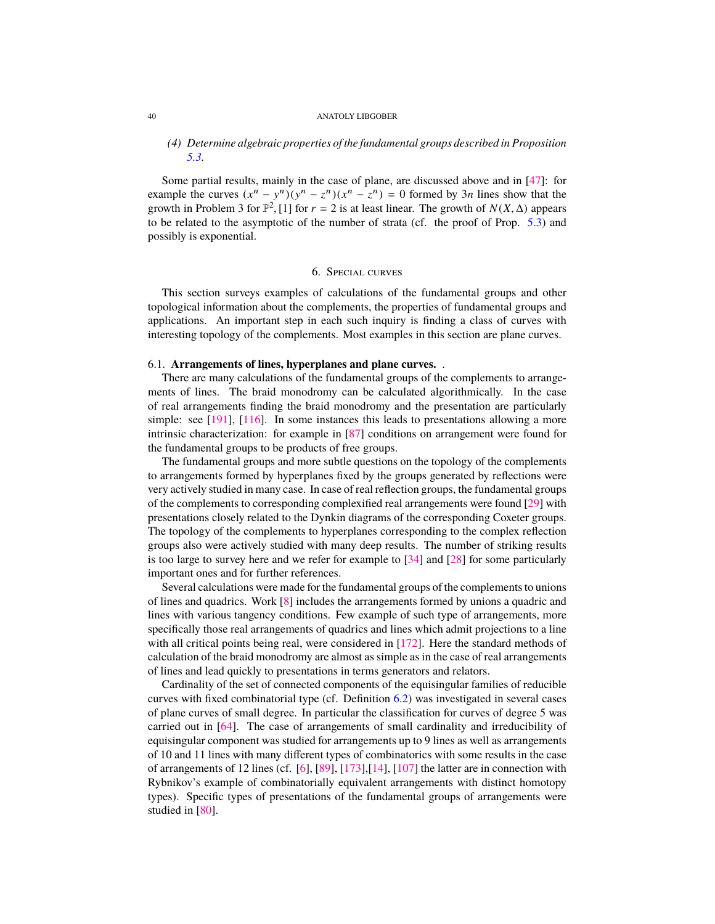# *(4) Determine algebraic properties of the fundamental groups described in Proposition [5.3.](#page-35-4)*

Some partial results, mainly in the case of plane, are discussed above and in [\[47\]](#page-47-4): for example the curves  $(x^n - y^n)(y^n - z^n)(x^n - z^n) = 0$  formed by 3*n* lines show that the growth in Problem 3 for  $\mathbb{P}^2$ , [1] for  $r = 2$  is at least linear. The growth of *N*(*X*,  $\Delta$ ) appears to be related to the asymptotic of the number of strata (cf. the proof of Prop. 5.3) and to be related to the asymptotic of the number of strata (cf. the proof of Prop. [5.3\)](#page-35-4) and possibly is exponential.

# 6. Special curves

This section surveys examples of calculations of the fundamental groups and other topological information about the complements, the properties of fundamental groups and applications. An important step in each such inquiry is finding a class of curves with interesting topology of the complements. Most examples in this section are plane curves.

# 6.1. **Arrangements of lines, hyperplanes and plane curves.** .

There are many calculations of the fundamental groups of the complements to arrangements of lines. The braid monodromy can be calculated algorithmically. In the case of real arrangements finding the braid monodromy and the presentation are particularly simple: see [\[191\]](#page-52-17), [\[116\]](#page-49-16). In some instances this leads to presentations allowing a more intrinsic characterization: for example in [\[87\]](#page-48-23) conditions on arrangement were found for the fundamental groups to be products of free groups.

The fundamental groups and more subtle questions on the topology of the complements to arrangements formed by hyperplanes fixed by the groups generated by reflections were very actively studied in many case. In case of real reflection groups, the fundamental groups of the complements to corresponding complexified real arrangements were found [\[29\]](#page-46-17) with presentations closely related to the Dynkin diagrams of the corresponding Coxeter groups. The topology of the complements to hyperplanes corresponding to the complex reflection groups also were actively studied with many deep results. The number of striking results is too large to survey here and we refer for example to [\[34\]](#page-47-16) and [\[28\]](#page-46-18) for some particularly important ones and for further references.

Several calculations were made for the fundamental groups of the complements to unions of lines and quadrics. Work [\[8\]](#page-46-19) includes the arrangements formed by unions a quadric and lines with various tangency conditions. Few example of such type of arrangements, more specifically those real arrangements of quadrics and lines which admit projections to a line with all critical points being real, were considered in [\[172\]](#page-51-27). Here the standard methods of calculation of the braid monodromy are almost as simple as in the case of real arrangements of lines and lead quickly to presentations in terms generators and relators.

Cardinality of the set of connected components of the equisingular families of reducible curves with fixed combinatorial type (cf. Definition [6.2\)](#page-44-0) was investigated in several cases of plane curves of small degree. In particular the classification for curves of degree 5 was carried out in [\[64\]](#page-47-17). The case of arrangements of small cardinality and irreducibility of equisingular component was studied for arrangements up to 9 lines as well as arrangements of 10 and 11 lines with many different types of combinatorics with some results in the case of arrangements of 12 lines (cf. [\[6\]](#page-46-20), [\[89\]](#page-48-24), [\[173\]](#page-51-28),[\[14\]](#page-46-21), [\[107\]](#page-49-25) the latter are in connection with Rybnikov's example of combinatorially equivalent arrangements with distinct homotopy types). Specific types of presentations of the fundamental groups of arrangements were studied in [\[80\]](#page-48-25).

<span id="page-39-0"></span>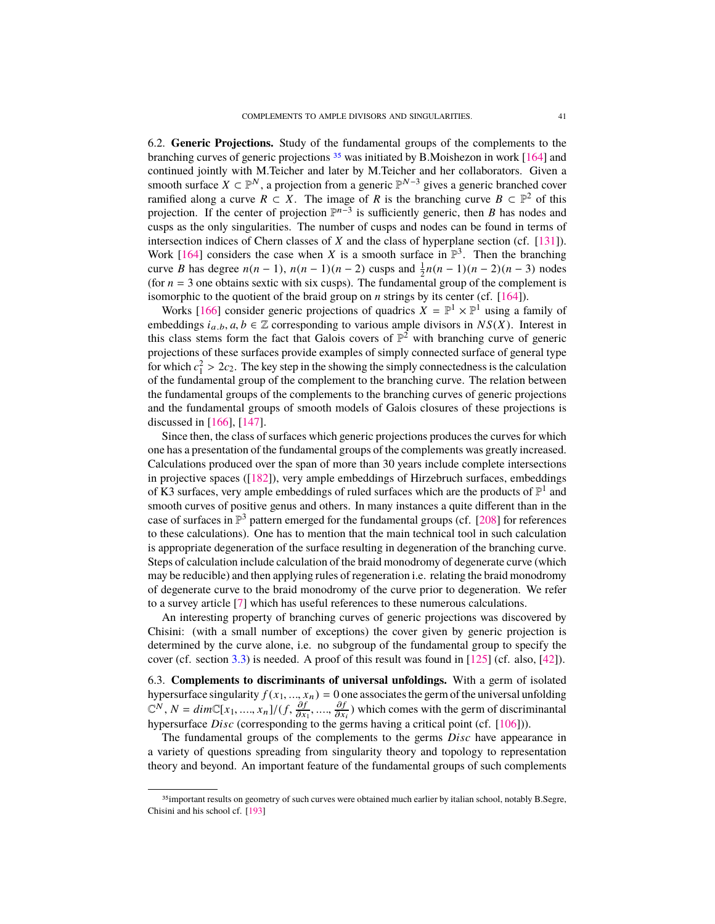<span id="page-40-1"></span>6.2. **Generic Projections.** Study of the fundamental groups of the complements to the branching curves of generic projections  $35$  was initiated by B.Moishezon in work [\[164\]](#page-51-3) and continued jointly with M.Teicher and later by M.Teicher and her collaborators. Given a smooth surface  $X \subset \mathbb{P}^N$ , a projection from a generic  $\mathbb{P}^{N-3}$  gives a generic branched cover ramified along a curve  $R \subset X$ . The image of R is the branching curve  $B \subset \mathbb{P}^2$  of this projection. If the center of projection  $\mathbb{P}^{n-3}$  is sufficiently generic, then *B* has nodes and cusps as the only singularities. The number of cusps and nodes can be found in terms of intersection indices of Chern classes of *X* and the class of hyperplane section (cf. [\[131\]](#page-50-24)). Work [\[164\]](#page-51-3) considers the case when *X* is a smooth surface in  $\mathbb{P}^3$ . Then the branching curve *B* has degree  $n(n-1)$ ,  $n(n-1)(n-2)$  cusps and  $\frac{1}{2}n(n-1)(n-2)(n-3)$  nodes (for  $n = 3$  one obtains sextic with six cusps). The fundamental group of the complement is isomorphic to the quotient of the braid group on *n* strings by its center (cf. [\[164\]](#page-51-3)).

Works [\[166\]](#page-51-4) consider generic projections of quadrics  $X = \mathbb{P}^1 \times \mathbb{P}^1$  using a family of embeddings  $i_{a,b}, a, b \in \mathbb{Z}$  corresponding to various ample divisors in  $NS(X)$ . Interest in this class stems form the fact that Galois covers of  $\mathbb{P}^2$  with branching curve of generic projections of these surfaces provide examples of simply connected surface of general type for which  $c_1^2 > 2c_2$ . The key step in the showing the simply connectedness is the calculation of the fundamental group of the complement to the branching curve. The relation between of the fundamental group of the complement to the branching curve. The relation between the fundamental groups of the complements to the branching curves of generic projections and the fundamental groups of smooth models of Galois closures of these projections is discussed in [\[166\]](#page-51-4), [\[147\]](#page-50-25).

Since then, the class of surfaces which generic projections produces the curves for which one has a presentation of the fundamental groups of the complements was greatly increased. Calculations produced over the span of more than 30 years include complete intersections in projective spaces ([\[182\]](#page-51-29)), very ample embeddings of Hirzebruch surfaces, embeddings of K3 surfaces, very ample embeddings of ruled surfaces which are the products of  $\mathbb{P}^1$  and smooth curves of positive genus and others. In many instances a quite different than in the case of surfaces in  $\mathbb{P}^3$  pattern emerged for the fundamental groups (cf. [\[208\]](#page-52-18) for references to these calculations). One has to mention that the main technical tool in such calculation is appropriate degeneration of the surface resulting in degeneration of the branching curve. Steps of calculation include calculation of the braid monodromy of degenerate curve (which may be reducible) and then applying rules of regeneration i.e. relating the braid monodromy of degenerate curve to the braid monodromy of the curve prior to degeneration. We refer to a survey article [\[7\]](#page-46-22) which has useful references to these numerous calculations.

An interesting property of branching curves of generic projections was discovered by Chisini: (with a small number of exceptions) the cover given by generic projection is determined by the curve alone, i.e. no subgroup of the fundamental group to specify the cover (cf. section [3.3\)](#page-10-0) is needed. A proof of this result was found in [\[125\]](#page-49-26) (cf. also, [\[42\]](#page-47-18)).

6.3. **Complements to discriminants of universal unfoldings.** With a germ of isolated hypersurface singularity  $f(x_1, ..., x_n) = 0$  one associates the germ of the universal unfolding  $\mathbb{C}^N$ ,  $N = dim\mathbb{C}[x_1, ..., x_n]/(f, \frac{\partial f}{\partial x_1}, ..., \frac{\partial f}{\partial x_i})$  which comes with the germ of discriminantal hypersurface *Disc* (corres  $\frac{\partial x_1}{\partial x_1}$ hypersurface *Disc* (corresponding to the germs having a critical point (cf. [\[106\]](#page-49-27))). ∂f<br>จิช  $\frac{\partial f}{\partial x_i}$ ) which comes with the germ of discriminantal<br>  $\frac{\partial f}{\partial x_i}$ 

The fundamental groups of the complements to the germs *Disc* have appearance in a variety of questions spreading from singularity theory and topology to representation theory and beyond. An important feature of the fundamental groups of such complements

<span id="page-40-0"></span><sup>&</sup>lt;sup>35</sup>important results on geometry of such curves were obtained much earlier by italian school, notably B.Segre, Chisini and his school cf. [\[193\]](#page-52-19)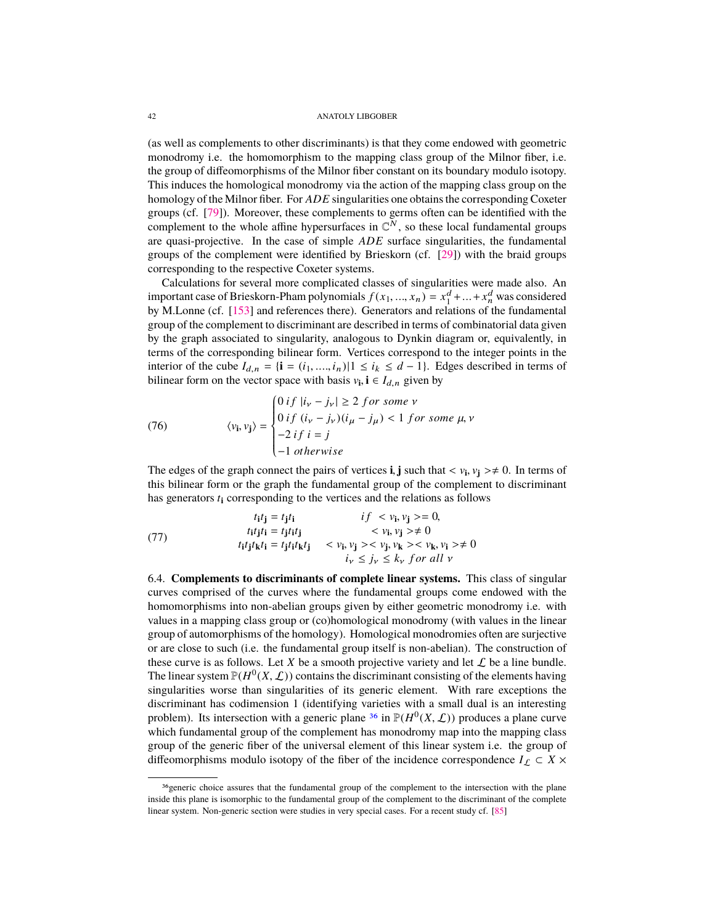<span id="page-41-2"></span>(as well as complements to other discriminants) is that they come endowed with geometric monodromy i.e. the homomorphism to the mapping class group of the Milnor fiber, i.e. the group of diffeomorphisms of the Milnor fiber constant on its boundary modulo isotopy. This induces the homological monodromy via the action of the mapping class group on the homology of the Milnor fiber. For *ADE* singularities one obtains the corresponding Coxeter groups (cf. [\[79\]](#page-48-26)). Moreover, these complements to germs often can be identified with the complement to the whole affine hypersurfaces in  $\mathbb{C}^N$ , so these local fundamental groups are quasi-projective. In the case of simple *ADE* surface singularities, the fundamental groups of the complement were identified by Brieskorn (cf. [\[29\]](#page-46-17)) with the braid groups corresponding to the respective Coxeter systems.

Calculations for several more complicated classes of singularities were made also. An important case of Brieskorn-Pham polynomials  $f(x_1, ..., x_n) = x_1^d + ... + x_n^d$  was considered<br>by M.Lonne (cf. [\[153\]](#page-50-26) and references there). Generators and relations of the fundamental group of the complement to discriminant are described in terms of combinatorial data given by the graph associated to singularity, analogous to Dynkin diagram or, equivalently, in terms of the corresponding bilinear form. Vertices correspond to the integer points in the interior of the cube  $I_{d,n} = {i = (i_1, ..., i_n) | 1 ≤ i_k ≤ d − 1}.$  Edges described in terms of bilinear form on the vector space with basis  $v_i$ , **i**  $\in I_{d,n}$  given by

(76) 
$$
\langle v_{\mathbf{i}}, v_{\mathbf{j}} \rangle = \begin{cases} 0 & \text{if } |i_{\mathbf{v}} - j_{\mathbf{v}}| \ge 2 \text{ for some } \mathbf{v} \\ 0 & \text{if } (i_{\mathbf{v}} - j_{\mathbf{v}})(i_{\mathbf{\mu}} - j_{\mathbf{\mu}}) < 1 \text{ for some } \mathbf{\mu}, \mathbf{v} \\ -2 & \text{if } i = j \\ -1 & \text{otherwise} \end{cases}
$$

The edges of the graph connect the pairs of vertices **i**, **j** such that  $\langle v_i, v_j \rangle \neq 0$ . In terms of this bilinear form or the graph the fundamental group of the complement to discriminant this bilinear form or the graph the fundamental group of the complement to discriminant has generators *t***<sup>i</sup>** corresponding to the vertices and the relations as follows

<span id="page-41-1"></span>(77)   
\n
$$
t_{i}t_{j} = t_{j}t_{i}
$$
\n
$$
t_{i}t_{j}t_{i} = t_{j}t_{i}t_{j}
$$
\n
$$
t_{i}t_{j}t_{k}t_{i} = t_{j}t_{i}t_{k}t_{j}
$$
\n
$$
t_{i}t_{j}t_{k}t_{i} = t_{j}t_{i}t_{k}t_{j}
$$
\n
$$
t_{i}t_{j}t_{k}t_{j} < v_{i}, v_{j} >< v_{j}, v_{k} >< v_{k}, v_{i} > \neq 0
$$
\n
$$
t_{i} \leq j_{v} \leq k_{v} \text{ for all } v
$$

6.4. **Complements to discriminants of complete linear systems.** This class of singular curves comprised of the curves where the fundamental groups come endowed with the homomorphisms into non-abelian groups given by either geometric monodromy i.e. with values in a mapping class group or (co)homological monodromy (with values in the linear group of automorphisms of the homology). Homological monodromies often are surjective or are close to such (i.e. the fundamental group itself is non-abelian). The construction of these curve is as follows. Let *X* be a smooth projective variety and let  $\mathcal L$  be a line bundle. The linear system  $\mathbb{P}(H^0(X, \mathcal{L}))$  contains the discriminant consisting of the elements having<br>singularities worse than singularities of its generic element. With rare exceptions the singularities worse than singularities of its generic element. With rare exceptions the discriminant has codimension 1 (identifying varieties with a small dual is an interesting problem). Its intersection with a generic plane <sup>[36](#page-41-0)</sup> in  $\mathbb{P}(H^0(X, \mathcal{L}))$  produces a plane curve<br>which fundamental group of the complement has monodromy man into the manning class which fundamental group of the complement has monodromy map into the mapping class group of the generic fiber of the universal element of this linear system i.e. the group of diffeomorphisms modulo isotopy of the fiber of the incidence correspondence  $I_L \subset X \times$ 

<span id="page-41-0"></span><sup>&</sup>lt;sup>36</sup>generic choice assures that the fundamental group of the complement to the intersection with the plane inside this plane is isomorphic to the fundamental group of the complement to the discriminant of the complete linear system. Non-generic section were studies in very special cases. For a recent study cf. [\[85\]](#page-48-27)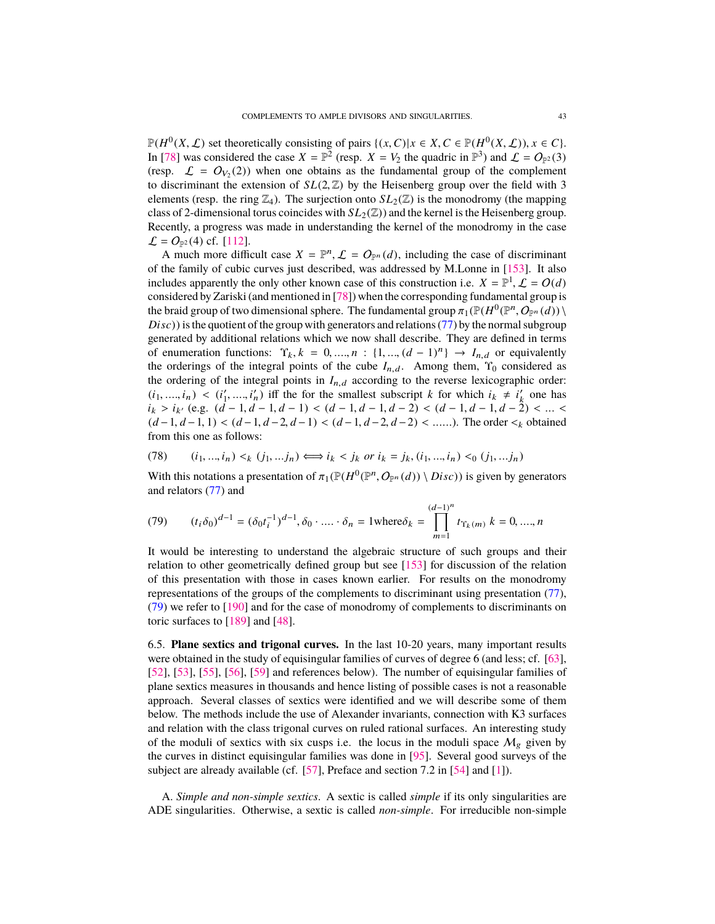<span id="page-42-1"></span> $\mathbb{P}(H^0(X, \mathcal{L})$  set theoretically consisting of pairs  $\{(x, C) | x \in X, C \in \mathbb{P}(H^0(X, \mathcal{L})), x \in C\}$ .<br>In [78] was considered the case  $X = \mathbb{P}^2$  (resp.  $X = V$  the quadric in  $\mathbb{P}^3$ ) and  $f = O_2(3)$ . In [\[78\]](#page-48-28) was considered the case  $X = \mathbb{P}^2$  (resp.  $X = V_2$  the quadric in  $\mathbb{P}^3$ ) and  $\mathcal{L} = O_{\mathbb{P}^2}(3)$ (resp.  $\mathcal{L} = O_{V_2}(2)$ ) when one obtains as the fundamental group of the complement to discriminant the extension of  $SL(2, \mathbb{Z})$  by the Heisenberg group over the field with 3 elements (resp. the ring  $\mathbb{Z}_4$ ). The surjection onto  $SL_2(\mathbb{Z})$  is the monodromy (the mapping class of 2-dimensional torus coincides with  $SL_2(\mathbb{Z})$  and the kernel is the Heisenberg group. Recently, a progress was made in understanding the kernel of the monodromy in the case  $\mathcal{L} = O_{\mathbb{P}^2}(4)$  cf. [\[112\]](#page-49-28).

A much more difficult case  $X = \mathbb{P}^n$ ,  $\mathcal{L} = O_{\mathbb{P}^n}(d)$ , including the case of discriminant the family of cubic curves just described was addressed by M I onne in [153]. It also of the family of cubic curves just described, was addressed by M.Lonne in [\[153\]](#page-50-26). It also includes apparently the only other known case of this construction i.e.  $X = \mathbb{P}^1$ ,  $\mathcal{L} = O(d)$ <br>considered by Zariski (and mentioned in [78]) when the corresponding fundamental group is considered by Zariski (and mentioned in [\[78\]](#page-48-28)) when the corresponding fundamental group is the braid group of two dimensional sphere. The fundamental group  $\pi_1(\mathbb{P}(H^0(\mathbb{P}^n, O_{\mathbb{P}^n}(d)))$ <br>*Disc*)) is the quotient of the group with generators and relations (77) by the normal subgroup *Disc*)) is the quotient of the group with generators and relations [\(77\)](#page-41-1) by the normal subgroup generated by additional relations which we now shall describe. They are defined in terms of enumeration functions:  $\Upsilon_k$ ,  $k = 0, ..., n : \{1, ..., (d-1)^n\} \rightarrow I_{n,d}$  or equivalently the orderings of the integral points of the cube  $I_{n}$ , Among them.  $\Upsilon_0$  considered as the orderings of the integral points of the cube  $I_{n,d}$ . Among them,  $\Upsilon_0$  considered as the ordering of the integral points in  $I_{n,d}$  according to the reverse lexicographic order:  $(i_1, ..., i_n) < (i'_1, ..., i'_n)$  iff the for the smallest subscript *k* for which  $i_k \neq i'_k$  one has *i*<sub>k</sub> > *i*<sub>k</sub>' (e.g.  $(d-1, d-1, d-1) < (d-1, d-2, d-1) < (d-1, d-2, d-2) < (d-1, d-2, d-1) < (d-1, d-2, d-2) < (d-1, d-2, d-2)$ ). The order < obtained (*<sup>d</sup>* <sup>−</sup>1, *<sup>d</sup>* <sup>−</sup>1, <sup>1</sup>) <sup>&</sup>lt; (*<sup>d</sup>* <sup>−</sup>1, *<sup>d</sup>* <sup>−</sup>2, *<sup>d</sup>* <sup>−</sup>1) <sup>&</sup>lt; (*<sup>d</sup>* <sup>−</sup>1, *<sup>d</sup>* <sup>−</sup>2, *<sup>d</sup>* <sup>−</sup>2) < ......). The order <sup>&</sup>lt;<sup>k</sup> obtained from this one as follows:

(78) 
$$
(i_1, ..., i_n) <_k (j_1, ... j_n) \iff i_k < j_k \text{ or } i_k = j_k, (i_1, ..., i_n) <_0 (j_1, ... j_n)
$$

With this notations a presentation of  $\pi_1(\mathbb{P}(H^0(\mathbb{P}^n, O_{\mathbb{P}^n}(d))) \setminus Disc)$  is given by generators and relators (77) and and relators [\(77\)](#page-41-1) and

<span id="page-42-0"></span>(79) 
$$
(t_i \delta_0)^{d-1} = (\delta_0 t_i^{-1})^{d-1}, \delta_0 \cdot \dots \cdot \delta_n = 1 \text{where } \delta_k = \prod_{m=1}^{(d-1)^n} t_{\Upsilon_k(m)} k = 0, \dots, n
$$

It would be interesting to understand the algebraic structure of such groups and their relation to other geometrically defined group but see [\[153\]](#page-50-26) for discussion of the relation of this presentation with those in cases known earlier. For results on the monodromy representations of the groups of the complements to discriminant using presentation [\(77\)](#page-41-1), [\(79\)](#page-42-0) we refer to [\[190\]](#page-52-20) and for the case of monodromy of complements to discriminants on toric surfaces to [\[189\]](#page-52-21) and [\[48\]](#page-47-19).

6.5. **Plane sextics and trigonal curves.** In the last 10-20 years, many important results were obtained in the study of equisingular families of curves of degree 6 (and less; cf. [\[63\]](#page-47-20), [\[52\]](#page-47-21), [\[53\]](#page-47-22), [\[55\]](#page-47-23), [\[56\]](#page-47-24), [\[59\]](#page-47-25) and references below). The number of equisingular families of plane sextics measures in thousands and hence listing of possible cases is not a reasonable approach. Several classes of sextics were identified and we will describe some of them below. The methods include the use of Alexander invariants, connection with K3 surfaces and relation with the class trigonal curves on ruled rational surfaces. An interesting study of the moduli of sextics with six cusps i.e. the locus in the moduli space  $M_g$  given by the curves in distinct equisingular families was done in [\[95\]](#page-48-29). Several good surveys of the subject are already available (cf. [\[57\]](#page-47-5), Preface and section 7.2 in [\[54\]](#page-47-0) and [\[1\]](#page-45-4)).

A. *Simple and non-simple sextics*. A sextic is called *simple* if its only singularities are ADE singularities. Otherwise, a sextic is called *non-simple*. For irreducible non-simple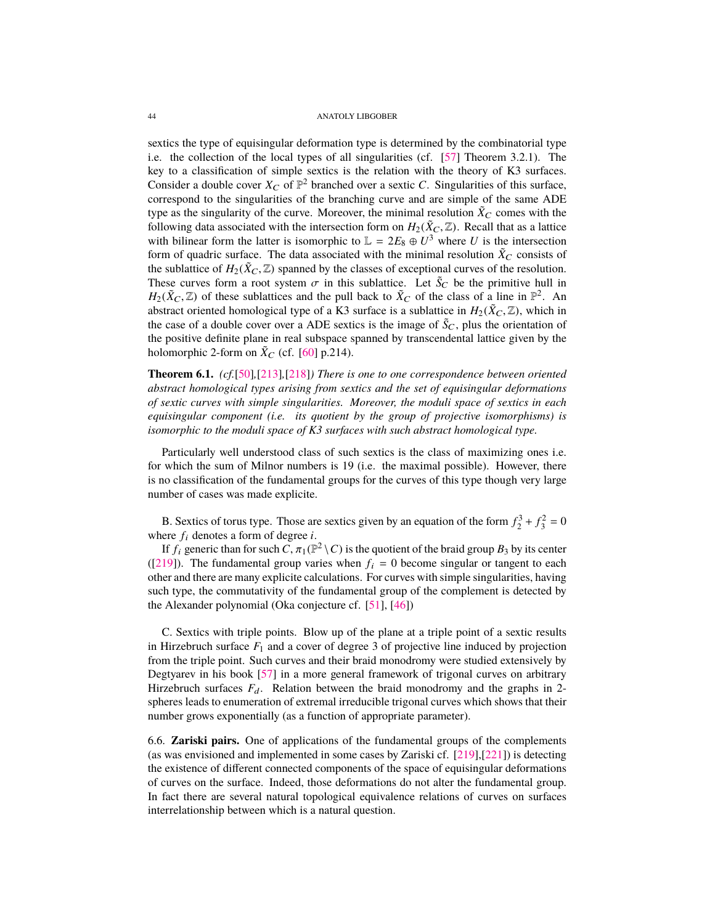<span id="page-43-0"></span>sextics the type of equisingular deformation type is determined by the combinatorial type i.e. the collection of the local types of all singularities (cf. [\[57\]](#page-47-5) Theorem 3.2.1). The key to a classification of simple sextics is the relation with the theory of K3 surfaces. Consider a double cover  $X_C$  of  $\mathbb{P}^2$  branched over a sextic *C*. Singularities of this surface, correspond to the singularities of the branching curve and are simple of the same ADE type as the singularity of the curve. Moreover, the minimal resolution  $\tilde{X}_C$  comes with the following data associated with the intersection form on  $H_2(\tilde{X}_C, \mathbb{Z})$ . Recall that as a lattice with bilinear form the latter is isomorphic to  $\mathbb{L} = 2E_8 \oplus U^3$  where *U* is the intersection form of quadric surface. The data associated with the minimal resolution  $\tilde{X}_C$  consists of the sublattice of  $H_2(\tilde{X}_C, \mathbb{Z})$  spanned by the classes of exceptional curves of the resolution. These curves form a root system  $\sigma$  in this sublattice. Let  $\tilde{S}_C$  be the primitive hull in *H*<sub>2</sub>( $\tilde{X}_C$ ,  $\mathbb{Z}$ ) of these sublattices and the pull back to  $\tilde{X}_C$  of the class of a line in  $\mathbb{P}^2$ . An abstract oriented homological type of a K3 surface is a sublattice in  $H_2(\tilde{X}_C, \mathbb{Z})$  which in abstract oriented homological type of a K3 surface is a sublattice in  $H_2(\tilde{X}_C, \mathbb{Z})$ , which in the case of a double cover over a ADE sextics is the image of  $\tilde{S}_C$ , plus the orientation of the positive definite plane in real subspace spanned by transcendental lattice given by the holomorphic 2-form on  $\tilde{X}_C$  (cf. [\[60\]](#page-47-26) p.214).

**Theorem 6.1.** *(cf.*[\[50\]](#page-47-27)*,*[\[213\]](#page-52-22)*,*[\[218\]](#page-53-7)*) There is one to one correspondence between oriented abstract homological types arising from sextics and the set of equisingular deformations of sextic curves with simple singularities. Moreover, the moduli space of sextics in each equisingular component (i.e. its quotient by the group of projective isomorphisms) is isomorphic to the moduli space of K3 surfaces with such abstract homological type.*

Particularly well understood class of such sextics is the class of maximizing ones i.e. for which the sum of Milnor numbers is 19 (i.e. the maximal possible). However, there is no classification of the fundamental groups for the curves of this type though very large number of cases was made explicite.

B. Sextics of torus type. Those are sextics given by an equation of the form  $f_2^3 + f_3^2 = 0$ where  $f_i$  denotes a form of degree  $i$ .

If  $f_i$  generic than for such  $\overline{C}$ ,  $\pi_1(\mathbb{P}^2 \setminus C)$  is the quotient of the braid group  $B_3$  by its center 1911. ([\[219\]](#page-53-0)). The fundamental group varies when  $f_i = 0$  become singular or tangent to each other and there are many explicite calculations. For curves with simple singularities, having such type, the commutativity of the fundamental group of the complement is detected by the Alexander polynomial (Oka conjecture cf. [\[51\]](#page-47-28), [\[46\]](#page-47-15))

C. Sextics with triple points. Blow up of the plane at a triple point of a sextic results in Hirzebruch surface  $F_1$  and a cover of degree 3 of projective line induced by projection from the triple point. Such curves and their braid monodromy were studied extensively by Degtyarev in his book [\[57\]](#page-47-5) in a more general framework of trigonal curves on arbitrary Hirzebruch surfaces  $F_d$ . Relation between the braid monodromy and the graphs in 2spheres leads to enumeration of extremal irreducible trigonal curves which shows that their number grows exponentially (as a function of appropriate parameter).

6.6. **Zariski pairs.** One of applications of the fundamental groups of the complements (as was envisioned and implemented in some cases by Zariski cf. [\[219\]](#page-53-0),[\[221\]](#page-53-1)) is detecting the existence of different connected components of the space of equisingular deformations of curves on the surface. Indeed, those deformations do not alter the fundamental group. In fact there are several natural topological equivalence relations of curves on surfaces interrelationship between which is a natural question.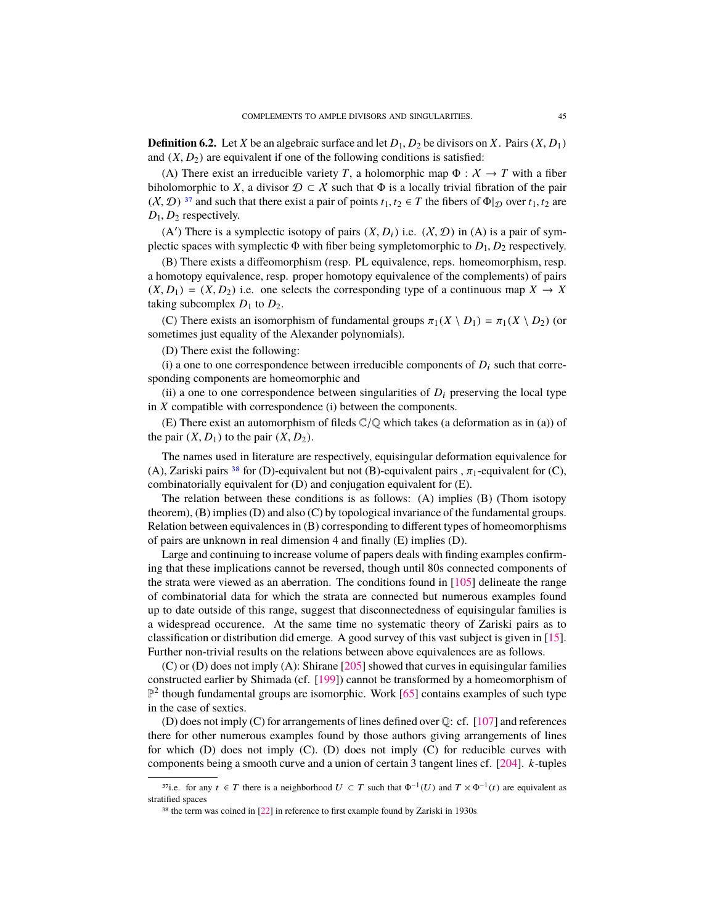<span id="page-44-3"></span><span id="page-44-0"></span>**Definition 6.2.** Let *X* be an algebraic surface and let  $D_1$ ,  $D_2$  be divisors on *X*. Pairs  $(X, D_1)$ and  $(X, D_2)$  are equivalent if one of the following conditions is satisfied:

(A) There exist an irreducible variety *T*, a holomorphic map  $\Phi : X \to T$  with a fiber biholomorphic to *X*, a divisor  $\mathcal{D} \subset \mathcal{X}$  such that  $\Phi$  is a locally trivial fibration of the pair  $(X, \mathcal{D})$ <sup>[37](#page-44-1)</sup> and such that there exist a pair of points  $t_1, t_2 \in T$  the fibers of  $\Phi|_{\mathcal{D}}$  over  $t_1, t_2$  are  $D_1$ ,  $D_2$  respectively.

(A') There is a symplectic isotopy of pairs  $(X, D_i)$  i.e.  $(X, D)$  in (A) is a pair of sym-<br>ctic spaces with symplectic  $\Phi$  with fiber being sympletomorphic to  $D_i$ . De respectively plectic spaces with symplectic  $\Phi$  with fiber being sympletomorphic to  $D_1$ ,  $D_2$  respectively.

(B) There exists a diffeomorphism (resp. PL equivalence, reps. homeomorphism, resp. a homotopy equivalence, resp. proper homotopy equivalence of the complements) of pairs  $(X, D_1) = (X, D_2)$  i.e. one selects the corresponding type of a continuous map  $X \to X$ taking subcomplex  $D_1$  to  $D_2$ .

(C) There exists an isomorphism of fundamental groups  $\pi_1(X \setminus D_1) = \pi_1(X \setminus D_2)$  (or sometimes just equality of the Alexander polynomials).

(D) There exist the following:

(i) a one to one correspondence between irreducible components of  $D_i$  such that corresponding components are homeomorphic and

(ii) a one to one correspondence between singularities of  $D_i$  preserving the local type in *X* compatible with correspondence (i) between the components.

(E) There exist an automorphism of fileds  $\mathbb{C}/\mathbb{Q}$  which takes (a deformation as in (a)) of the pair  $(X, D_1)$  to the pair  $(X, D_2)$ .

The names used in literature are respectively, equisingular deformation equivalence for (A), Zariski pairs <sup>[38](#page-44-2)</sup> for (D)-equivalent but not (B)-equivalent pairs ,  $\pi_1$ -equivalent for (C), combinatorially equivalent for (D) and conjugation equivalent for (E).

The relation between these conditions is as follows: (A) implies (B) (Thom isotopy theorem), (B) implies (D) and also (C) by topological invariance of the fundamental groups. Relation between equivalences in (B) corresponding to different types of homeomorphisms of pairs are unknown in real dimension 4 and finally (E) implies (D).

Large and continuing to increase volume of papers deals with finding examples confirming that these implications cannot be reversed, though until 80s connected components of the strata were viewed as an aberration. The conditions found in [\[105\]](#page-49-29) delineate the range of combinatorial data for which the strata are connected but numerous examples found up to date outside of this range, suggest that disconnectedness of equisingular families is a widespread occurence. At the same time no systematic theory of Zariski pairs as to classification or distribution did emerge. A good survey of this vast subject is given in [\[15\]](#page-46-23). Further non-trivial results on the relations between above equivalences are as follows.

(C) or (D) does not imply (A): Shirane  $[205]$  showed that curves in equisingular families constructed earlier by Shimada (cf. [\[199\]](#page-52-5)) cannot be transformed by a homeomorphism of  $\mathbb{P}^2$  though fundamental groups are isomorphic. Work [\[65\]](#page-47-29) contains examples of such type in the case of sextics.

(D) does not imply (C) for arrangements of lines defined over  $\mathbb{Q}$ : cf. [\[107\]](#page-49-25) and references there for other numerous examples found by those authors giving arrangements of lines for which  $(D)$  does not imply  $(C)$ .  $(D)$  does not imply  $(C)$  for reducible curves with components being a smooth curve and a union of certain 3 tangent lines cf. [\[204\]](#page-52-24). *k*-tuples

<span id="page-44-1"></span><sup>&</sup>lt;sup>37</sup>i.e. for any  $t \in T$  there is a neighborhood  $U \subset T$  such that  $\Phi^{-1}(U)$  and  $T \times \Phi^{-1}(t)$  are equivalent as stratified spaces

<span id="page-44-2"></span><sup>38</sup> the term was coined in [\[22\]](#page-46-24) in reference to first example found by Zariski in 1930s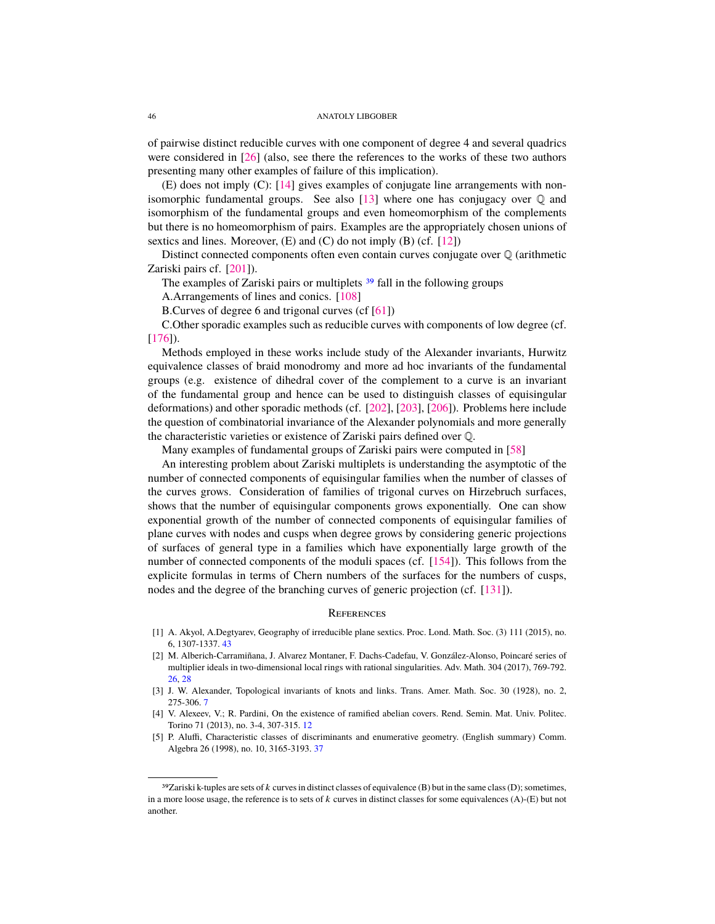<span id="page-45-6"></span>of pairwise distinct reducible curves with one component of degree 4 and several quadrics were considered in [\[26\]](#page-46-25) (also, see there the references to the works of these two authors presenting many other examples of failure of this implication).

(E) does not imply (C): [\[14\]](#page-46-21) gives examples of conjugate line arrangements with nonisomorphic fundamental groups. See also  $[13]$  where one has conjugacy over  $\mathbb Q$  and isomorphism of the fundamental groups and even homeomorphism of the complements but there is no homeomorphism of pairs. Examples are the appropriately chosen unions of sextics and lines. Moreover,  $(E)$  and  $(C)$  do not imply  $(B)$  (cf.  $[12]$ )

Distinct connected components often even contain curves conjugate over Q (arithmetic Zariski pairs cf. [\[201\]](#page-52-25)).

The examples of Zariski pairs or multiplets <sup>[39](#page-45-5)</sup> fall in the following groups

A.Arrangements of lines and conics. [\[108\]](#page-49-30)

B.Curves of degree 6 and trigonal curves (cf [\[61\]](#page-47-30))

C.Other sporadic examples such as reducible curves with components of low degree (cf. [\[176\]](#page-51-30)).

Methods employed in these works include study of the Alexander invariants, Hurwitz equivalence classes of braid monodromy and more ad hoc invariants of the fundamental groups (e.g. existence of dihedral cover of the complement to a curve is an invariant of the fundamental group and hence can be used to distinguish classes of equisingular deformations) and other sporadic methods (cf. [\[202\]](#page-52-26), [\[203\]](#page-52-27), [\[206\]](#page-52-28)). Problems here include the question of combinatorial invariance of the Alexander polynomials and more generally the characteristic varieties or existence of Zariski pairs defined over Q.

Many examples of fundamental groups of Zariski pairs were computed in [\[58\]](#page-47-31)

An interesting problem about Zariski multiplets is understanding the asymptotic of the number of connected components of equisingular families when the number of classes of the curves grows. Consideration of families of trigonal curves on Hirzebruch surfaces, shows that the number of equisingular components grows exponentially. One can show exponential growth of the number of connected components of equisingular families of plane curves with nodes and cusps when degree grows by considering generic projections of surfaces of general type in a families which have exponentially large growth of the number of connected components of the moduli spaces (cf. [\[154\]](#page-50-27)). This follows from the explicite formulas in terms of Chern numbers of the surfaces for the numbers of cusps, nodes and the degree of the branching curves of generic projection (cf. [\[131\]](#page-50-24)).

## **REFERENCES**

- <span id="page-45-4"></span>[1] A. Akyol, A.Degtyarev, Geography of irreducible plane sextics. Proc. Lond. Math. Soc. (3) 111 (2015), no. 6, 1307-1337. [43](#page-42-1)
- <span id="page-45-2"></span>[2] M. Alberich-Carramiñana, J. Alvarez Montaner, F. Dachs-Cadefau, V. González-Alonso, Poincaré series of multiplier ideals in two-dimensional local rings with rational singularities. Adv. Math. 304 (2017), 769-792. [26,](#page-25-4) [28](#page-27-3)
- <span id="page-45-0"></span>[3] J. W. Alexander, Topological invariants of knots and links. Trans. Amer. Math. Soc. 30 (1928), no. 2, 275-306. [7](#page-6-3)
- <span id="page-45-1"></span>[4] V. Alexeev, V.; R. Pardini, On the existence of ramified abelian covers. Rend. Semin. Mat. Univ. Politec. Torino 71 (2013), no. 3-4, 307-315. [12](#page-11-1)
- <span id="page-45-3"></span>[5] P. Aluffi, Characteristic classes of discriminants and enumerative geometry. (English summary) Comm. Algebra 26 (1998), no. 10, 3165-3193. [37](#page-36-0)

<span id="page-45-5"></span><sup>39</sup>Zariski k-tuples are sets of k curves in distinct classes of equivalence (B) but in the same class (D); sometimes, in a more loose usage, the reference is to sets of  $k$  curves in distinct classes for some equivalences  $(A)$ - $(E)$  but not another.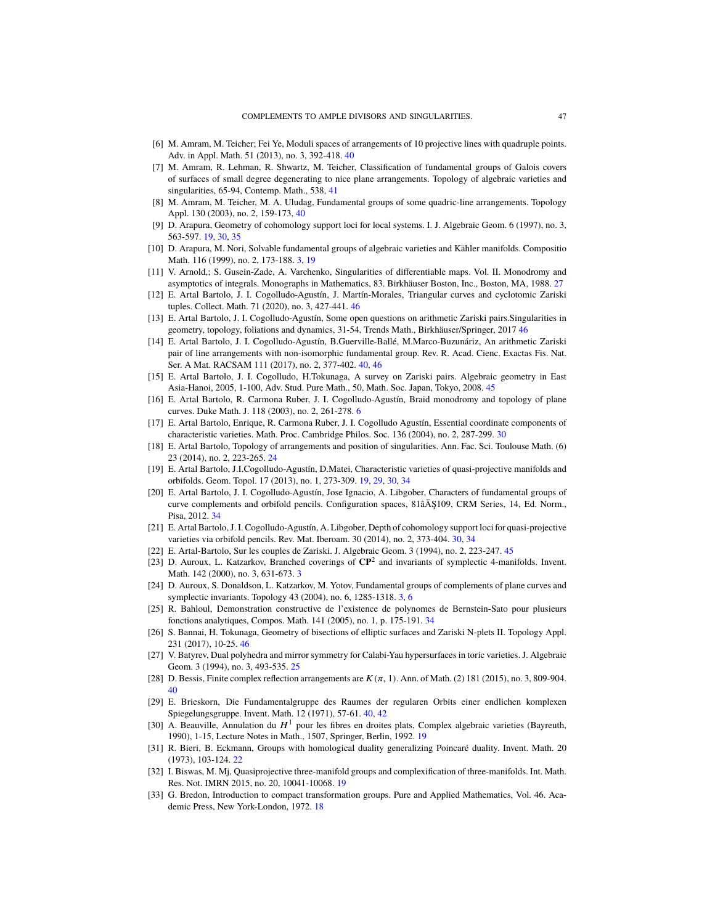- <span id="page-46-20"></span>[6] M. Amram, M. Teicher; Fei Ye, Moduli spaces of arrangements of 10 projective lines with quadruple points. Adv. in Appl. Math. 51 (2013), no. 3, 392-418. [40](#page-39-0)
- <span id="page-46-22"></span>[7] M. Amram, R. Lehman, R. Shwartz, M. Teicher, Classification of fundamental groups of Galois covers of surfaces of small degree degenerating to nice plane arrangements. Topology of algebraic varieties and singularities, 65-94, Contemp. Math., 538, [41](#page-40-1)
- <span id="page-46-19"></span>[8] M. Amram, M. Teicher, M. A. Uludag, Fundamental groups of some quadric-line arrangements. Topology Appl. 130 (2003), no. 2, 159-173, [40](#page-39-0)
- <span id="page-46-5"></span>[9] D. Arapura, Geometry of cohomology support loci for local systems. I. J. Algebraic Geom. 6 (1997), no. 3, 563-597. [19,](#page-18-6) [30,](#page-29-0) [35](#page-34-4)
- <span id="page-46-0"></span>[10] D. Arapura, M. Nori, Solvable fundamental groups of algebraic varieties and Kähler manifolds. Compositio Math. 116 (1999), no. 2, 173-188. [3,](#page-2-2) [19](#page-18-6)
- <span id="page-46-12"></span>[11] V. Arnold,; S. Gusein-Zade, A. Varchenko, Singularities of differentiable maps. Vol. II. Monodromy and asymptotics of integrals. Monographs in Mathematics, 83. Birkhäuser Boston, Inc., Boston, MA, 1988. [27](#page-26-3)
- <span id="page-46-27"></span>[12] E. Artal Bartolo, J. I. Cogolludo-Agustín, J. Martín-Morales, Triangular curves and cyclotomic Zariski tuples. Collect. Math. 71 (2020), no. 3, 427-441. [46](#page-45-6)
- <span id="page-46-26"></span>[13] E. Artal Bartolo, J. I. Cogolludo-Agustín, Some open questions on arithmetic Zariski pairs.Singularities in geometry, topology, foliations and dynamics, 31-54, Trends Math., Birkhäuser/Springer, 2017 [46](#page-45-6)
- <span id="page-46-21"></span>[14] E. Artal Bartolo, J. I. Cogolludo-Agustín, B.Guerville-Ballé, M.Marco-Buzunáriz, An arithmetic Zariski pair of line arrangements with non-isomorphic fundamental group. Rev. R. Acad. Cienc. Exactas Fis. Nat. Ser. A Mat. RACSAM 111 (2017), no. 2, 377-402. [40,](#page-39-0) [46](#page-45-6)
- <span id="page-46-23"></span>[15] E. Artal Bartolo, J. I. Cogolludo, H.Tokunaga, A survey on Zariski pairs. Algebraic geometry in East Asia-Hanoi, 2005, 1-100, Adv. Stud. Pure Math., 50, Math. Soc. Japan, Tokyo, 2008. [45](#page-44-3)
- <span id="page-46-3"></span>[16] E. Artal Bartolo, R. Carmona Ruber, J. I. Cogolludo-Agustín, Braid monodromy and topology of plane curves. Duke Math. J. 118 (2003), no. 2, 261-278. [6](#page-5-3)
- <span id="page-46-13"></span>[17] E. Artal Bartolo, Enrique, R. Carmona Ruber, J. I. Cogolludo Agustín, Essential coordinate components of characteristic varieties. Math. Proc. Cambridge Philos. Soc. 136 (2004), no. 2, 287-299. [30](#page-29-0)
- <span id="page-46-10"></span>[18] E. Artal Bartolo, Topology of arrangements and position of singularities. Ann. Fac. Sci. Toulouse Math. (6) 23 (2014), no. 2, 223-265. [24](#page-23-7)
- <span id="page-46-7"></span>[19] E. Artal Bartolo, J.I.Cogolludo-Agustín, D.Matei, Characteristic varieties of quasi-projective manifolds and orbifolds. Geom. Topol. 17 (2013), no. 1, 273-309. [19,](#page-18-6) [29,](#page-28-2) [30,](#page-29-0) [34](#page-33-1)
- <span id="page-46-15"></span>[20] E. Artal Bartolo, J. I. Cogolludo-Agustín, Jose Ignacio, A. Libgober, Characters of fundamental groups of curve complements and orbifold pencils. Configuration spaces, 81âĂŞ109, CRM Series, 14, Ed. Norm., Pisa, 2012. [34](#page-33-1)
- <span id="page-46-14"></span>[21] E. Artal Bartolo, J. I. Cogolludo-Agustín, A. Libgober, Depth of cohomology support loci for quasi-projective varieties via orbifold pencils. Rev. Mat. Iberoam. 30 (2014), no. 2, 373-404. [30,](#page-29-0) [34](#page-33-1)
- <span id="page-46-24"></span>[22] E. Artal-Bartolo, Sur les couples de Zariski. J. Algebraic Geom. 3 (1994), no. 2, 223-247. [45](#page-44-3)
- <span id="page-46-2"></span>[23] D. Auroux, L. Katzarkov, Branched coverings of **CP**<sup>2</sup> and invariants of symplectic 4-manifolds. Invent. Math. 142 (2000), no. 3, 631-673. [3](#page-2-2)
- <span id="page-46-1"></span>[24] D. Auroux, S. Donaldson, L. Katzarkov, M. Yotov, Fundamental groups of complements of plane curves and symplectic invariants. Topology 43 (2004), no. 6, 1285-1318. [3,](#page-2-2) [6](#page-5-3)
- <span id="page-46-16"></span>[25] R. Bahloul, Demonstration constructive de l'existence de polynomes de Bernstein-Sato pour plusieurs fonctions analytiques, Compos. Math. 141 (2005), no. 1, p. 175-191. [34](#page-33-1)
- <span id="page-46-25"></span>[26] S. Bannai, H. Tokunaga, Geometry of bisections of elliptic surfaces and Zariski N-plets II. Topology Appl. 231 (2017), 10-25. [46](#page-45-6)
- <span id="page-46-11"></span>[27] V. Batyrev, Dual polyhedra and mirror symmetry for Calabi-Yau hypersurfaces in toric varieties. J. Algebraic Geom. 3 (1994), no. 3, 493-535. [25](#page-24-3)
- <span id="page-46-18"></span>[28] D. Bessis, Finite complex reflection arrangements are  $K(\pi, 1)$ . Ann. of Math. (2) 181 (2015), no. 3, 809-904. [40](#page-39-0)
- <span id="page-46-17"></span>[29] E. Brieskorn, Die Fundamentalgruppe des Raumes der regularen Orbits einer endlichen komplexen Spiegelungsgruppe. Invent. Math. 12 (1971), 57-61. [40,](#page-39-0) [42](#page-41-2)
- <span id="page-46-6"></span>[30] A. Beauville, Annulation du  $H^1$  pour les fibres en droites plats, Complex algebraic varieties (Bayreuth, 1990), 1-15, Lecture Notes in Math., 1507, Springer, Berlin, 1992. [19](#page-18-6)
- <span id="page-46-9"></span>[31] R. Bieri, B. Eckmann, Groups with homological duality generalizing Poincaré duality. Invent. Math. 20 (1973), 103-124. [22](#page-21-2)
- <span id="page-46-8"></span>[32] I. Biswas, M. Mj, Quasiprojective three-manifold groups and complexification of three-manifolds. Int. Math. Res. Not. IMRN 2015, no. 20, 10041-10068. [19](#page-18-6)
- <span id="page-46-4"></span>[33] G. Bredon, Introduction to compact transformation groups. Pure and Applied Mathematics, Vol. 46. Academic Press, New York-London, 1972. [18](#page-17-7)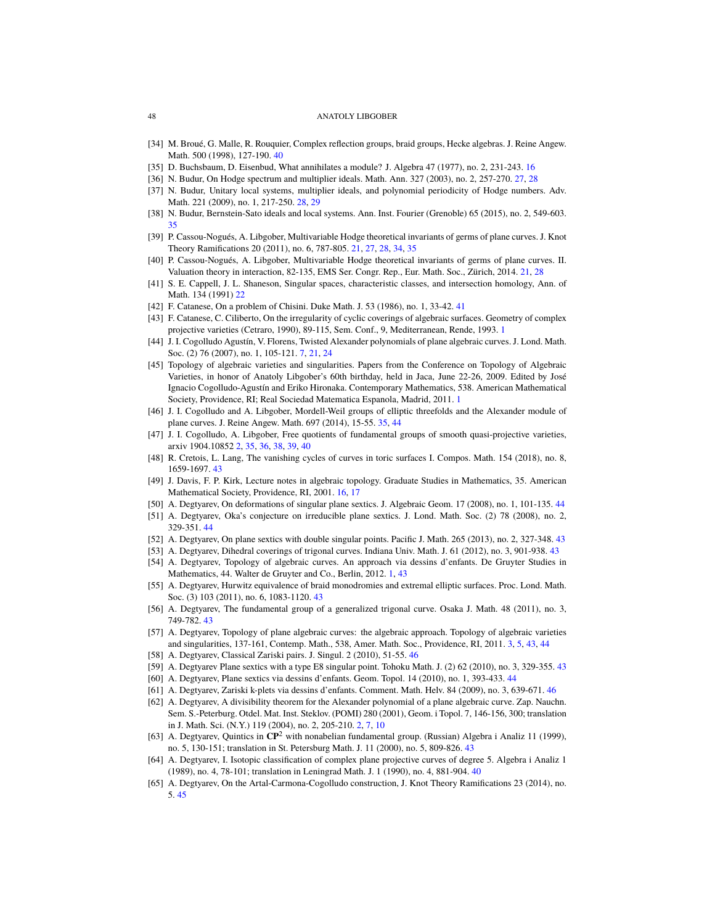- <span id="page-47-16"></span>[34] M. Broué, G. Malle, R. Rouquier, Complex reflection groups, braid groups, Hecke algebras. J. Reine Angew. Math. 500 (1998), 127-190. [40](#page-39-0)
- <span id="page-47-7"></span>[35] D. Buchsbaum, D. Eisenbud, What annihilates a module? J. Algebra 47 (1977), no. 2, 231-243. [16](#page-15-7)
- <span id="page-47-12"></span>[36] N. Budur, On Hodge spectrum and multiplier ideals. Math. Ann. 327 (2003), no. 2, 257-270. [27,](#page-26-3) [28](#page-27-3)
- <span id="page-47-13"></span>[37] N. Budur, Unitary local systems, multiplier ideals, and polynomial periodicity of Hodge numbers. Adv. Math. 221 (2009), no. 1, 217-250. [28,](#page-27-3) [29](#page-28-2)
- <span id="page-47-14"></span>[38] N. Budur, Bernstein-Sato ideals and local systems. Ann. Inst. Fourier (Grenoble) 65 (2015), no. 2, 549-603. [35](#page-34-4)
- <span id="page-47-9"></span>[39] P. Cassou-Nogués, A. Libgober, Multivariable Hodge theoretical invariants of germs of plane curves. J. Knot Theory Ramifications 20 (2011), no. 6, 787-805. [21,](#page-20-3) [27,](#page-26-3) [28,](#page-27-3) [34,](#page-33-1) [35](#page-34-4)
- <span id="page-47-10"></span>[40] P. Cassou-Nogués, A. Libgober, Multivariable Hodge theoretical invariants of germs of plane curves. II. Valuation theory in interaction, 82-135, EMS Ser. Congr. Rep., Eur. Math. Soc., Zürich, 2014. [21,](#page-20-3) [28](#page-27-3)
- <span id="page-47-11"></span>[41] S. E. Cappell, J. L. Shaneson, Singular spaces, characteristic classes, and intersection homology, Ann. of Math. 134 (1991) [22](#page-21-2)
- <span id="page-47-18"></span>[42] F. Catanese, On a problem of Chisini. Duke Math. J. 53 (1986), no. 1, 33-42. [41](#page-40-1)
- <span id="page-47-1"></span>[43] F. Catanese, C. Ciliberto, On the irregularity of cyclic coverings of algebraic surfaces. Geometry of complex projective varieties (Cetraro, 1990), 89-115, Sem. Conf., 9, Mediterranean, Rende, 1993. [1](#page-0-1)
- <span id="page-47-6"></span>[44] J. I. Cogolludo Agustín, V. Florens, Twisted Alexander polynomials of plane algebraic curves. J. Lond. Math. Soc. (2) 76 (2007), no. 1, 105-121. [7,](#page-6-3) [21,](#page-20-3) [24](#page-23-7)
- <span id="page-47-2"></span>[45] Topology of algebraic varieties and singularities. Papers from the Conference on Topology of Algebraic Varieties, in honor of Anatoly Libgober's 60th birthday, held in Jaca, June 22-26, 2009. Edited by José Ignacio Cogolludo-Agustín and Eriko Hironaka. Contemporary Mathematics, 538. American Mathematical Society, Providence, RI; Real Sociedad Matematica Espanola, Madrid, 2011. [1](#page-0-1)
- <span id="page-47-15"></span>[46] J. I. Cogolludo and A. Libgober, Mordell-Weil groups of elliptic threefolds and the Alexander module of plane curves. J. Reine Angew. Math. 697 (2014), 15-55. [35,](#page-34-4) [44](#page-43-0)
- <span id="page-47-4"></span>[47] J. I. Cogolludo, A. Libgober, Free quotients of fundamental groups of smooth quasi-projective varieties, arxiv 1904.10852 [2,](#page-1-0) [35,](#page-34-4) [36,](#page-35-5) [38,](#page-37-4) [39,](#page-38-1) [40](#page-39-0)
- <span id="page-47-19"></span>[48] R. Cretois, L. Lang, The vanishing cycles of curves in toric surfaces I. Compos. Math. 154 (2018), no. 8, 1659-1697. [43](#page-42-1)
- <span id="page-47-8"></span>[49] J. Davis, F. P. Kirk, Lecture notes in algebraic topology. Graduate Studies in Mathematics, 35. American Mathematical Society, Providence, RI, 2001. [16,](#page-15-7) [17](#page-16-6)
- <span id="page-47-27"></span>[50] A. Degtyarev, On deformations of singular plane sextics. J. Algebraic Geom. 17 (2008), no. 1, 101-135. [44](#page-43-0)
- <span id="page-47-28"></span>[51] A. Degtyarev, Oka's conjecture on irreducible plane sextics. J. Lond. Math. Soc. (2) 78 (2008), no. 2, 329-351. [44](#page-43-0)
- <span id="page-47-21"></span>[52] A. Degtyarev, On plane sextics with double singular points. Pacific J. Math. 265 (2013), no. 2, 327-348. [43](#page-42-1)
- <span id="page-47-22"></span>[53] A. Degtyarev, Dihedral coverings of trigonal curves. Indiana Univ. Math. J. 61 (2012), no. 3, 901-938. [43](#page-42-1)
- <span id="page-47-0"></span>[54] A. Degtyarev, Topology of algebraic curves. An approach via dessins d'enfants. De Gruyter Studies in Mathematics, 44. Walter de Gruyter and Co., Berlin, 2012. [1,](#page-0-1) [43](#page-42-1)
- <span id="page-47-23"></span>[55] A. Degtyarev, Hurwitz equivalence of braid monodromies and extremal elliptic surfaces. Proc. Lond. Math. Soc. (3) 103 (2011), no. 6, 1083-1120. [43](#page-42-1)
- <span id="page-47-24"></span>[56] A. Degtyarev, The fundamental group of a generalized trigonal curve. Osaka J. Math. 48 (2011), no. 3, 749-782. [43](#page-42-1)
- <span id="page-47-5"></span>[57] A. Degtyarev, Topology of plane algebraic curves: the algebraic approach. Topology of algebraic varieties and singularities, 137-161, Contemp. Math., 538, Amer. Math. Soc., Providence, RI, 2011. [3,](#page-2-2) [5,](#page-4-4) [43,](#page-42-1) [44](#page-43-0)
- <span id="page-47-31"></span>[58] A. Degtyarev, Classical Zariski pairs. J. Singul. 2 (2010), 51-55. [46](#page-45-6)
- <span id="page-47-25"></span>[59] A. Degtyarev Plane sextics with a type E8 singular point. Tohoku Math. J. (2) 62 (2010), no. 3, 329-355. [43](#page-42-1)
- <span id="page-47-26"></span>[60] A. Degtyarev, Plane sextics via dessins d'enfants. Geom. Topol. 14 (2010), no. 1, 393-433. [44](#page-43-0)
- <span id="page-47-30"></span>[61] A. Degtyarev, Zariski k-plets via dessins d'enfants. Comment. Math. Helv. 84 (2009), no. 3, 639-671. [46](#page-45-6)
- <span id="page-47-3"></span>[62] A. Degtyarev, A divisibility theorem for the Alexander polynomial of a plane algebraic curve. Zap. Nauchn. Sem. S.-Peterburg. Otdel. Mat. Inst. Steklov. (POMI) 280 (2001), Geom. i Topol. 7, 146-156, 300; translation in J. Math. Sci. (N.Y.) 119 (2004), no. 2, 205-210. [2,](#page-1-0) [7,](#page-6-3) [10](#page-9-2)
- <span id="page-47-20"></span>[63] A. Degtyarev, Quintics in **CP**<sup>2</sup> with nonabelian fundamental group. (Russian) Algebra i Analiz 11 (1999), no. 5, 130-151; translation in St. Petersburg Math. J. 11 (2000), no. 5, 809-826. [43](#page-42-1)
- <span id="page-47-17"></span>[64] A. Degtyarev, I. Isotopic classification of complex plane projective curves of degree 5. Algebra i Analiz 1 (1989), no. 4, 78-101; translation in Leningrad Math. J. 1 (1990), no. 4, 881-904. [40](#page-39-0)
- <span id="page-47-29"></span>[65] A. Degtyarev, On the Artal-Carmona-Cogolludo construction, J. Knot Theory Ramifications 23 (2014), no. 5. [45](#page-44-3)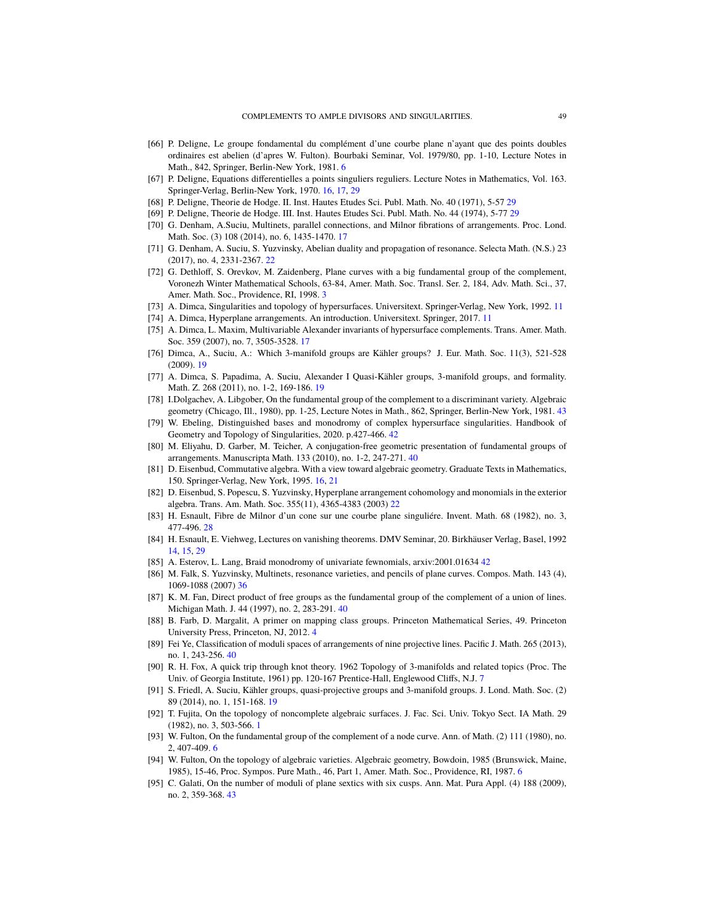- <span id="page-48-4"></span>[66] P. Deligne, Le groupe fondamental du complément d'une courbe plane n'ayant que des points doubles ordinaires est abelien (d'apres W. Fulton). Bourbaki Seminar, Vol. 1979/80, pp. 1-10, Lecture Notes in Math., 842, Springer, Berlin-New York, 1981. [6](#page-5-3)
- <span id="page-48-11"></span>[67] P. Deligne, Equations differentielles a points singuliers reguliers. Lecture Notes in Mathematics, Vol. 163. Springer-Verlag, Berlin-New York, 1970. [16,](#page-15-7) [17,](#page-16-6) [29](#page-28-2)
- <span id="page-48-20"></span>[68] P. Deligne, Theorie de Hodge. II. Inst. Hautes Etudes Sci. Publ. Math. No. 40 (1971), 5-57 [29](#page-28-2)
- <span id="page-48-21"></span>[69] P. Deligne, Theorie de Hodge. III. Inst. Hautes Etudes Sci. Publ. Math. No. 44 (1974), 5-77 [29](#page-28-2)
- <span id="page-48-13"></span>[70] G. Denham, A.Suciu, Multinets, parallel connections, and Milnor fibrations of arrangements. Proc. Lond. Math. Soc. (3) 108 (2014), no. 6, 1435-1470. [17](#page-16-6)
- <span id="page-48-18"></span>[71] G. Denham, A. Suciu, S. Yuzvinsky, Abelian duality and propagation of resonance. Selecta Math. (N.S.) 23 (2017), no. 4, 2331-2367. [22](#page-21-2)
- <span id="page-48-1"></span>[72] G. Dethloff, S. Orevkov, M. Zaidenberg, Plane curves with a big fundamental group of the complement, Voronezh Winter Mathematical Schools, 63-84, Amer. Math. Soc. Transl. Ser. 2, 184, Adv. Math. Sci., 37, Amer. Math. Soc., Providence, RI, 1998. [3](#page-2-2)
- <span id="page-48-7"></span>[73] A. Dimca, Singularities and topology of hypersurfaces. Universitext. Springer-Verlag, New York, 1992. [11](#page-10-2)
- <span id="page-48-8"></span>[74] A. Dimca, Hyperplane arrangements. An introduction. Universitext. Springer, 2017. [11](#page-10-2)
- <span id="page-48-12"></span>[75] A. Dimca, L. Maxim, Multivariable Alexander invariants of hypersurface complements. Trans. Amer. Math. Soc. 359 (2007), no. 7, 3505-3528. [17](#page-16-6)
- <span id="page-48-14"></span>[76] Dimca, A., Suciu, A.: Which 3-manifold groups are Kähler groups? J. Eur. Math. Soc. 11(3), 521-528 (2009). [19](#page-18-6)
- <span id="page-48-15"></span>[77] A. Dimca, S. Papadima, A. Suciu, Alexander I Quasi-Kähler groups, 3-manifold groups, and formality. Math. Z. 268 (2011), no. 1-2, 169-186. [19](#page-18-6)
- <span id="page-48-28"></span>[78] I.Dolgachev, A. Libgober, On the fundamental group of the complement to a discriminant variety. Algebraic geometry (Chicago, Ill., 1980), pp. 1-25, Lecture Notes in Math., 862, Springer, Berlin-New York, 1981. [43](#page-42-1)
- <span id="page-48-26"></span>[79] W. Ebeling, Distinguished bases and monodromy of complex hypersurface singularities. Handbook of Geometry and Topology of Singularities, 2020. p.427-466. [42](#page-41-2)
- <span id="page-48-25"></span>[80] M. Eliyahu, D. Garber, M. Teicher, A conjugation-free geometric presentation of fundamental groups of arrangements. Manuscripta Math. 133 (2010), no. 1-2, 247-271. [40](#page-39-0)
- <span id="page-48-10"></span>[81] D. Eisenbud, Commutative algebra. With a view toward algebraic geometry. Graduate Texts in Mathematics, 150. Springer-Verlag, New York, 1995. [16,](#page-15-7) [21](#page-20-3)
- <span id="page-48-17"></span>[82] D. Eisenbud, S. Popescu, S. Yuzvinsky, Hyperplane arrangement cohomology and monomials in the exterior algebra. Trans. Am. Math. Soc. 355(11), 4365-4383 (2003) [22](#page-21-2)
- <span id="page-48-19"></span>[83] H. Esnault, Fibre de Milnor d'un cone sur une courbe plane singuliére. Invent. Math. 68 (1982), no. 3, 477-496. [28](#page-27-3)
- <span id="page-48-9"></span>[84] H. Esnault, E. Viehweg, Lectures on vanishing theorems. DMV Seminar, 20. Birkhäuser Verlag, Basel, 1992 [14,](#page-13-5) [15,](#page-14-1) [29](#page-28-2)
- <span id="page-48-27"></span>[85] A. Esterov, L. Lang, Braid monodromy of univariate fewnomials, arxiv:2001.01634 [42](#page-41-2)
- <span id="page-48-22"></span>[86] M. Falk, S. Yuzvinsky, Multinets, resonance varieties, and pencils of plane curves. Compos. Math. 143 (4), 1069-1088 (2007) [36](#page-35-5)
- <span id="page-48-23"></span>[87] K. M. Fan, Direct product of free groups as the fundamental group of the complement of a union of lines. Michigan Math. J. 44 (1997), no. 2, 283-291. [40](#page-39-0)
- <span id="page-48-2"></span>[88] B. Farb, D. Margalit, A primer on mapping class groups. Princeton Mathematical Series, 49. Princeton University Press, Princeton, NJ, 2012. [4](#page-3-3)
- <span id="page-48-24"></span>[89] Fei Ye, Classification of moduli spaces of arrangements of nine projective lines. Pacific J. Math. 265 (2013), no. 1, 243-256. [40](#page-39-0)
- <span id="page-48-6"></span>[90] R. H. Fox, A quick trip through knot theory. 1962 Topology of 3-manifolds and related topics (Proc. The Univ. of Georgia Institute, 1961) pp. 120-167 Prentice-Hall, Englewood Cliffs, N.J. [7](#page-6-3)
- <span id="page-48-16"></span>[91] S. Friedl, A. Suciu, Kähler groups, quasi-projective groups and 3-manifold groups. J. Lond. Math. Soc. (2) 89 (2014), no. 1, 151-168. [19](#page-18-6)
- <span id="page-48-0"></span>[92] T. Fujita, On the topology of noncomplete algebraic surfaces. J. Fac. Sci. Univ. Tokyo Sect. IA Math. 29 (1982), no. 3, 503-566. [1](#page-0-1)
- <span id="page-48-3"></span>[93] W. Fulton, On the fundamental group of the complement of a node curve. Ann. of Math. (2) 111 (1980), no. 2, 407-409. [6](#page-5-3)
- <span id="page-48-5"></span>[94] W. Fulton, On the topology of algebraic varieties. Algebraic geometry, Bowdoin, 1985 (Brunswick, Maine, 1985), 15-46, Proc. Sympos. Pure Math., 46, Part 1, Amer. Math. Soc., Providence, RI, 1987. [6](#page-5-3)
- <span id="page-48-29"></span>[95] C. Galati, On the number of moduli of plane sextics with six cusps. Ann. Mat. Pura Appl. (4) 188 (2009), no. 2, 359-368. [43](#page-42-1)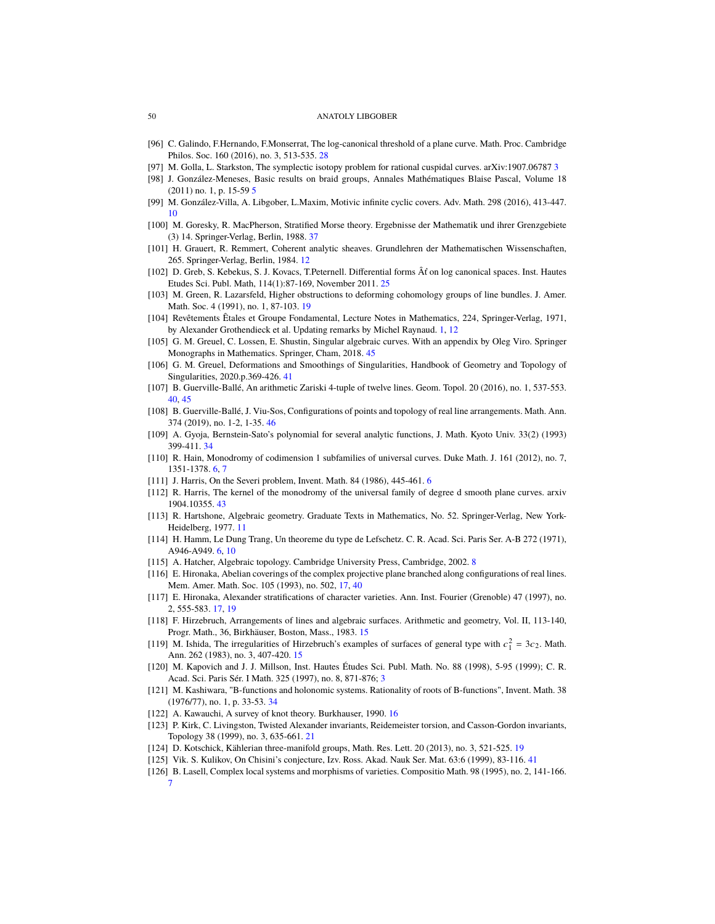- <span id="page-49-21"></span>[96] C. Galindo, F.Hernando, F.Monserrat, The log-canonical threshold of a plane curve. Math. Proc. Cambridge Philos. Soc. 160 (2016), no. 3, 513-535. [28](#page-27-3)
- <span id="page-49-2"></span>[97] M. Golla, L. Starkston, The symplectic isotopy problem for rational cuspidal curves. arXiv:1907.06787 [3](#page-2-2)
- <span id="page-49-3"></span>[98] J. González-Meneses, Basic results on braid groups, Annales Mathématiques Blaise Pascal, Volume 18 (2011) no. 1, p. 15-59 [5](#page-4-4)
- <span id="page-49-9"></span>[99] M. González-Villa, A. Libgober, L.Maxim, Motivic infinite cyclic covers. Adv. Math. 298 (2016), 413-447. [10](#page-9-2)
- <span id="page-49-24"></span>[100] M. Goresky, R. MacPherson, Stratified Morse theory. Ergebnisse der Mathematik und ihrer Grenzgebiete (3) 14. Springer-Verlag, Berlin, 1988. [37](#page-36-0)
- <span id="page-49-11"></span>[101] H. Grauert, R. Remmert, Coherent analytic sheaves. Grundlehren der Mathematischen Wissenschaften, 265. Springer-Verlag, Berlin, 1984. [12](#page-11-1)
- <span id="page-49-20"></span>[102] D. Greb, S. Kebekus, S. J. Kovacs, T.Peternell. Differential forms Âť on log canonical spaces. Inst. Hautes Etudes Sci. Publ. Math, 114(1):87-169, November 2011. [25](#page-24-3)
- <span id="page-49-17"></span>[103] M. Green, R. Lazarsfeld, Higher obstructions to deforming cohomology groups of line bundles. J. Amer. Math. Soc. 4 (1991), no. 1, 87-103. [19](#page-18-6)
- <span id="page-49-0"></span>[104] Revêtements Êtales et Groupe Fondamental, Lecture Notes in Mathematics, 224, Springer-Verlag, 1971, by Alexander Grothendieck et al. Updating remarks by Michel Raynaud. [1,](#page-0-1) [12](#page-11-1)
- <span id="page-49-29"></span>[105] G. M. Greuel, C. Lossen, E. Shustin, Singular algebraic curves. With an appendix by Oleg Viro. Springer Monographs in Mathematics. Springer, Cham, 2018. [45](#page-44-3)
- <span id="page-49-27"></span>[106] G. M. Greuel, Deformations and Smoothings of Singularities, Handbook of Geometry and Topology of Singularities, 2020.p.369-426. [41](#page-40-1)
- <span id="page-49-25"></span>[107] B. Guerville-Ballé, An arithmetic Zariski 4-tuple of twelve lines. Geom. Topol. 20 (2016), no. 1, 537-553. [40,](#page-39-0) [45](#page-44-3)
- <span id="page-49-30"></span>[108] B. Guerville-Ballé, J. Viu-Sos, Configurations of points and topology of real line arrangements. Math. Ann. 374 (2019), no. 1-2, 1-35. [46](#page-45-6)
- <span id="page-49-22"></span>[109] A. Gyoja, Bernstein-Sato's polynomial for several analytic functions, J. Math. Kyoto Univ. 33(2) (1993) 399-411. [34](#page-33-1)
- <span id="page-49-6"></span>[110] R. Hain, Monodromy of codimension 1 subfamilies of universal curves. Duke Math. J. 161 (2012), no. 7, 1351-1378. [6,](#page-5-3) [7](#page-6-3)
- <span id="page-49-4"></span>[111] J. Harris, On the Severi problem, Invent. Math. 84 (198[6](#page-5-3)), 445-461. 6
- <span id="page-49-28"></span>[112] R. Harris, The kernel of the monodromy of the universal family of degree d smooth plane curves. arxiv 1904.10355. [43](#page-42-1)
- <span id="page-49-10"></span>[113] R. Hartshone, Algebraic geometry. Graduate Texts in Mathematics, No. 52. Springer-Verlag, New York-Heidelberg, 1977. [11](#page-10-2)
- <span id="page-49-5"></span>[114] H. Hamm, Le Dung Trang, Un theoreme du type de Lefschetz. C. R. Acad. Sci. Paris Ser. A-B 272 (1971), A946-A949. [6,](#page-5-3) [10](#page-9-2)
- <span id="page-49-8"></span>[115] A. Hatcher, Algebraic topology. Cambridge University Press, Cambridge, 2002. [8](#page-7-7)
- <span id="page-49-16"></span>[116] E. Hironaka, Abelian coverings of the complex projective plane branched along configurations of real lines. Mem. Amer. Math. Soc. 105 (1993), no. 502, [17,](#page-16-6) [40](#page-39-0)
- <span id="page-49-15"></span>[117] E. Hironaka, Alexander stratifications of character varieties. Ann. Inst. Fourier (Grenoble) 47 (1997), no. 2, 555-583. [17,](#page-16-6) [19](#page-18-6)
- <span id="page-49-13"></span>[118] F. Hirzebruch, Arrangements of lines and algebraic surfaces. Arithmetic and geometry, Vol. II, 113-140, Progr. Math., 36, Birkhäuser, Boston, Mass., 1983. [15](#page-14-1)
- <span id="page-49-12"></span>[119] M. Ishida, The irregularities of Hirzebruch's examples of surfaces of general type with  $c_1^2 = 3c_2$ . Math. Ann. 262 (1983), no. 3, 407-420. [15](#page-14-1)
- <span id="page-49-1"></span>[120] M. Kapovich and J. J. Millson, Inst. Hautes Études Sci. Publ. Math. No. 88 (1998), 5-95 (1999); C. R. Acad. Sci. Paris Sér. I Math. 325 (1997), no. 8, 871-876; [3](#page-2-2)
- <span id="page-49-23"></span>[121] M. Kashiwara, "B-functions and holonomic systems. Rationality of roots of B-functions", Invent. Math. 38 (1976/77), no. 1, p. 33-53. [34](#page-33-1)
- <span id="page-49-14"></span>[122] A. Kawauchi, A survey of knot theory. Burkhauser, 1990. [16](#page-15-7)
- <span id="page-49-19"></span>[123] P. Kirk, C. Livingston, Twisted Alexander invariants, Reidemeister torsion, and Casson-Gordon invariants, Topology 38 (1999), no. 3, 635-661. [21](#page-20-3)
- <span id="page-49-18"></span>[124] D. Kotschick, Kählerian three-manifold groups, Math. Res. Lett. 20 (2013), no. 3, 521-525. [19](#page-18-6)
- <span id="page-49-26"></span>[125] Vik. S. Kulikov, On Chisini's conjecture, Izv. Ross. Akad. Nauk Ser. Mat. 63:6 (1999), 83-116. [41](#page-40-1)
- <span id="page-49-7"></span>[126] B. Lasell, Complex local systems and morphisms of varieties. Compositio Math. 98 (1995), no. 2, 141-166. [7](#page-6-3)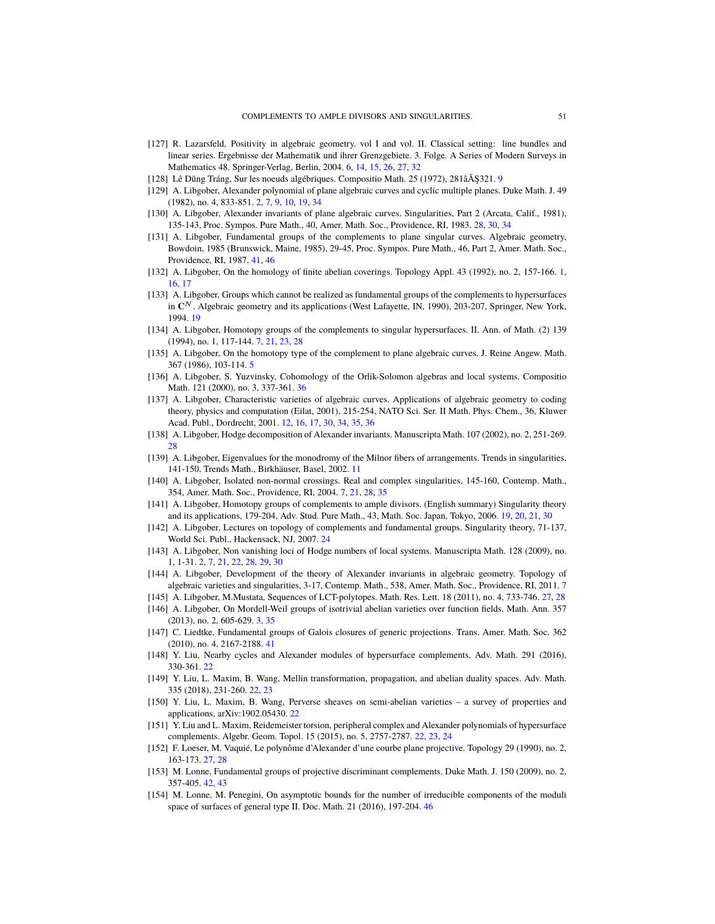- <span id="page-50-5"></span>[127] R. Lazarsfeld, Positivity in algebraic geometry. vol I and vol. II. Classical setting: line bundles and linear series. Ergebnisse der Mathematik und ihrer Grenzgebiete. 3. Folge. A Series of Modern Surveys in Mathematics 48. Springer-Verlag, Berlin, 2004. [6,](#page-5-3) [14,](#page-13-5) [15,](#page-14-1) [26,](#page-25-4) [27,](#page-26-3) [32](#page-31-3)
- <span id="page-50-9"></span>[128] Lê Dũng Tráng, Sur les noeuds algébriques. Compositio Math. 25 (1[9](#page-8-4)72), 281âÅŞ321. 9
- <span id="page-50-1"></span>[129] A. Libgober, Alexander polynomial of plane algebraic curves and cyclic multiple planes. Duke Math. J. 49 (1982), no. 4, 833-851. [2,](#page-1-0) [7,](#page-6-3) [9,](#page-8-4) [10,](#page-9-2) [19,](#page-18-6) [34](#page-33-1)
- <span id="page-50-21"></span>[130] A. Libgober, Alexander invariants of plane algebraic curves. Singularities, Part 2 (Arcata, Calif., 1981), 135-143, Proc. Sympos. Pure Math., 40, Amer. Math. Soc., Providence, RI, 1983. [28,](#page-27-3) [30,](#page-29-0) [34](#page-33-1)
- <span id="page-50-24"></span>[131] A. Libgober, Fundamental groups of the complements to plane singular curves. Algebraic geometry, Bowdoin, 1985 (Brunswick, Maine, 1985), 29-45, Proc. Sympos. Pure Math., 46, Part 2, Amer. Math. Soc., Providence, RI, 1987. [41,](#page-40-1) [46](#page-45-6)
- <span id="page-50-0"></span>[132] A. Libgober, On the homology of finite abelian coverings. Topology Appl. 43 (1992), no. 2, 157-166. [1,](#page-0-1) [16,](#page-15-7) [17](#page-16-6)
- <span id="page-50-12"></span>[133] A. Libgober, Groups which cannot be realized as fundamental groups of the complements to hypersurfaces in **C** N . Algebraic geometry and its applications (West Lafayette, IN, 1990), 203-207, Springer, New York, 1994. [19](#page-18-6)
- <span id="page-50-7"></span>[134] A. Libgober, Homotopy groups of the complements to singular hypersurfaces. II. Ann. of Math. (2) 139 (1994), no. 1, 117-144. [7,](#page-6-3) [21,](#page-20-3) [23,](#page-22-1) [28](#page-27-3)
- <span id="page-50-4"></span>[135] A. Libgober, On the homotopy type of the complement to plane algebraic curves. J. Reine Angew. Math. 367 (1986), 103-114. [5](#page-4-4)
- <span id="page-50-23"></span>[136] A. Libgober, S. Yuzvinsky, Cohomology of the Orlik-Solomon algebras and local systems. Compositio Math. 121 (2000), no. 3, 337-361. [36](#page-35-5)
- <span id="page-50-11"></span>[137] A. Libgober, Characteristic varieties of algebraic curves. Applications of algebraic geometry to coding theory, physics and computation (Eilat, 2001), 215-254, NATO Sci. Ser. II Math. Phys. Chem., 36, Kluwer Acad. Publ., Dordrecht, 2001. [12,](#page-11-1) [16,](#page-15-7) [17,](#page-16-6) [30,](#page-29-0) [34,](#page-33-1) [35,](#page-34-4) [36](#page-35-5)
- <span id="page-50-22"></span>[138] A. Libgober, Hodge decomposition of Alexander invariants. Manuscripta Math. 107 (2002), no. 2, 251-269. [28](#page-27-3)
- <span id="page-50-10"></span>[139] A. Libgober, Eigenvalues for the monodromy of the Milnor fibers of arrangements. Trends in singularities, 141-150, Trends Math., Birkhäuser, Basel, 2002. [11](#page-10-2)
- <span id="page-50-6"></span>[140] A. Libgober, Isolated non-normal crossings. Real and complex singularities, 145-160, Contemp. Math., 354, Amer. Math. Soc., Providence, RI, 2004. [7,](#page-6-3) [21,](#page-20-3) [28,](#page-27-3) [35](#page-34-4)
- <span id="page-50-13"></span>[141] A. Libgober, Homotopy groups of complements to ample divisors. (English summary) Singularity theory and its applications, 179-204, Adv. Stud. Pure Math., 43, Math. Soc. Japan, Tokyo, 2006. [19,](#page-18-6) [20,](#page-19-1) [21,](#page-20-3) [30](#page-29-0)
- <span id="page-50-18"></span>[142] A. Libgober, Lectures on topology of complements and fundamental groups. Singularity theory, 71-137, World Sci. Publ., Hackensack, NJ, 2007. [24](#page-23-7)
- <span id="page-50-2"></span>[143] A. Libgober, Non vanishing loci of Hodge numbers of local systems. Manuscripta Math. 128 (2009), no. 1, 1-31. [2,](#page-1-0) [7,](#page-6-3) [21,](#page-20-3) [22,](#page-21-2) [28,](#page-27-3) [29,](#page-28-2) [30](#page-29-0)
- <span id="page-50-8"></span>[144] A. Libgober, Development of the theory of Alexander invariants in algebraic geometry. Topology of algebraic varieties and singularities, 3-17, Contemp. Math., 538, Amer. Math. Soc., Providence, RI, 2011. [7](#page-6-3)
- <span id="page-50-19"></span>[145] A. Libgober, M.Mustata, Sequences of LCT-polytopes. Math. Res. Lett. 18 (2011), no. 4, 733-746. [27,](#page-26-3) [28](#page-27-3)
- <span id="page-50-3"></span>[146] A. Libgober, On Mordell-Weil groups of isotrivial abelian varieties over function fields. Math. Ann. 357 (2013), no. 2, 605-629. [3,](#page-2-2) [35](#page-34-4)
- <span id="page-50-25"></span>[147] C. Liedtke, Fundamental groups of Galois closures of generic projections. Trans. Amer. Math. Soc. 362 (2010), no. 4, 2167-2188. [41](#page-40-1)
- <span id="page-50-15"></span>[148] Y. Liu, Nearby cycles and Alexander modules of hypersurface complements. Adv. Math. 291 (2016), 330-361. [22](#page-21-2)
- <span id="page-50-16"></span>[149] Y. Liu, L. Maxim, B. Wang, Mellin transformation, propagation, and abelian duality spaces. Adv. Math. 335 (2018), 231-260. [22,](#page-21-2) [23](#page-22-1)
- <span id="page-50-17"></span>[150] Y. Liu, L. Maxim, B. Wang, Perverse sheaves on semi-abelian varieties – a survey of properties and applications, arXiv:1902.05430. [22](#page-21-2)
- <span id="page-50-14"></span>[151] Y. Liu and L. Maxim, Reidemeister torsion, peripheral complex and Alexander polynomials of hypersurface complements. Algebr. Geom. Topol. 15 (2015), no. 5, 2757-2787. [22,](#page-21-2) [23,](#page-22-1) [24](#page-23-7)
- <span id="page-50-20"></span>[152] F. Loeser, M. Vaquié, Le polynôme d'Alexander d'une courbe plane projective. Topology 29 (1990), no. 2, 163-173. [27,](#page-26-3) [28](#page-27-3)
- <span id="page-50-26"></span>[153] M. Lonne, Fundamental groups of projective discriminant complements. Duke Math. J. 150 (2009), no. 2, 357-405. [42,](#page-41-2) [43](#page-42-1)
- <span id="page-50-27"></span>[154] M. Lonne, M. Penegini, On asymptotic bounds for the number of irreducible components of the moduli space of surfaces of general type II. Doc. Math. 21 (2016), 197-204. [46](#page-45-6)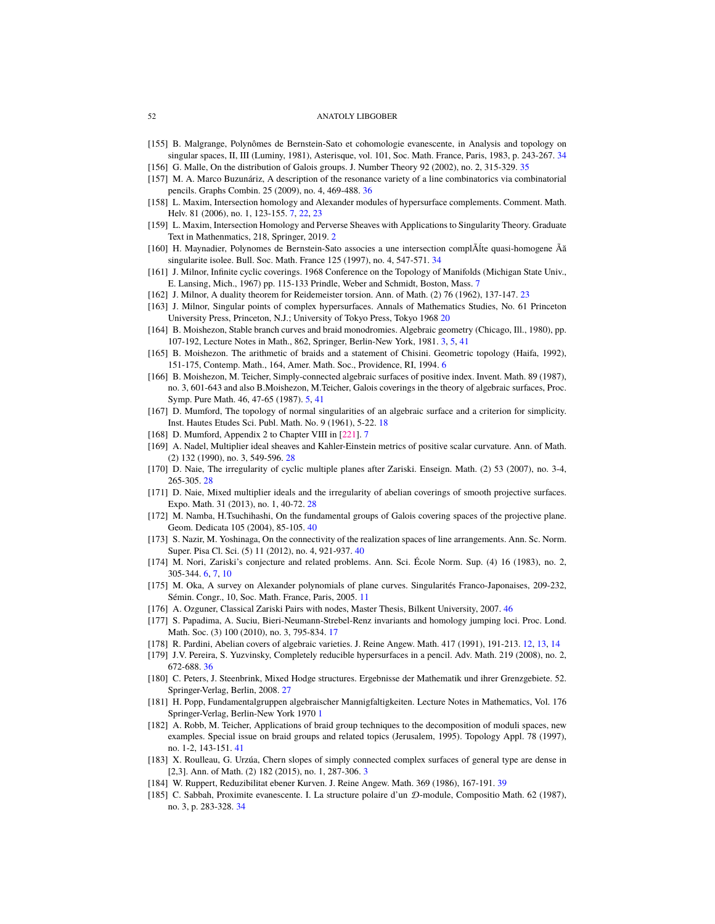- <span id="page-51-31"></span><span id="page-51-22"></span>[155] B. Malgrange, Polynômes de Bernstein-Sato et cohomologie evanescente, in Analysis and topology on singular spaces, II, III (Luminy, 1981), Asterisque, vol. 101, Soc. Math. France, Paris, 1983, p. 243-267. [34](#page-33-1)
- <span id="page-51-23"></span>[156] G. Malle, On the distribution of Galois groups. J. Number Theory 92 (2002), no. 2, 315-329. [35](#page-34-4)
- <span id="page-51-24"></span>[157] M. A. Marco Buzunáriz, A description of the resonance variety of a line combinatorics via combinatorial pencils. Graphs Combin. 25 (2009), no. 4, 469-488. [36](#page-35-5)
- <span id="page-51-9"></span>[158] L. Maxim, Intersection homology and Alexander modules of hypersurface complements. Comment. Math. Helv. 81 (2006), no. 1, 123-155. [7,](#page-6-3) [22,](#page-21-2) [23](#page-22-1)
- <span id="page-51-1"></span>[159] L. Maxim, Intersection Homology and Perverse Sheaves with Applications to Singularity Theory. Graduate Text in Mathenmatics, 218, Springer, 2019. [2](#page-1-0)
- <span id="page-51-21"></span>[160] H. Maynadier, Polynomes de Bernstein-Sato associes a une intersection complÃĺte quasi-homogene Ãă singularite isolee. Bull. Soc. Math. France 125 (1997), no. 4, 547-571. [34](#page-33-1)
- <span id="page-51-8"></span>[161] J. Milnor, Infinite cyclic coverings. 1968 Conference on the Topology of Manifolds (Michigan State Univ., E. Lansing, Mich., 1967) pp. 115-133 Prindle, Weber and Schmidt, Boston, Mass. [7](#page-6-3)
- <span id="page-51-15"></span>[162] J. Milnor, A duality theorem for Reidemeister torsion. Ann. of Math. (2) 76 (1962), 137-147. [23](#page-22-1)
- <span id="page-51-14"></span>[163] J. Milnor, Singular points of complex hypersurfaces. Annals of Mathematics Studies, No. 61 Princeton University Press, Princeton, N.J.; University of Tokyo Press, Tokyo 1968 [20](#page-19-1)
- <span id="page-51-3"></span>[164] B. Moishezon, Stable branch curves and braid monodromies. Algebraic geometry (Chicago, Ill., 1980), pp. 107-192, Lecture Notes in Math., 862, Springer, Berlin-New York, 1981. [3,](#page-2-2) [5,](#page-4-4) [41](#page-40-1)
- <span id="page-51-5"></span>[165] B. Moishezon. The arithmetic of braids and a statement of Chisini. Geometric topology (Haifa, 1992), 151-175, Contemp. Math., 164, Amer. Math. Soc., Providence, RI, 1994. [6](#page-5-3)
- <span id="page-51-4"></span>[166] B. Moishezon, M. Teicher, Simply-connected algebraic surfaces of positive index. Invent. Math. 89 (1987), no. 3, 601-643 and also B.Moishezon, M.Teicher, Galois coverings in the theory of algebraic surfaces, Proc. Symp. Pure Math. 46, 47-65 (1987). [5,](#page-4-4) [41](#page-40-1)
- <span id="page-51-13"></span>[167] D. Mumford, The topology of normal singularities of an algebraic surface and a criterion for simplicity. Inst. Hautes Etudes Sci. Publ. Math. No. 9 (1961), 5-22. [18](#page-17-7)
- <span id="page-51-7"></span>[168] D. Mumford, Appendix 2 to Chapter VIII in [\[221\]](#page-53-1). [7](#page-6-3)
- <span id="page-51-19"></span>[169] A. Nadel, Multiplier ideal sheaves and Kahler-Einstein metrics of positive scalar curvature. Ann. of Math. (2) 132 (1990), no. 3, 549-596. [28](#page-27-3)
- <span id="page-51-17"></span>[170] D. Naie, The irregularity of cyclic multiple planes after Zariski. Enseign. Math. (2) 53 (2007), no. 3-4, 265-305. [28](#page-27-3)
- <span id="page-51-18"></span>[171] D. Naie, Mixed multiplier ideals and the irregularity of abelian coverings of smooth projective surfaces. Expo. Math. 31 (2013), no. 1, 40-72. [28](#page-27-3)
- <span id="page-51-27"></span>[172] M. Namba, H.Tsuchihashi, On the fundamental groups of Galois covering spaces of the projective plane. Geom. Dedicata 105 (2004), 85-105. [40](#page-39-0)
- <span id="page-51-28"></span>[173] S. Nazir, M. Yoshinaga, On the connectivity of the realization spaces of line arrangements. Ann. Sc. Norm. Super. Pisa Cl. Sci. (5) 11 (2012), no. 4, 921-937. [40](#page-39-0)
- <span id="page-51-6"></span>[174] M. Nori, Zariski's conjecture and related problems. Ann. Sci. École Norm. Sup. (4) 16 (1983), no. 2, 305-344. [6,](#page-5-3) [7,](#page-6-3) [10](#page-9-2)
- <span id="page-51-10"></span>[175] M. Oka, A survey on Alexander polynomials of plane curves. Singularités Franco-Japonaises, 209-232, Sémin. Congr., 10, Soc. Math. France, Paris, 2005. [11](#page-10-2)
- <span id="page-51-30"></span>[176] A. Ozguner, Classical Zariski Pairs with nodes, Master Thesis, Bilkent University, 2007. [46](#page-45-6)
- <span id="page-51-12"></span>[177] S. Papadima, A. Suciu, Bieri-Neumann-Strebel-Renz invariants and homology jumping loci. Proc. Lond. Math. Soc. (3) 100 (2010), no. 3, 795-834. [17](#page-16-6)
- <span id="page-51-11"></span>[178] R. Pardini, Abelian covers of algebraic varieties. J. Reine Angew. Math. 417 (1991), 191-213. [12,](#page-11-1) [13,](#page-12-3) [14](#page-13-5)
- <span id="page-51-25"></span>[179] J.V. Pereira, S. Yuzvinsky, Completely reducible hypersurfaces in a pencil. Adv. Math. 219 (2008), no. 2, 672-688. [36](#page-35-5)
- <span id="page-51-16"></span>[180] C. Peters, J. Steenbrink, Mixed Hodge structures. Ergebnisse der Mathematik und ihrer Grenzgebiete. 52. Springer-Verlag, Berlin, 2008. [27](#page-26-3)
- <span id="page-51-0"></span>[181] H. Popp, Fundamentalgruppen algebraischer Mannigfaltigkeiten. Lecture Notes in Mathematics, Vol. 176 Springer-Verlag, Berlin-New York 1970 [1](#page-0-1)
- <span id="page-51-29"></span>[182] A. Robb, M. Teicher, Applications of braid group techniques to the decomposition of moduli spaces, new examples. Special issue on braid groups and related topics (Jerusalem, 1995). Topology Appl. 78 (1997), no. 1-2, 143-151. [41](#page-40-1)
- <span id="page-51-2"></span>[183] X. Roulleau, G. Urzúa, Chern slopes of simply connected complex surfaces of general type are dense in [2,3]. Ann. of Math. (2) 182 (2015), no. 1, 287-306. [3](#page-2-2)
- <span id="page-51-26"></span>[184] W. Ruppert, Reduzibilitat ebener Kurven. J. Reine Angew. Math. 369 (1986), 167-191. [39](#page-38-1)
- <span id="page-51-20"></span>[185] C. Sabbah, Proximite evanescente. I. La structure polaire d'un D-module, Compositio Math. 62 (1987), no. 3, p. 283-328. [34](#page-33-1)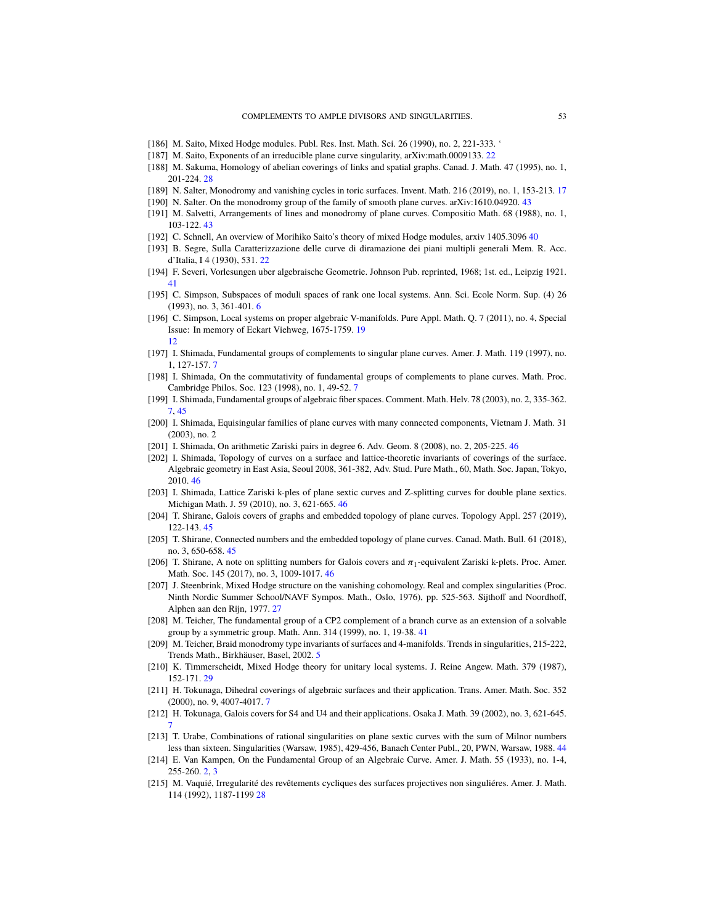- <span id="page-52-11"></span>[186] M. Saito, Mixed Hodge modules. Publ. Res. Inst. Math. Sci. 26 (1990), no. 2, 221-333. '
- <span id="page-52-14"></span>[187] M. Saito, Exponents of an irreducible plane curve singularity, arXiv:math.0009133. [22](#page-21-2)
- <span id="page-52-9"></span>[188] M. Sakuma, Homology of abelian coverings of links and spatial graphs. Canad. J. Math. 47 (1995), no. 1, 201-224. [28](#page-27-3)
- <span id="page-52-21"></span>[189] N. Salter, Monodromy and vanishing cycles in toric surfaces. Invent. Math. 216 (2019), no. 1, 153-213. [17](#page-16-6)
- <span id="page-52-20"></span>[190] N. Salter. On the monodromy group of the family of smooth plane curves. arXiv:1610.04920. [43](#page-42-1)
- <span id="page-52-17"></span>[191] M. Salvetti, Arrangements of lines and monodromy of plane curves. Compositio Math. 68 (1988), no. 1, 103-122. [43](#page-42-1)
- <span id="page-52-12"></span>[192] C. Schnell, An overview of Morihiko Saito's theory of mixed Hodge modules, arxiv 1405.3096 [40](#page-39-0)
- <span id="page-52-19"></span>[193] B. Segre, Sulla Caratterizzazione delle curve di diramazione dei piani multipli generali Mem. R. Acc. d'Italia, I 4 (1930), 531. [22](#page-21-2)
- <span id="page-52-2"></span>[194] F. Severi, Vorlesungen uber algebraische Geometrie. Johnson Pub. reprinted, 1968; 1st. ed., Leipzig 1921. [41](#page-40-1)
- <span id="page-52-10"></span>[195] C. Simpson, Subspaces of moduli spaces of rank one local systems. Ann. Sci. Ecole Norm. Sup. (4) 26 (1993), no. 3, 361-401. [6](#page-5-3)
- <span id="page-52-8"></span>[196] C. Simpson, Local systems on proper algebraic V-manifolds. Pure Appl. Math. Q. 7 (2011), no. 4, Special Issue: In memory of Eckart Viehweg, 1675-1759. [19](#page-18-6) [12](#page-11-1)
- <span id="page-52-3"></span>[197] I. Shimada, Fundamental groups of complements to singular plane curves. Amer. J. Math. 119 (1997), no. 1, 127-157. [7](#page-6-3)
- <span id="page-52-4"></span>[198] I. Shimada, On the commutativity of fundamental groups of complements to plane curves. Math. Proc. Cambridge Philos. Soc. 123 (1998), no. 1, 49-52. [7](#page-6-3)
- <span id="page-52-5"></span>[199] I. Shimada, Fundamental groups of algebraic fiber spaces. Comment. Math. Helv. 78 (2003), no. 2, 335-362. [7,](#page-6-3) [45](#page-44-3)
- [200] I. Shimada, Equisingular families of plane curves with many connected components, Vietnam J. Math. 31 (2003), no. 2
- <span id="page-52-25"></span>[201] I. Shimada, On arithmetic Zariski pairs in degree 6. Adv. Geom. 8 (2008), no. 2, 205-225. [46](#page-45-6)
- <span id="page-52-26"></span>[202] I. Shimada, Topology of curves on a surface and lattice-theoretic invariants of coverings of the surface. Algebraic geometry in East Asia, Seoul 2008, 361-382, Adv. Stud. Pure Math., 60, Math. Soc. Japan, Tokyo, 2010. [46](#page-45-6)
- <span id="page-52-27"></span>[203] I. Shimada, Lattice Zariski k-ples of plane sextic curves and Z-splitting curves for double plane sextics. Michigan Math. J. 59 (2010), no. 3, 621-665. [46](#page-45-6)
- <span id="page-52-24"></span>[204] T. Shirane, Galois covers of graphs and embedded topology of plane curves. Topology Appl. 257 (2019), 122-143. [45](#page-44-3)
- <span id="page-52-23"></span>[205] T. Shirane, Connected numbers and the embedded topology of plane curves. Canad. Math. Bull. 61 (2018), no. 3, 650-658. [45](#page-44-3)
- <span id="page-52-28"></span>[206] T. Shirane, A note on splitting numbers for Galois covers and  $\pi_1$ -equivalent Zariski k-plets. Proc. Amer. Math. Soc. 145 (2017), no. 3, 1009-1017. [46](#page-45-6)
- <span id="page-52-13"></span>[207] J. Steenbrink, Mixed Hodge structure on the vanishing cohomology. Real and complex singularities (Proc. Ninth Nordic Summer School/NAVF Sympos. Math., Oslo, 1976), pp. 525-563. Sijthoff and Noordhoff, Alphen aan den Rijn, 1977. [27](#page-26-3)
- <span id="page-52-18"></span>[208] M. Teicher, The fundamental group of a CP2 complement of a branch curve as an extension of a solvable group by a symmetric group. Math. Ann. 314 (1999), no. 1, 19-38. [41](#page-40-1)
- <span id="page-52-1"></span>[209] M. Teicher, Braid monodromy type invariants of surfaces and 4-manifolds. Trends in singularities, 215-222, Trends Math., Birkhäuser, Basel, 2002. [5](#page-4-4)
- <span id="page-52-16"></span>[210] K. Timmerscheidt, Mixed Hodge theory for unitary local systems. J. Reine Angew. Math. 379 (1987), 152-171. [29](#page-28-2)
- <span id="page-52-6"></span>[211] H. Tokunaga, Dihedral coverings of algebraic surfaces and their application. Trans. Amer. Math. Soc. 352 (2000), no. 9, 4007-4017. [7](#page-6-3)
- <span id="page-52-7"></span>[212] H. Tokunaga, Galois covers for S4 and U4 and their applications. Osaka J. Math. 39 (2002), no. 3, 621-645. [7](#page-6-3)
- <span id="page-52-22"></span>[213] T. Urabe, Combinations of rational singularities on plane sextic curves with the sum of Milnor numbers less than sixteen. Singularities (Warsaw, 1985), 429-456, Banach Center Publ., 20, PWN, Warsaw, 1988. [44](#page-43-0)
- <span id="page-52-0"></span>[214] E. Van Kampen, On the Fundamental Group of an Algebraic Curve. Amer. J. Math. 55 (1933), no. 1-4, 255-260. [2,](#page-1-0) [3](#page-2-2)
- <span id="page-52-15"></span>[215] M. Vaquié, Irregularité des revêtements cycliques des surfaces projectives non singuliéres. Amer. J. Math. 114 (1992), 1187-1199 [28](#page-27-3)